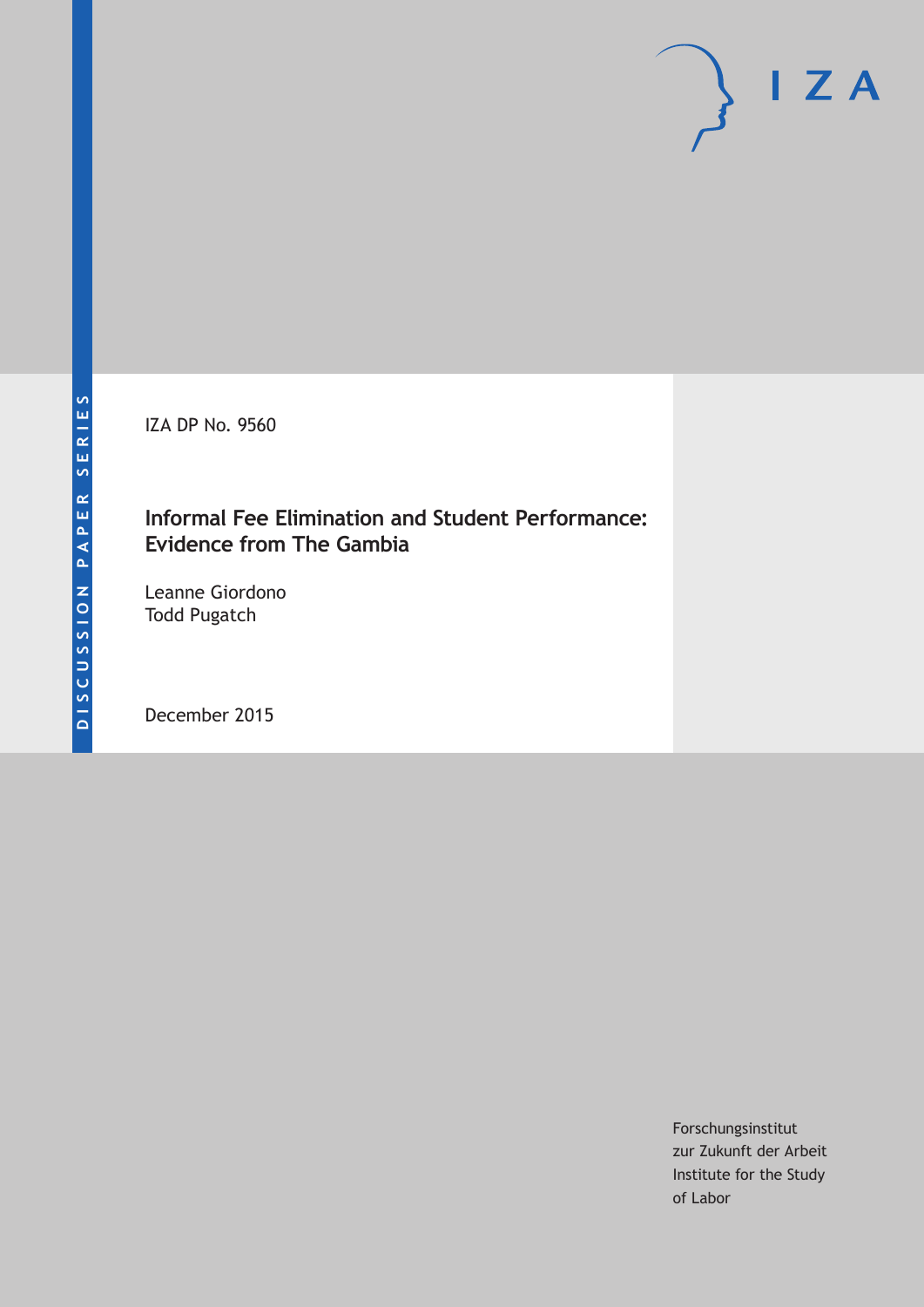IZA DP No. 9560

### **Informal Fee Elimination and Student Performance: Evidence from The Gambia**

Leanne Giordono Todd Pugatch

December 2015

Forschungsinstitut zur Zukunft der Arbeit Institute for the Study of Labor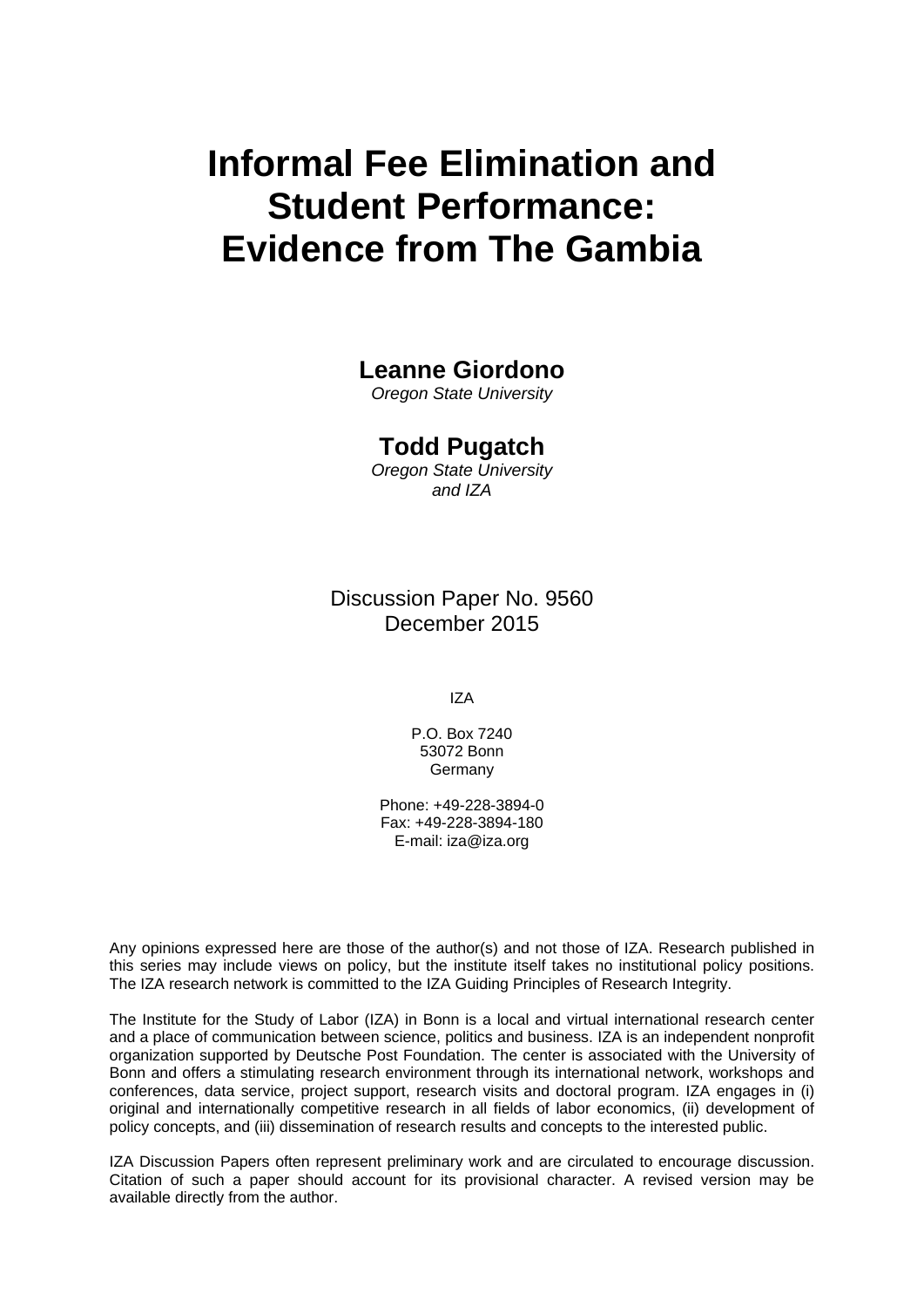# **Informal Fee Elimination and Student Performance: Evidence from The Gambia**

### **Leanne Giordono**

*Oregon State University* 

### **Todd Pugatch**

*Oregon State University and IZA* 

Discussion Paper No. 9560 December 2015

IZA

P.O. Box 7240 53072 Bonn Germany

Phone: +49-228-3894-0 Fax: +49-228-3894-180 E-mail: iza@iza.org

Any opinions expressed here are those of the author(s) and not those of IZA. Research published in this series may include views on policy, but the institute itself takes no institutional policy positions. The IZA research network is committed to the IZA Guiding Principles of Research Integrity.

The Institute for the Study of Labor (IZA) in Bonn is a local and virtual international research center and a place of communication between science, politics and business. IZA is an independent nonprofit organization supported by Deutsche Post Foundation. The center is associated with the University of Bonn and offers a stimulating research environment through its international network, workshops and conferences, data service, project support, research visits and doctoral program. IZA engages in (i) original and internationally competitive research in all fields of labor economics, (ii) development of policy concepts, and (iii) dissemination of research results and concepts to the interested public.

IZA Discussion Papers often represent preliminary work and are circulated to encourage discussion. Citation of such a paper should account for its provisional character. A revised version may be available directly from the author.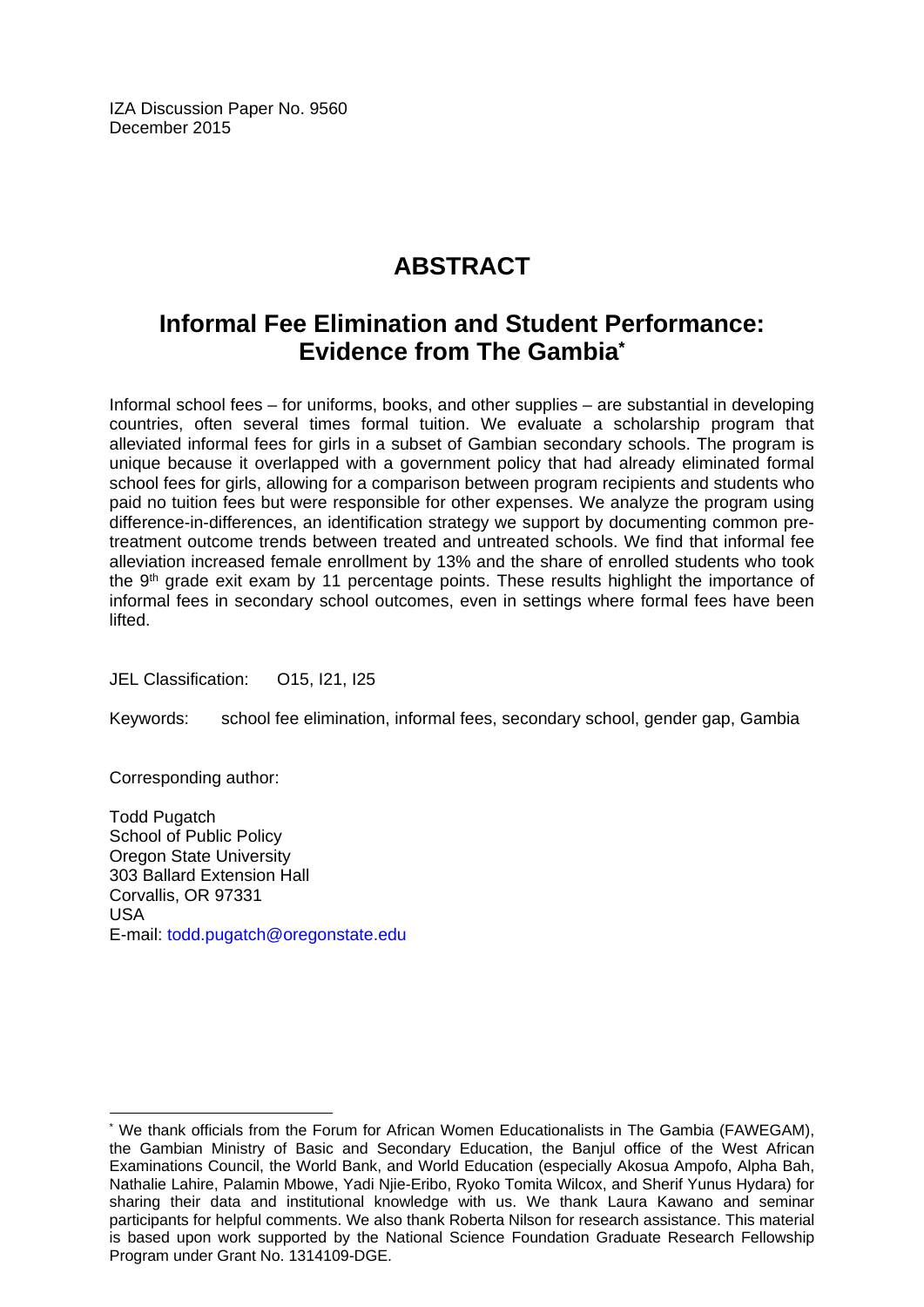IZA Discussion Paper No. 9560 December 2015

# **ABSTRACT**

## **Informal Fee Elimination and Student Performance: Evidence from The Gambia\***

Informal school fees – for uniforms, books, and other supplies – are substantial in developing countries, often several times formal tuition. We evaluate a scholarship program that alleviated informal fees for girls in a subset of Gambian secondary schools. The program is unique because it overlapped with a government policy that had already eliminated formal school fees for girls, allowing for a comparison between program recipients and students who paid no tuition fees but were responsible for other expenses. We analyze the program using difference-in-differences, an identification strategy we support by documenting common pretreatment outcome trends between treated and untreated schools. We find that informal fee alleviation increased female enrollment by 13% and the share of enrolled students who took the  $9<sup>th</sup>$  grade exit exam by 11 percentage points. These results highlight the importance of informal fees in secondary school outcomes, even in settings where formal fees have been lifted.

JEL Classification: O15, I21, I25

Keywords: school fee elimination, informal fees, secondary school, gender gap, Gambia

Corresponding author:

 $\overline{\phantom{a}}$ 

Todd Pugatch School of Public Policy Oregon State University 303 Ballard Extension Hall Corvallis, OR 97331 USA E-mail: todd.pugatch@oregonstate.edu

<sup>\*</sup> We thank officials from the Forum for African Women Educationalists in The Gambia (FAWEGAM), the Gambian Ministry of Basic and Secondary Education, the Banjul office of the West African Examinations Council, the World Bank, and World Education (especially Akosua Ampofo, Alpha Bah, Nathalie Lahire, Palamin Mbowe, Yadi Njie-Eribo, Ryoko Tomita Wilcox, and Sherif Yunus Hydara) for sharing their data and institutional knowledge with us. We thank Laura Kawano and seminar participants for helpful comments. We also thank Roberta Nilson for research assistance. This material is based upon work supported by the National Science Foundation Graduate Research Fellowship Program under Grant No. 1314109-DGE.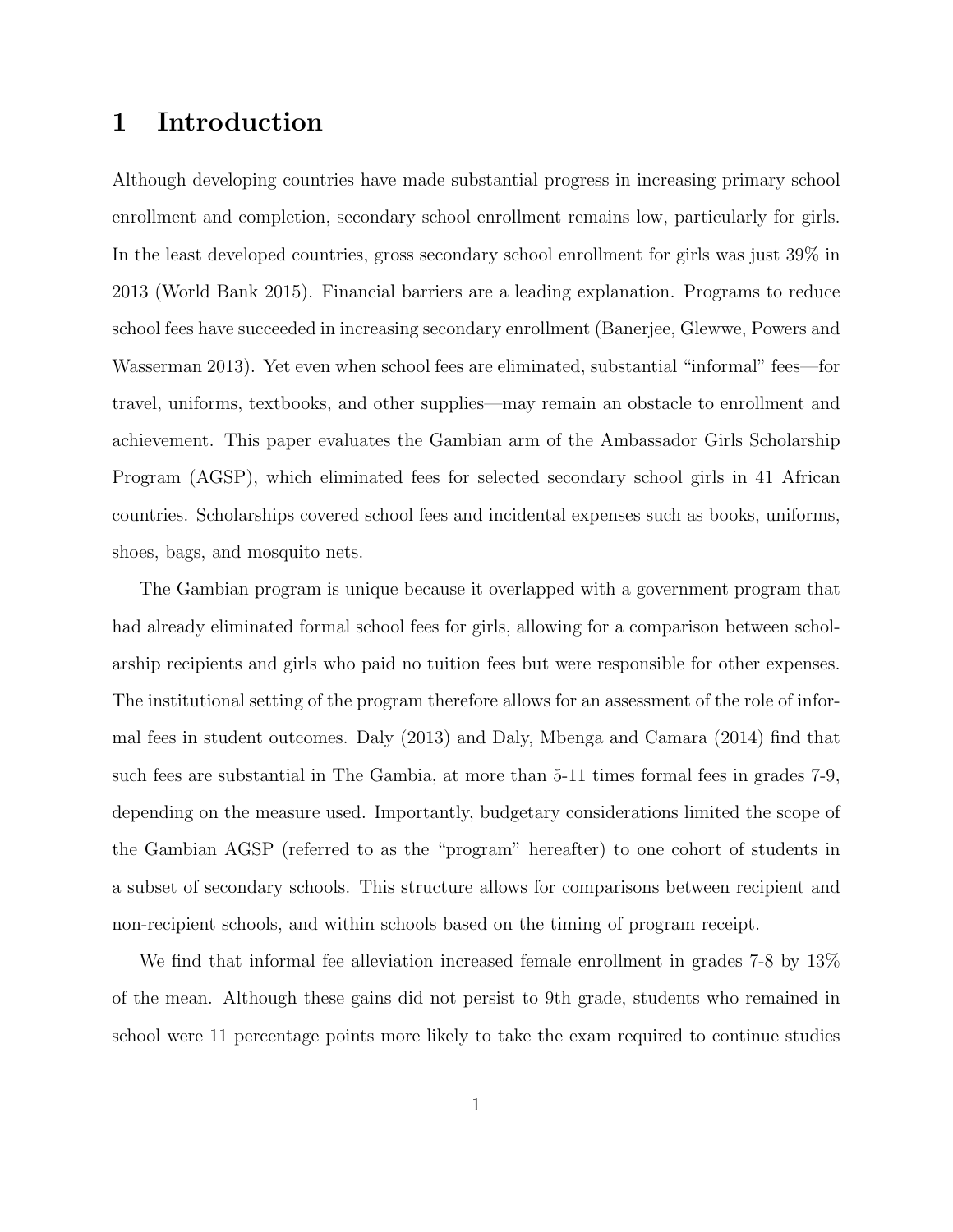### 1 Introduction

Although developing countries have made substantial progress in increasing primary school enrollment and completion, secondary school enrollment remains low, particularly for girls. In the least developed countries, gross secondary school enrollment for girls was just 39% in 2013 (World Bank 2015). Financial barriers are a leading explanation. Programs to reduce school fees have succeeded in increasing secondary enrollment (Banerjee, Glewwe, Powers and Wasserman 2013). Yet even when school fees are eliminated, substantial "informal" fees—for travel, uniforms, textbooks, and other supplies—may remain an obstacle to enrollment and achievement. This paper evaluates the Gambian arm of the Ambassador Girls Scholarship Program (AGSP), which eliminated fees for selected secondary school girls in 41 African countries. Scholarships covered school fees and incidental expenses such as books, uniforms, shoes, bags, and mosquito nets.

The Gambian program is unique because it overlapped with a government program that had already eliminated formal school fees for girls, allowing for a comparison between scholarship recipients and girls who paid no tuition fees but were responsible for other expenses. The institutional setting of the program therefore allows for an assessment of the role of informal fees in student outcomes. Daly (2013) and Daly, Mbenga and Camara (2014) find that such fees are substantial in The Gambia, at more than 5-11 times formal fees in grades 7-9, depending on the measure used. Importantly, budgetary considerations limited the scope of the Gambian AGSP (referred to as the "program" hereafter) to one cohort of students in a subset of secondary schools. This structure allows for comparisons between recipient and non-recipient schools, and within schools based on the timing of program receipt.

We find that informal fee alleviation increased female enrollment in grades 7-8 by 13% of the mean. Although these gains did not persist to 9th grade, students who remained in school were 11 percentage points more likely to take the exam required to continue studies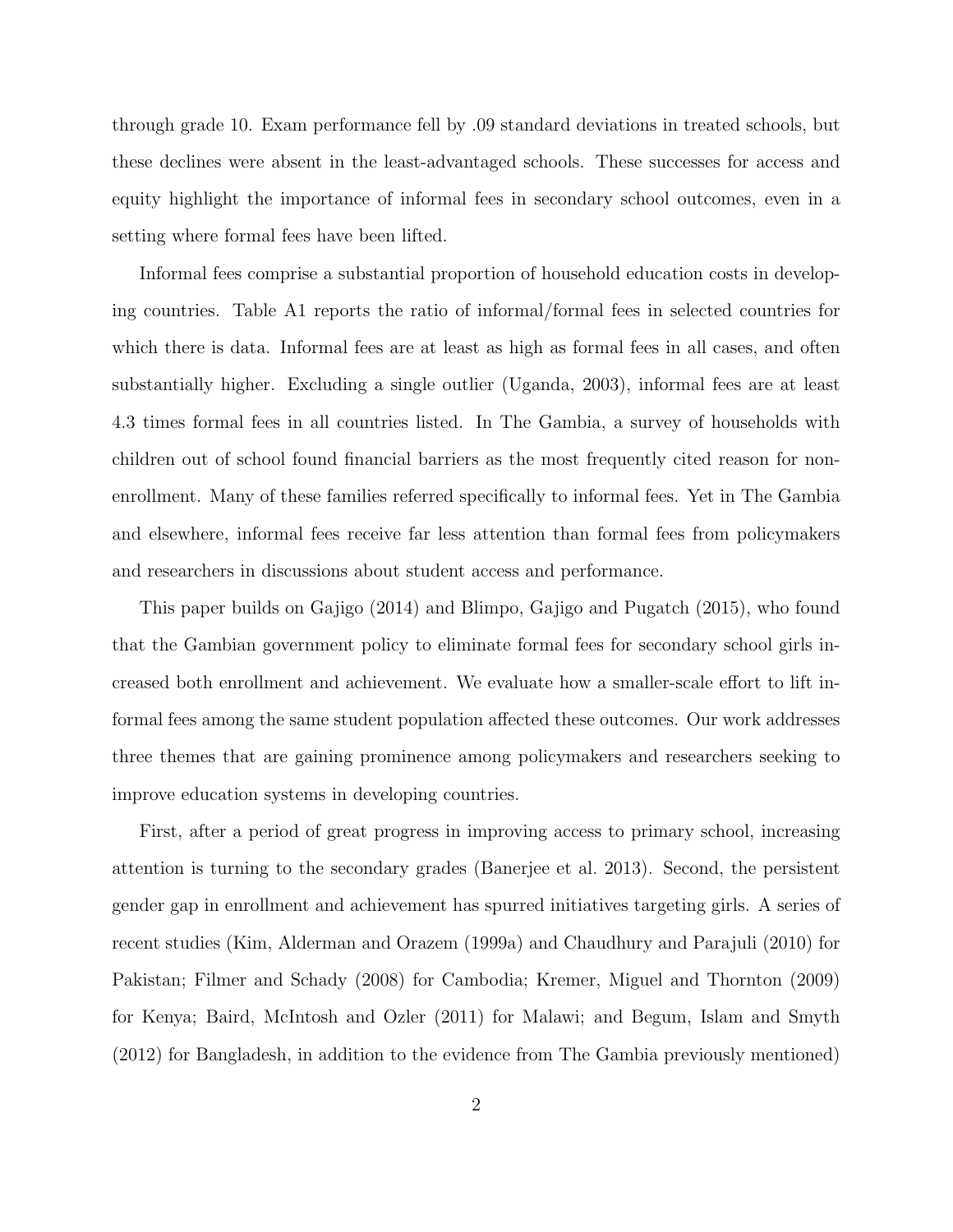through grade 10. Exam performance fell by .09 standard deviations in treated schools, but these declines were absent in the least-advantaged schools. These successes for access and equity highlight the importance of informal fees in secondary school outcomes, even in a setting where formal fees have been lifted.

Informal fees comprise a substantial proportion of household education costs in developing countries. Table [A1](#page-39-0) reports the ratio of informal/formal fees in selected countries for which there is data. Informal fees are at least as high as formal fees in all cases, and often substantially higher. Excluding a single outlier (Uganda, 2003), informal fees are at least 4.3 times formal fees in all countries listed. In The Gambia, a survey of households with children out of school found financial barriers as the most frequently cited reason for nonenrollment. Many of these families referred specifically to informal fees. Yet in The Gambia and elsewhere, informal fees receive far less attention than formal fees from policymakers and researchers in discussions about student access and performance.

This paper builds on Gajigo (2014) and Blimpo, Gajigo and Pugatch (2015), who found that the Gambian government policy to eliminate formal fees for secondary school girls increased both enrollment and achievement. We evaluate how a smaller-scale effort to lift informal fees among the same student population affected these outcomes. Our work addresses three themes that are gaining prominence among policymakers and researchers seeking to improve education systems in developing countries.

First, after a period of great progress in improving access to primary school, increasing attention is turning to the secondary grades (Banerjee et al. 2013). Second, the persistent gender gap in enrollment and achievement has spurred initiatives targeting girls. A series of recent studies (Kim, Alderman and Orazem (1999a) and Chaudhury and Parajuli (2010) for Pakistan; Filmer and Schady (2008) for Cambodia; Kremer, Miguel and Thornton (2009) for Kenya; Baird, McIntosh and Ozler (2011) for Malawi; and Begum, Islam and Smyth (2012) for Bangladesh, in addition to the evidence from The Gambia previously mentioned)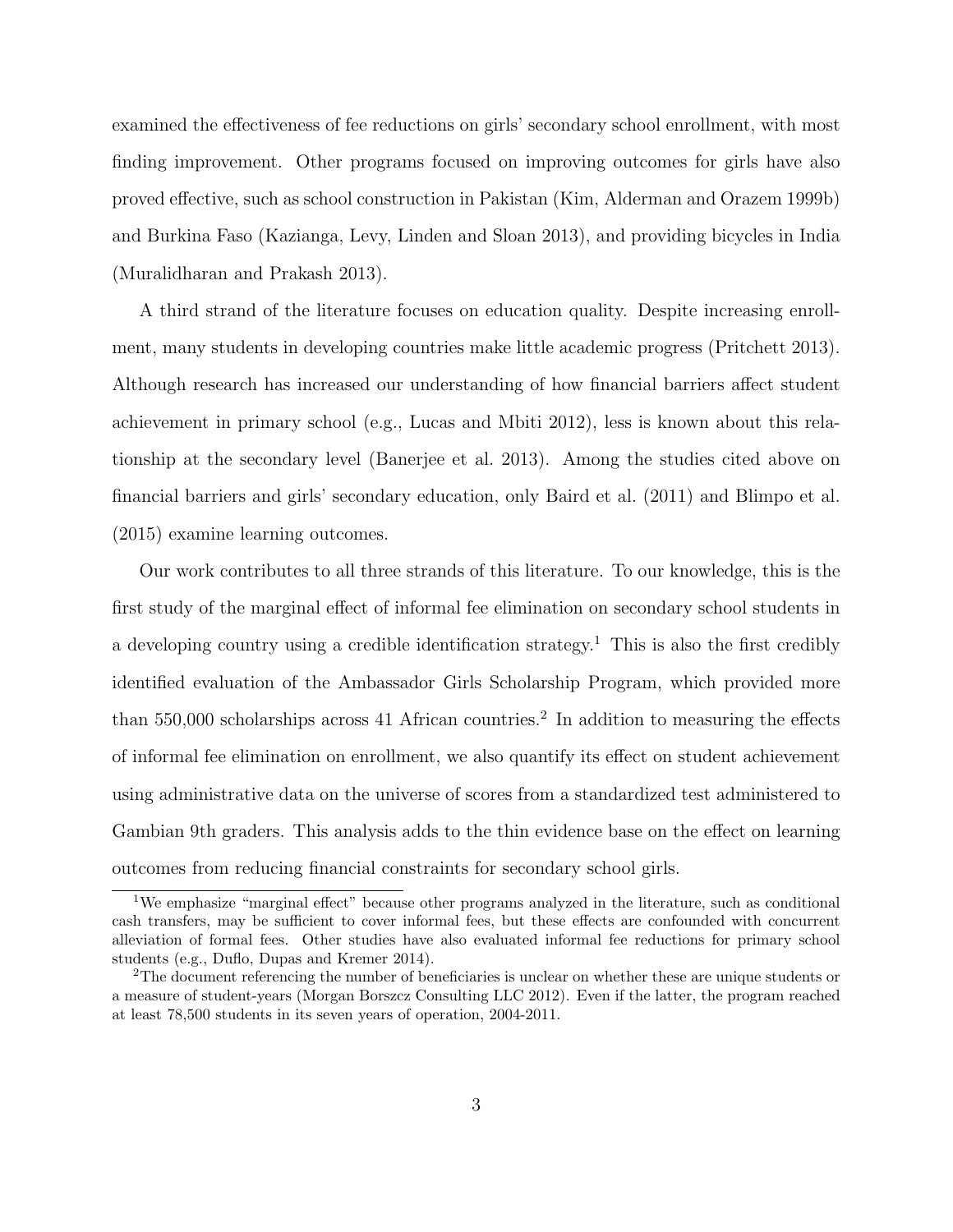examined the effectiveness of fee reductions on girls' secondary school enrollment, with most finding improvement. Other programs focused on improving outcomes for girls have also proved effective, such as school construction in Pakistan (Kim, Alderman and Orazem 1999b) and Burkina Faso (Kazianga, Levy, Linden and Sloan 2013), and providing bicycles in India (Muralidharan and Prakash 2013).

A third strand of the literature focuses on education quality. Despite increasing enrollment, many students in developing countries make little academic progress (Pritchett 2013). Although research has increased our understanding of how financial barriers affect student achievement in primary school (e.g., Lucas and Mbiti 2012), less is known about this relationship at the secondary level (Banerjee et al. 2013). Among the studies cited above on financial barriers and girls' secondary education, only Baird et al. (2011) and Blimpo et al. (2015) examine learning outcomes.

Our work contributes to all three strands of this literature. To our knowledge, this is the first study of the marginal effect of informal fee elimination on secondary school students in a developing country using a credible identification strategy.<sup>[1](#page-5-0)</sup> This is also the first credibly identified evaluation of the Ambassador Girls Scholarship Program, which provided more than  $550,000$  scholarships across 41 African countries.<sup>[2](#page-5-1)</sup> In addition to measuring the effects of informal fee elimination on enrollment, we also quantify its effect on student achievement using administrative data on the universe of scores from a standardized test administered to Gambian 9th graders. This analysis adds to the thin evidence base on the effect on learning outcomes from reducing financial constraints for secondary school girls.

<span id="page-5-0"></span><sup>1</sup>We emphasize "marginal effect" because other programs analyzed in the literature, such as conditional cash transfers, may be sufficient to cover informal fees, but these effects are confounded with concurrent alleviation of formal fees. Other studies have also evaluated informal fee reductions for primary school students (e.g., Duflo, Dupas and Kremer 2014).

<span id="page-5-1"></span><sup>&</sup>lt;sup>2</sup>The document referencing the number of beneficiaries is unclear on whether these are unique students or a measure of student-years (Morgan Borszcz Consulting LLC 2012). Even if the latter, the program reached at least 78,500 students in its seven years of operation, 2004-2011.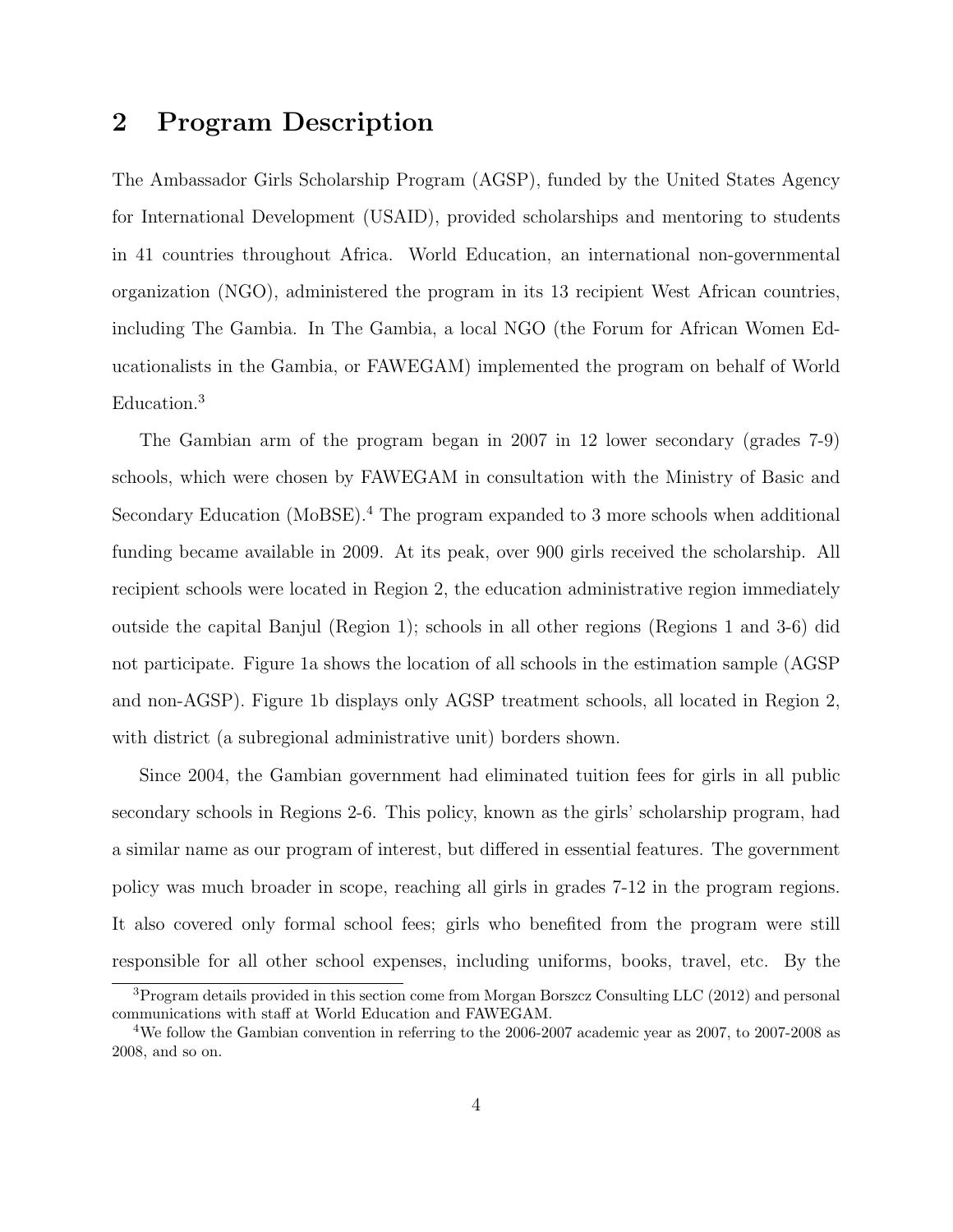### 2 Program Description

The Ambassador Girls Scholarship Program (AGSP), funded by the United States Agency for International Development (USAID), provided scholarships and mentoring to students in 41 countries throughout Africa. World Education, an international non-governmental organization (NGO), administered the program in its 13 recipient West African countries, including The Gambia. In The Gambia, a local NGO (the Forum for African Women Educationalists in the Gambia, or FAWEGAM) implemented the program on behalf of World Education.[3](#page-6-0)

The Gambian arm of the program began in 2007 in 12 lower secondary (grades 7-9) schools, which were chosen by FAWEGAM in consultation with the Ministry of Basic and Secondary Education (MoBSE).[4](#page-6-1) The program expanded to 3 more schools when additional funding became available in 2009. At its peak, over 900 girls received the scholarship. All recipient schools were located in Region 2, the education administrative region immediately outside the capital Banjul (Region 1); schools in all other regions (Regions 1 and 3-6) did not participate. Figure [1a](#page-26-0) shows the location of all schools in the estimation sample (AGSP and non-AGSP). Figure [1b](#page-26-1) displays only AGSP treatment schools, all located in Region 2, with district (a subregional administrative unit) borders shown.

Since 2004, the Gambian government had eliminated tuition fees for girls in all public secondary schools in Regions 2-6. This policy, known as the girls' scholarship program, had a similar name as our program of interest, but differed in essential features. The government policy was much broader in scope, reaching all girls in grades 7-12 in the program regions. It also covered only formal school fees; girls who benefited from the program were still responsible for all other school expenses, including uniforms, books, travel, etc. By the

<span id="page-6-0"></span><sup>3</sup>Program details provided in this section come from Morgan Borszcz Consulting LLC (2012) and personal communications with staff at World Education and FAWEGAM.

<span id="page-6-1"></span><sup>4</sup>We follow the Gambian convention in referring to the 2006-2007 academic year as 2007, to 2007-2008 as 2008, and so on.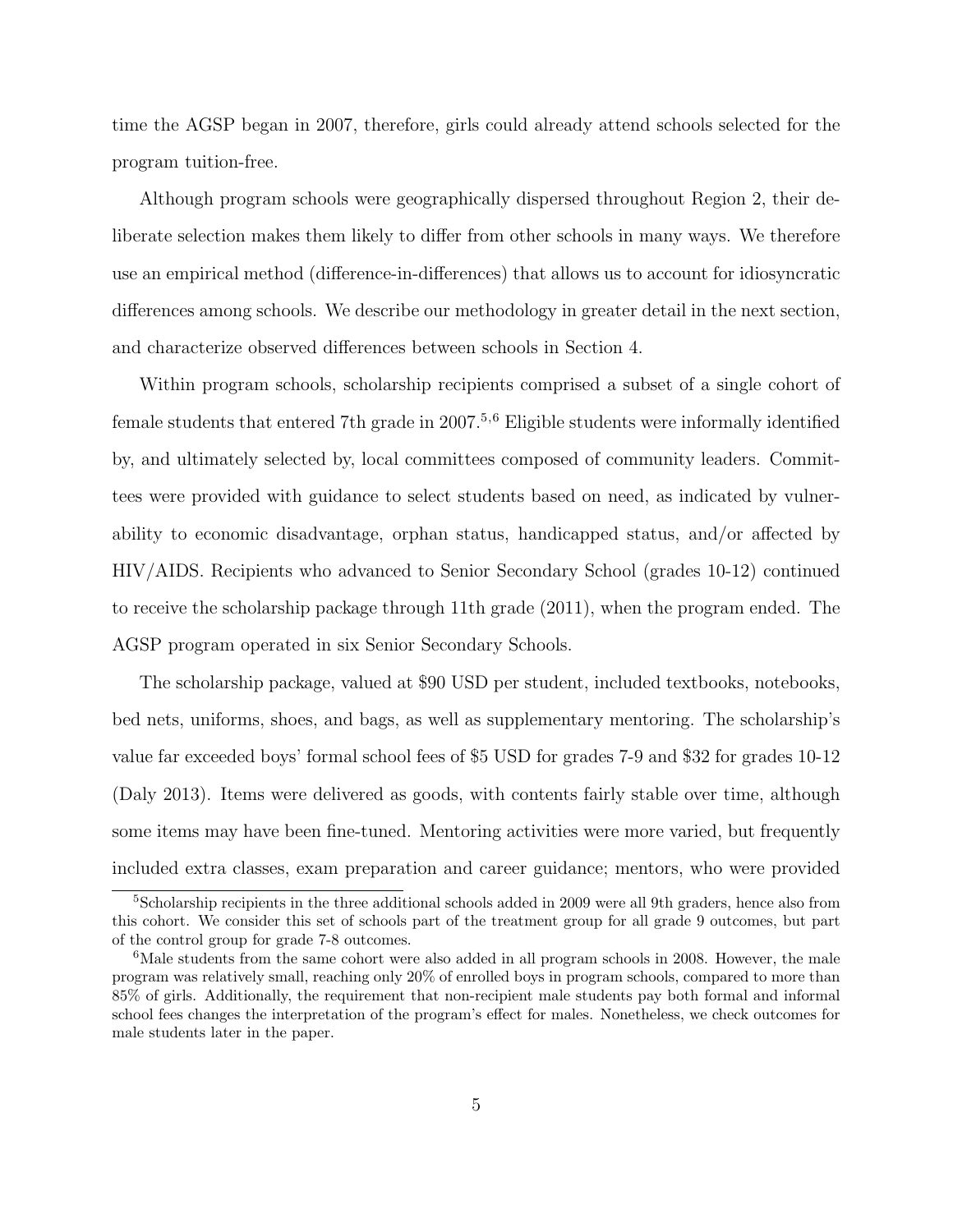time the AGSP began in 2007, therefore, girls could already attend schools selected for the program tuition-free.

Although program schools were geographically dispersed throughout Region 2, their deliberate selection makes them likely to differ from other schools in many ways. We therefore use an empirical method (difference-in-differences) that allows us to account for idiosyncratic differences among schools. We describe our methodology in greater detail in the next section, and characterize observed differences between schools in Section [4.](#page-10-0)

Within program schools, scholarship recipients comprised a subset of a single cohort of female students that entered 7th grade in 2007.<sup>[5](#page-7-0),[6](#page-7-1)</sup> Eligible students were informally identified by, and ultimately selected by, local committees composed of community leaders. Committees were provided with guidance to select students based on need, as indicated by vulnerability to economic disadvantage, orphan status, handicapped status, and/or affected by HIV/AIDS. Recipients who advanced to Senior Secondary School (grades 10-12) continued to receive the scholarship package through 11th grade (2011), when the program ended. The AGSP program operated in six Senior Secondary Schools.

The scholarship package, valued at \$90 USD per student, included textbooks, notebooks, bed nets, uniforms, shoes, and bags, as well as supplementary mentoring. The scholarship's value far exceeded boys' formal school fees of \$5 USD for grades 7-9 and \$32 for grades 10-12 (Daly 2013). Items were delivered as goods, with contents fairly stable over time, although some items may have been fine-tuned. Mentoring activities were more varied, but frequently included extra classes, exam preparation and career guidance; mentors, who were provided

<span id="page-7-0"></span><sup>&</sup>lt;sup>5</sup>Scholarship recipients in the three additional schools added in 2009 were all 9th graders, hence also from this cohort. We consider this set of schools part of the treatment group for all grade 9 outcomes, but part of the control group for grade 7-8 outcomes.

<span id="page-7-1"></span><sup>&</sup>lt;sup>6</sup>Male students from the same cohort were also added in all program schools in 2008. However, the male program was relatively small, reaching only 20% of enrolled boys in program schools, compared to more than 85% of girls. Additionally, the requirement that non-recipient male students pay both formal and informal school fees changes the interpretation of the program's effect for males. Nonetheless, we check outcomes for male students later in the paper.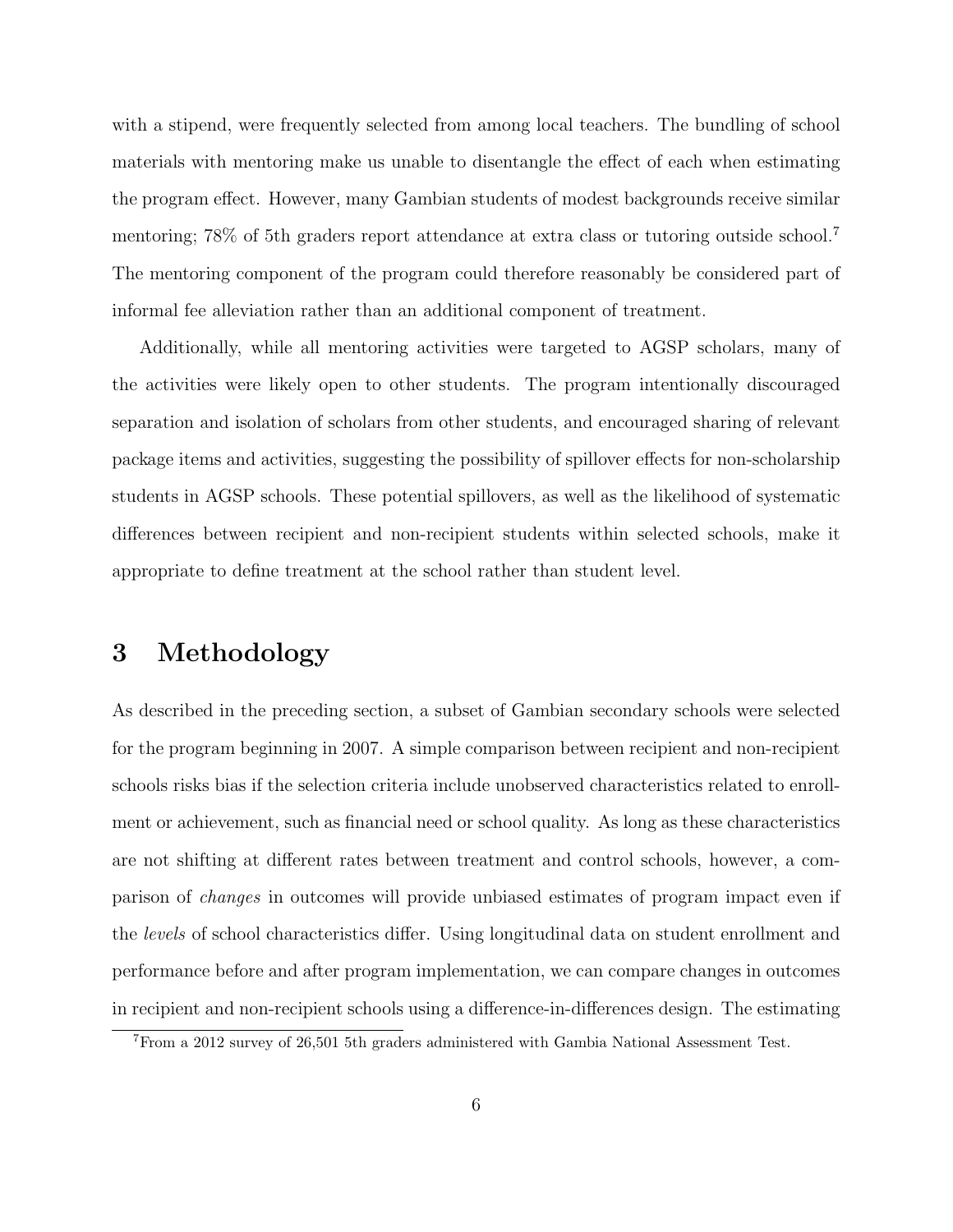with a stipend, were frequently selected from among local teachers. The bundling of school materials with mentoring make us unable to disentangle the effect of each when estimating the program effect. However, many Gambian students of modest backgrounds receive similar mentoring; 78% of 5th graders report attendance at extra class or tutoring outside school.[7](#page-8-0) The mentoring component of the program could therefore reasonably be considered part of informal fee alleviation rather than an additional component of treatment.

Additionally, while all mentoring activities were targeted to AGSP scholars, many of the activities were likely open to other students. The program intentionally discouraged separation and isolation of scholars from other students, and encouraged sharing of relevant package items and activities, suggesting the possibility of spillover effects for non-scholarship students in AGSP schools. These potential spillovers, as well as the likelihood of systematic differences between recipient and non-recipient students within selected schools, make it appropriate to define treatment at the school rather than student level.

### 3 Methodology

As described in the preceding section, a subset of Gambian secondary schools were selected for the program beginning in 2007. A simple comparison between recipient and non-recipient schools risks bias if the selection criteria include unobserved characteristics related to enrollment or achievement, such as financial need or school quality. As long as these characteristics are not shifting at different rates between treatment and control schools, however, a comparison of changes in outcomes will provide unbiased estimates of program impact even if the levels of school characteristics differ. Using longitudinal data on student enrollment and performance before and after program implementation, we can compare changes in outcomes in recipient and non-recipient schools using a difference-in-differences design. The estimating

<span id="page-8-0"></span><sup>7</sup>From a 2012 survey of 26,501 5th graders administered with Gambia National Assessment Test.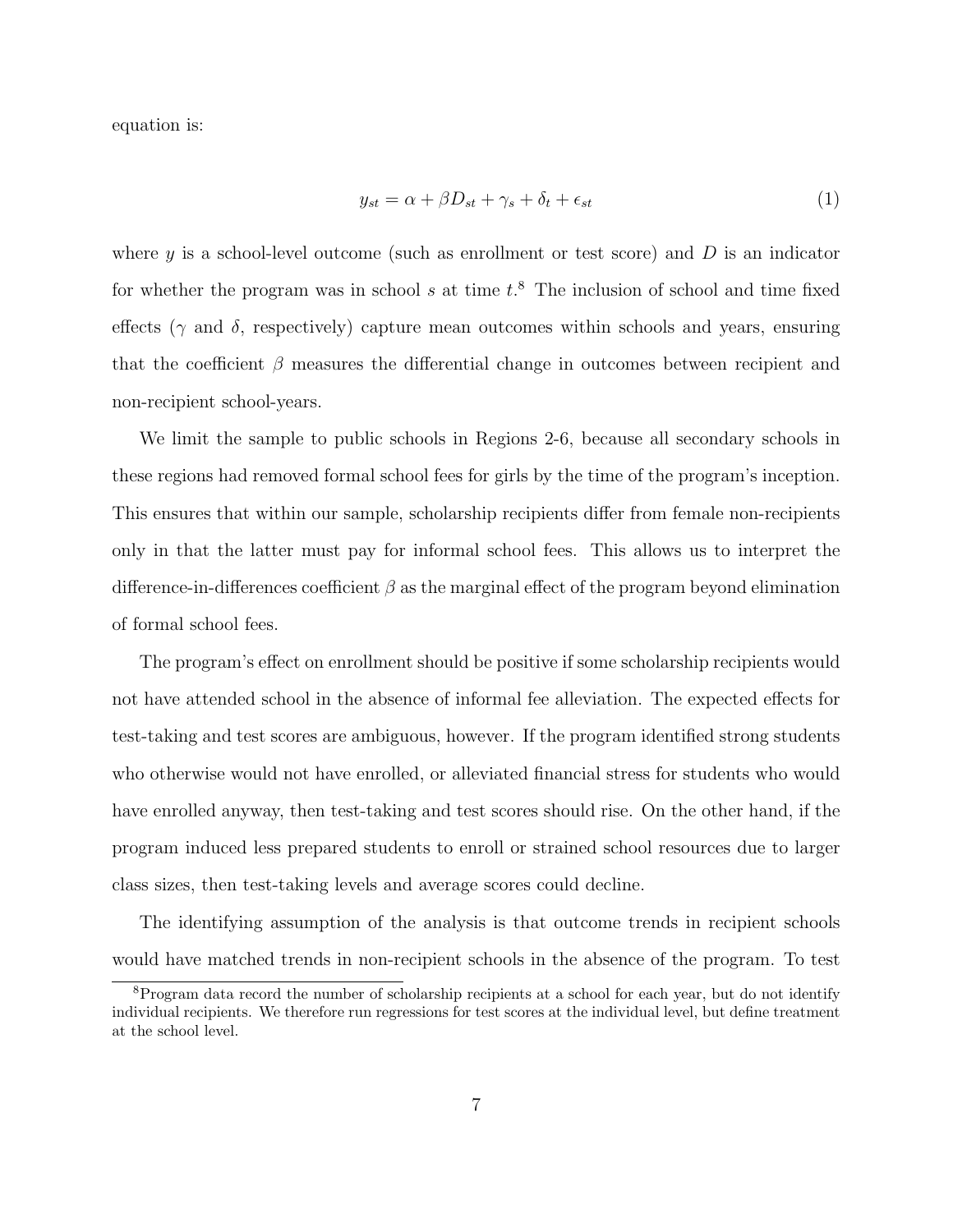equation is:

<span id="page-9-1"></span>
$$
y_{st} = \alpha + \beta D_{st} + \gamma_s + \delta_t + \epsilon_{st} \tag{1}
$$

where  $\gamma$  is a school-level outcome (such as enrollment or test score) and  $D$  is an indicator for whether the program was in school  $s$  at time  $t$ <sup>[8](#page-9-0)</sup>. The inclusion of school and time fixed effects ( $\gamma$  and  $\delta$ , respectively) capture mean outcomes within schools and years, ensuring that the coefficient  $\beta$  measures the differential change in outcomes between recipient and non-recipient school-years.

We limit the sample to public schools in Regions 2-6, because all secondary schools in these regions had removed formal school fees for girls by the time of the program's inception. This ensures that within our sample, scholarship recipients differ from female non-recipients only in that the latter must pay for informal school fees. This allows us to interpret the difference-in-differences coefficient  $\beta$  as the marginal effect of the program beyond elimination of formal school fees.

The program's effect on enrollment should be positive if some scholarship recipients would not have attended school in the absence of informal fee alleviation. The expected effects for test-taking and test scores are ambiguous, however. If the program identified strong students who otherwise would not have enrolled, or alleviated financial stress for students who would have enrolled anyway, then test-taking and test scores should rise. On the other hand, if the program induced less prepared students to enroll or strained school resources due to larger class sizes, then test-taking levels and average scores could decline.

The identifying assumption of the analysis is that outcome trends in recipient schools would have matched trends in non-recipient schools in the absence of the program. To test

<span id="page-9-0"></span><sup>&</sup>lt;sup>8</sup>Program data record the number of scholarship recipients at a school for each year, but do not identify individual recipients. We therefore run regressions for test scores at the individual level, but define treatment at the school level.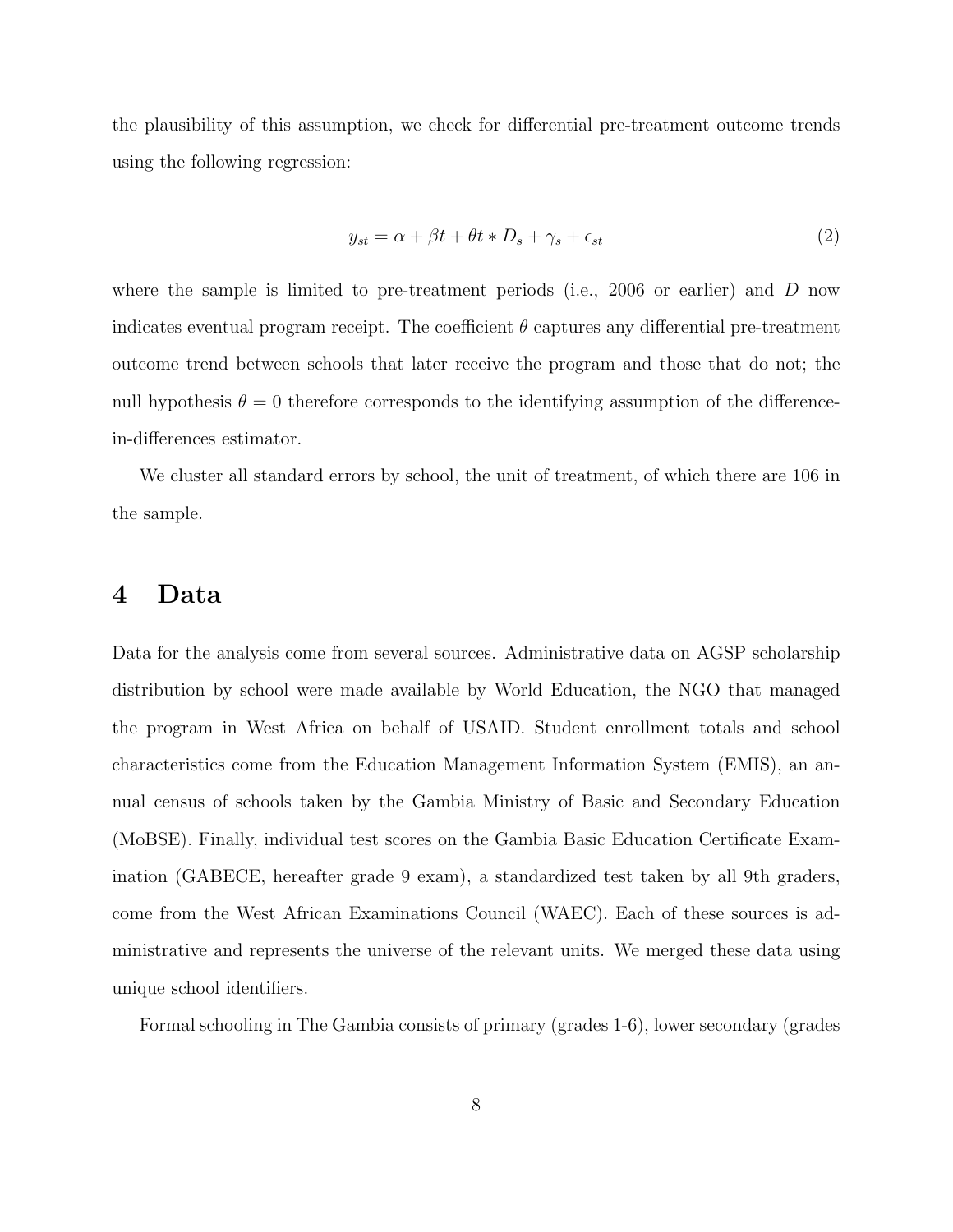the plausibility of this assumption, we check for differential pre-treatment outcome trends using the following regression:

<span id="page-10-1"></span>
$$
y_{st} = \alpha + \beta t + \theta t * D_s + \gamma_s + \epsilon_{st} \tag{2}
$$

where the sample is limited to pre-treatment periods (i.e., 2006 or earlier) and  $D$  now indicates eventual program receipt. The coefficient  $\theta$  captures any differential pre-treatment outcome trend between schools that later receive the program and those that do not; the null hypothesis  $\theta = 0$  therefore corresponds to the identifying assumption of the differencein-differences estimator.

We cluster all standard errors by school, the unit of treatment, of which there are 106 in the sample.

### <span id="page-10-0"></span>4 Data

Data for the analysis come from several sources. Administrative data on AGSP scholarship distribution by school were made available by World Education, the NGO that managed the program in West Africa on behalf of USAID. Student enrollment totals and school characteristics come from the Education Management Information System (EMIS), an annual census of schools taken by the Gambia Ministry of Basic and Secondary Education (MoBSE). Finally, individual test scores on the Gambia Basic Education Certificate Examination (GABECE, hereafter grade 9 exam), a standardized test taken by all 9th graders, come from the West African Examinations Council (WAEC). Each of these sources is administrative and represents the universe of the relevant units. We merged these data using unique school identifiers.

Formal schooling in The Gambia consists of primary (grades 1-6), lower secondary (grades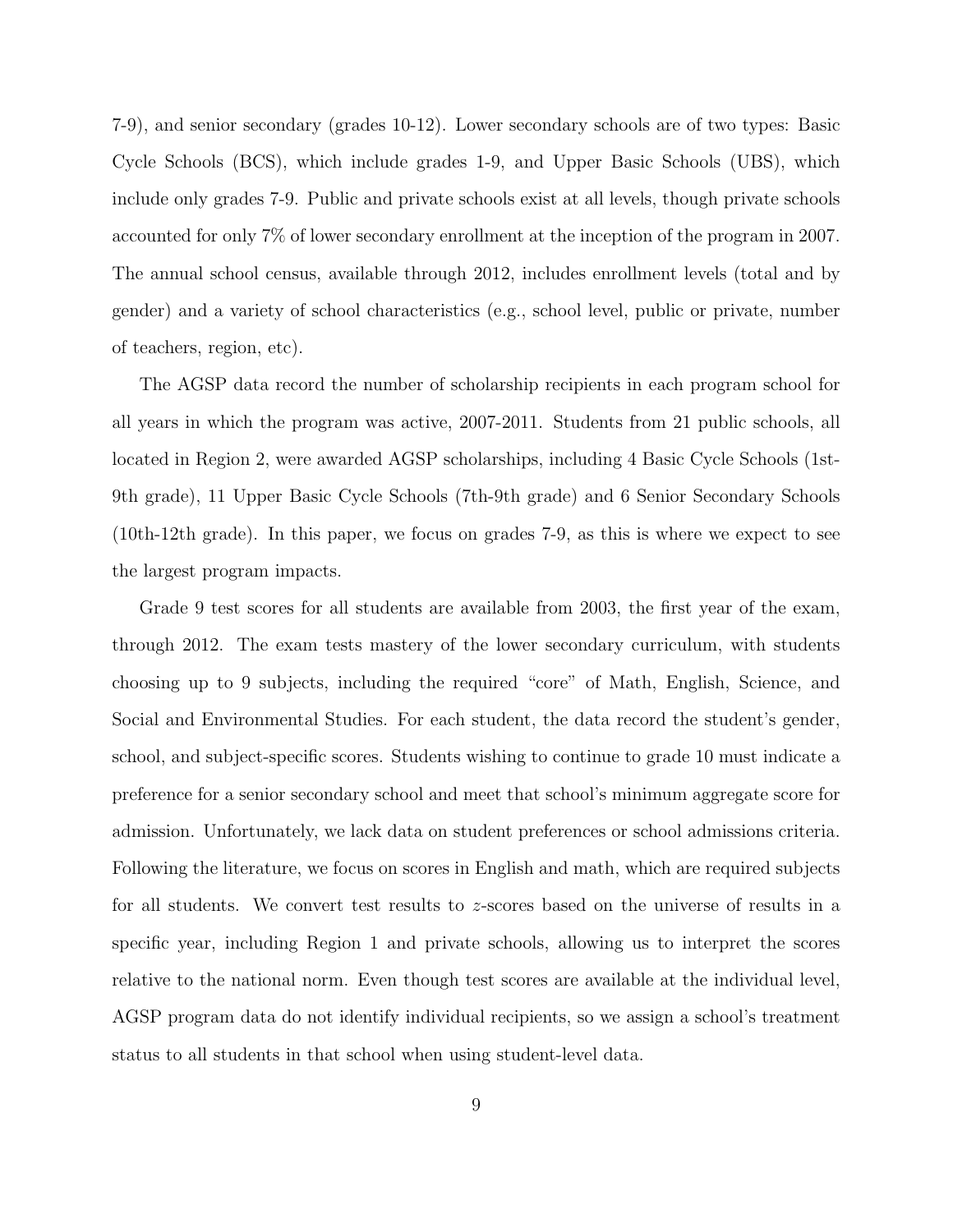7-9), and senior secondary (grades 10-12). Lower secondary schools are of two types: Basic Cycle Schools (BCS), which include grades 1-9, and Upper Basic Schools (UBS), which include only grades 7-9. Public and private schools exist at all levels, though private schools accounted for only 7% of lower secondary enrollment at the inception of the program in 2007. The annual school census, available through 2012, includes enrollment levels (total and by gender) and a variety of school characteristics (e.g., school level, public or private, number of teachers, region, etc).

The AGSP data record the number of scholarship recipients in each program school for all years in which the program was active, 2007-2011. Students from 21 public schools, all located in Region 2, were awarded AGSP scholarships, including 4 Basic Cycle Schools (1st-9th grade), 11 Upper Basic Cycle Schools (7th-9th grade) and 6 Senior Secondary Schools (10th-12th grade). In this paper, we focus on grades 7-9, as this is where we expect to see the largest program impacts.

Grade 9 test scores for all students are available from 2003, the first year of the exam, through 2012. The exam tests mastery of the lower secondary curriculum, with students choosing up to 9 subjects, including the required "core" of Math, English, Science, and Social and Environmental Studies. For each student, the data record the student's gender, school, and subject-specific scores. Students wishing to continue to grade 10 must indicate a preference for a senior secondary school and meet that school's minimum aggregate score for admission. Unfortunately, we lack data on student preferences or school admissions criteria. Following the literature, we focus on scores in English and math, which are required subjects for all students. We convert test results to z-scores based on the universe of results in a specific year, including Region 1 and private schools, allowing us to interpret the scores relative to the national norm. Even though test scores are available at the individual level, AGSP program data do not identify individual recipients, so we assign a school's treatment status to all students in that school when using student-level data.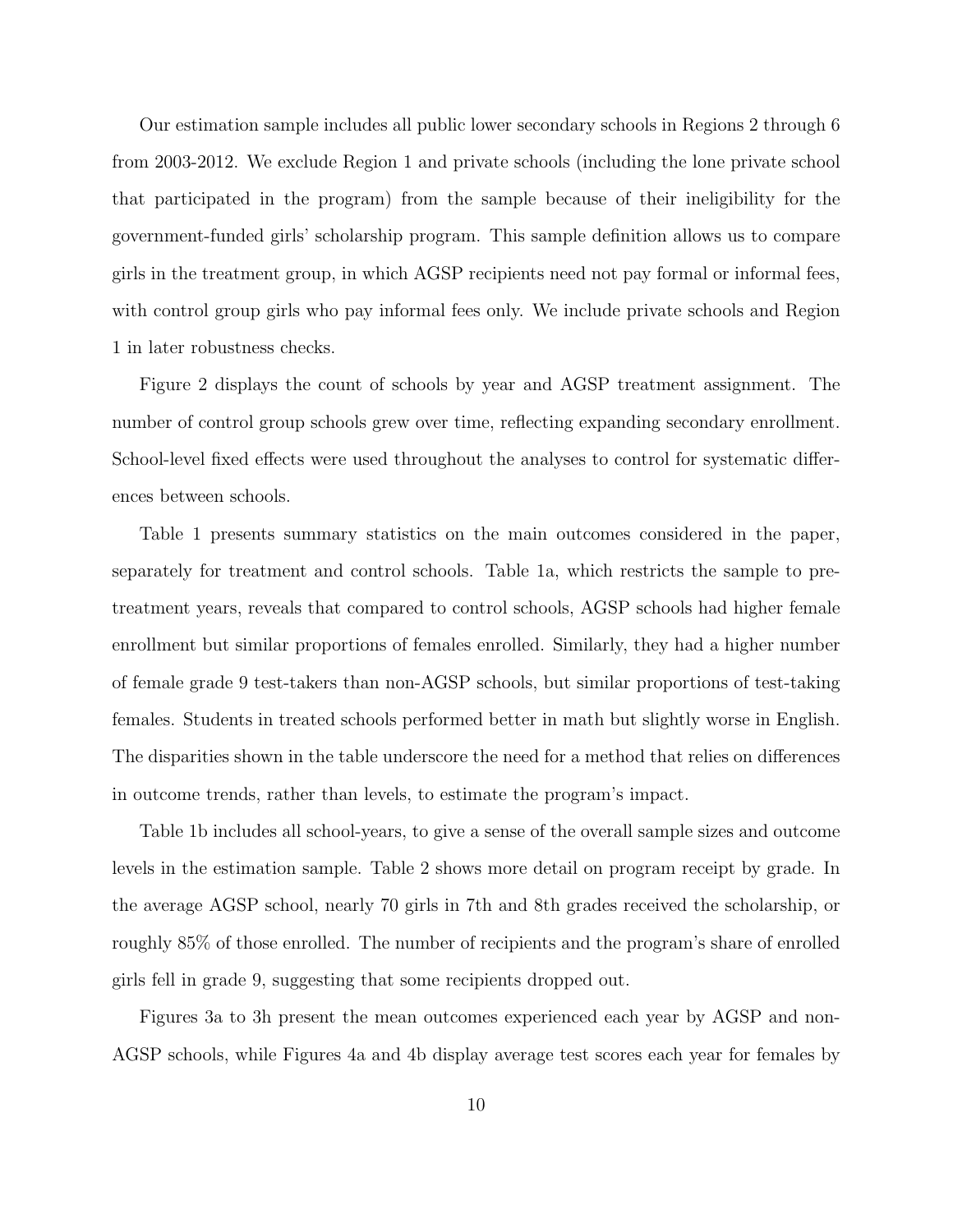Our estimation sample includes all public lower secondary schools in Regions 2 through 6 from 2003-2012. We exclude Region 1 and private schools (including the lone private school that participated in the program) from the sample because of their ineligibility for the government-funded girls' scholarship program. This sample definition allows us to compare girls in the treatment group, in which AGSP recipients need not pay formal or informal fees, with control group girls who pay informal fees only. We include private schools and Region 1 in later robustness checks.

Figure [2](#page-27-0) displays the count of schools by year and AGSP treatment assignment. The number of control group schools grew over time, reflecting expanding secondary enrollment. School-level fixed effects were used throughout the analyses to control for systematic differences between schools.

Table [1](#page-30-0) presents summary statistics on the main outcomes considered in the paper, separately for treatment and control schools. Table [1a,](#page-30-1) which restricts the sample to pretreatment years, reveals that compared to control schools, AGSP schools had higher female enrollment but similar proportions of females enrolled. Similarly, they had a higher number of female grade 9 test-takers than non-AGSP schools, but similar proportions of test-taking females. Students in treated schools performed better in math but slightly worse in English. The disparities shown in the table underscore the need for a method that relies on differences in outcome trends, rather than levels, to estimate the program's impact.

Table [1b](#page-30-2) includes all school-years, to give a sense of the overall sample sizes and outcome levels in the estimation sample. Table [2](#page-31-0) shows more detail on program receipt by grade. In the average AGSP school, nearly 70 girls in 7th and 8th grades received the scholarship, or roughly 85% of those enrolled. The number of recipients and the program's share of enrolled girls fell in grade 9, suggesting that some recipients dropped out.

Figures [3a](#page-28-0) to [3h](#page-28-1) present the mean outcomes experienced each year by AGSP and non-AGSP schools, while Figures [4a](#page-29-0) and [4b](#page-29-1) display average test scores each year for females by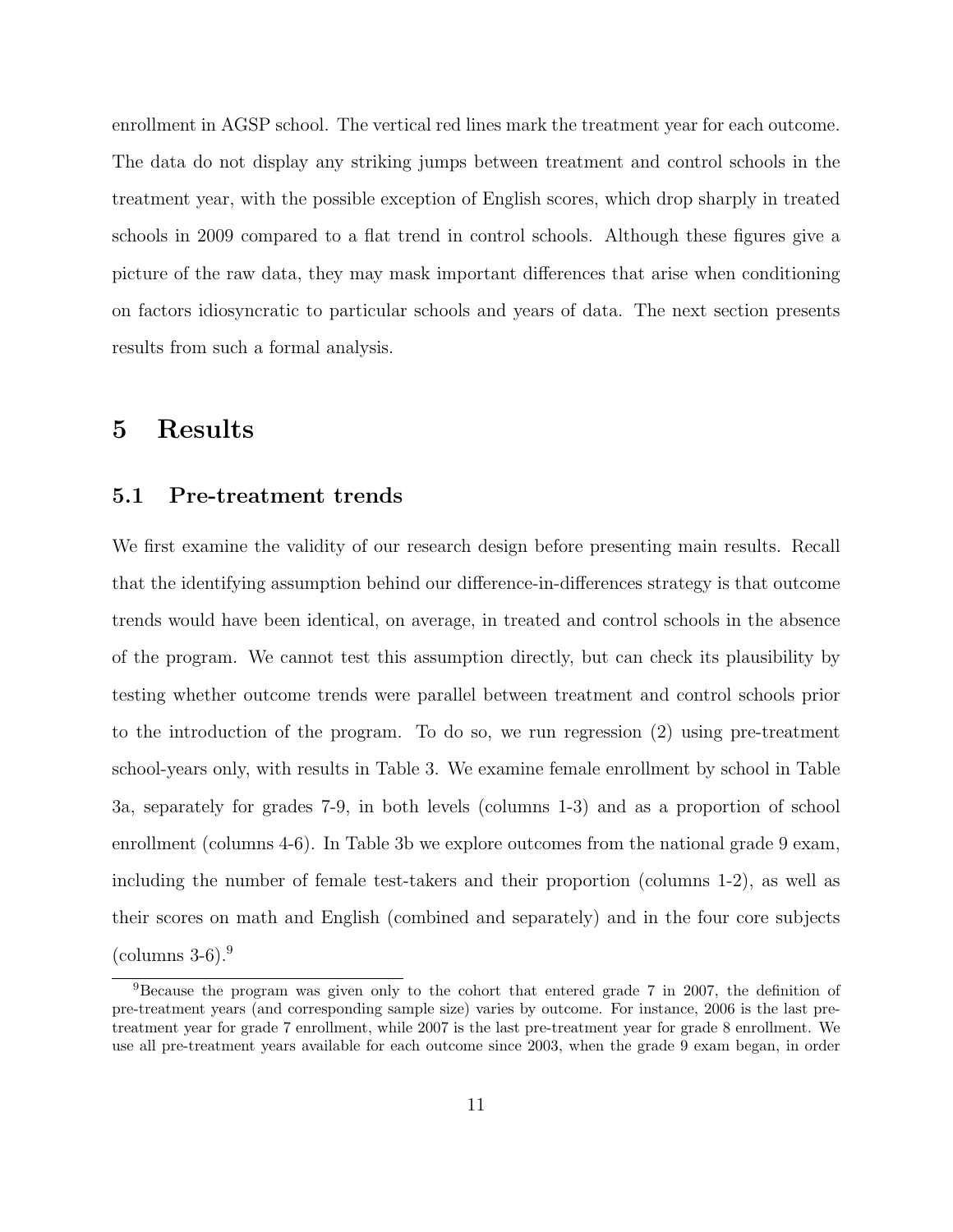enrollment in AGSP school. The vertical red lines mark the treatment year for each outcome. The data do not display any striking jumps between treatment and control schools in the treatment year, with the possible exception of English scores, which drop sharply in treated schools in 2009 compared to a flat trend in control schools. Although these figures give a picture of the raw data, they may mask important differences that arise when conditioning on factors idiosyncratic to particular schools and years of data. The next section presents results from such a formal analysis.

### 5 Results

#### 5.1 Pre-treatment trends

We first examine the validity of our research design before presenting main results. Recall that the identifying assumption behind our difference-in-differences strategy is that outcome trends would have been identical, on average, in treated and control schools in the absence of the program. We cannot test this assumption directly, but can check its plausibility by testing whether outcome trends were parallel between treatment and control schools prior to the introduction of the program. To do so, we run regression [\(2\)](#page-10-1) using pre-treatment school-years only, with results in Table [3.](#page-32-0) We examine female enrollment by school in Table [3a,](#page-32-1) separately for grades 7-9, in both levels (columns 1-3) and as a proportion of school enrollment (columns 4-6). In Table [3b](#page-32-2) we explore outcomes from the national grade 9 exam, including the number of female test-takers and their proportion (columns 1-2), as well as their scores on math and English (combined and separately) and in the four core subjects  $(columns 3-6).<sup>9</sup>$  $(columns 3-6).<sup>9</sup>$  $(columns 3-6).<sup>9</sup>$ 

<span id="page-13-0"></span><sup>9</sup>Because the program was given only to the cohort that entered grade 7 in 2007, the definition of pre-treatment years (and corresponding sample size) varies by outcome. For instance, 2006 is the last pretreatment year for grade 7 enrollment, while 2007 is the last pre-treatment year for grade 8 enrollment. We use all pre-treatment years available for each outcome since 2003, when the grade 9 exam began, in order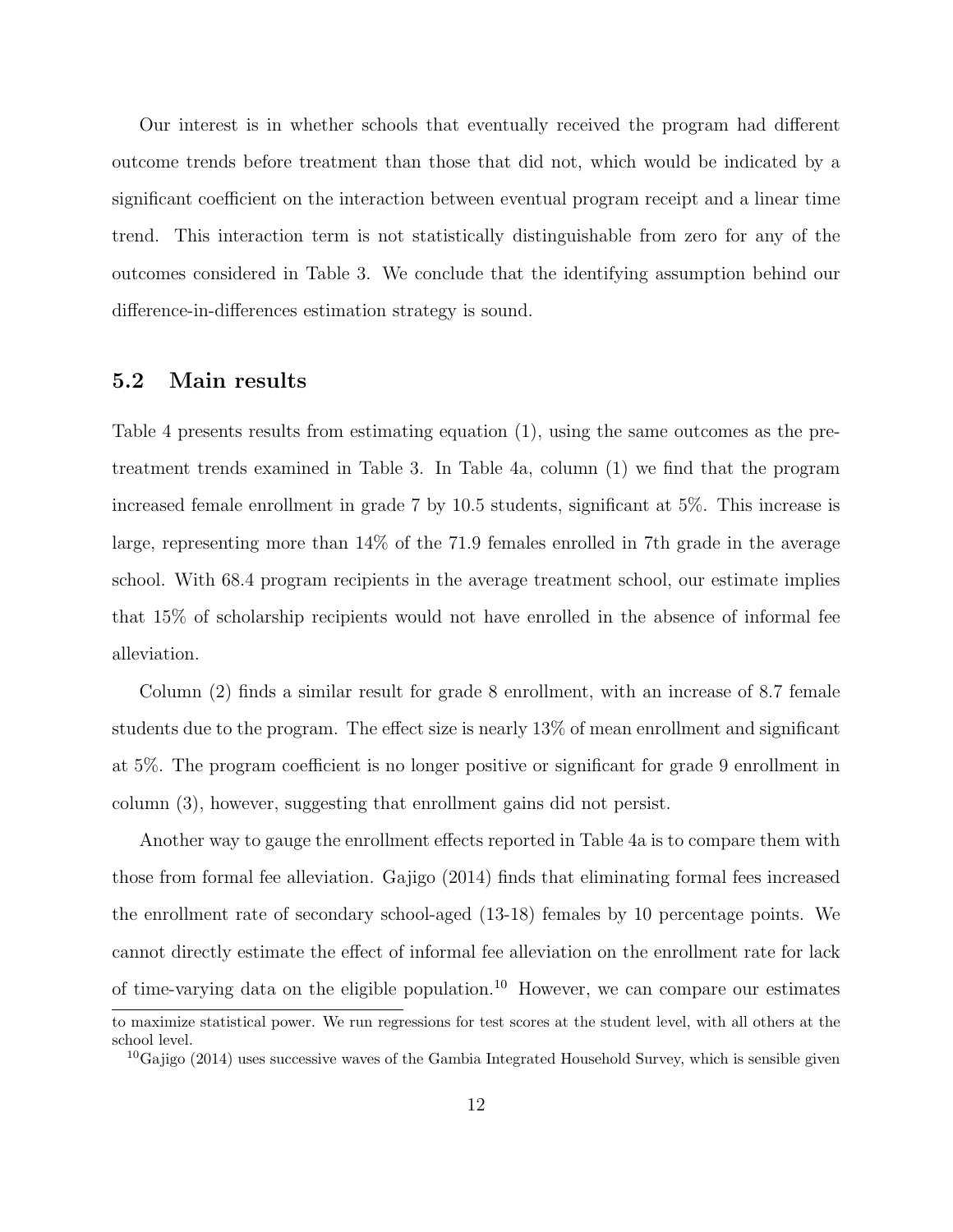Our interest is in whether schools that eventually received the program had different outcome trends before treatment than those that did not, which would be indicated by a significant coefficient on the interaction between eventual program receipt and a linear time trend. This interaction term is not statistically distinguishable from zero for any of the outcomes considered in Table [3.](#page-32-0) We conclude that the identifying assumption behind our difference-in-differences estimation strategy is sound.

### 5.2 Main results

Table [4](#page-33-0) presents results from estimating equation [\(1\)](#page-9-1), using the same outcomes as the pretreatment trends examined in Table [3.](#page-32-0) In Table [4a,](#page-33-1) column (1) we find that the program increased female enrollment in grade 7 by 10.5 students, significant at 5%. This increase is large, representing more than 14% of the 71.9 females enrolled in 7th grade in the average school. With 68.4 program recipients in the average treatment school, our estimate implies that 15% of scholarship recipients would not have enrolled in the absence of informal fee alleviation.

Column (2) finds a similar result for grade 8 enrollment, with an increase of 8.7 female students due to the program. The effect size is nearly 13% of mean enrollment and significant at 5%. The program coefficient is no longer positive or significant for grade 9 enrollment in column (3), however, suggesting that enrollment gains did not persist.

Another way to gauge the enrollment effects reported in Table [4a](#page-33-1) is to compare them with those from formal fee alleviation. Gajigo (2014) finds that eliminating formal fees increased the enrollment rate of secondary school-aged (13-18) females by 10 percentage points. We cannot directly estimate the effect of informal fee alleviation on the enrollment rate for lack of time-varying data on the eligible population.<sup>[10](#page-14-0)</sup> However, we can compare our estimates to maximize statistical power. We run regressions for test scores at the student level, with all others at the school level.

<span id="page-14-0"></span> ${}^{10}Ga$  jigo (2014) uses successive waves of the Gambia Integrated Household Survey, which is sensible given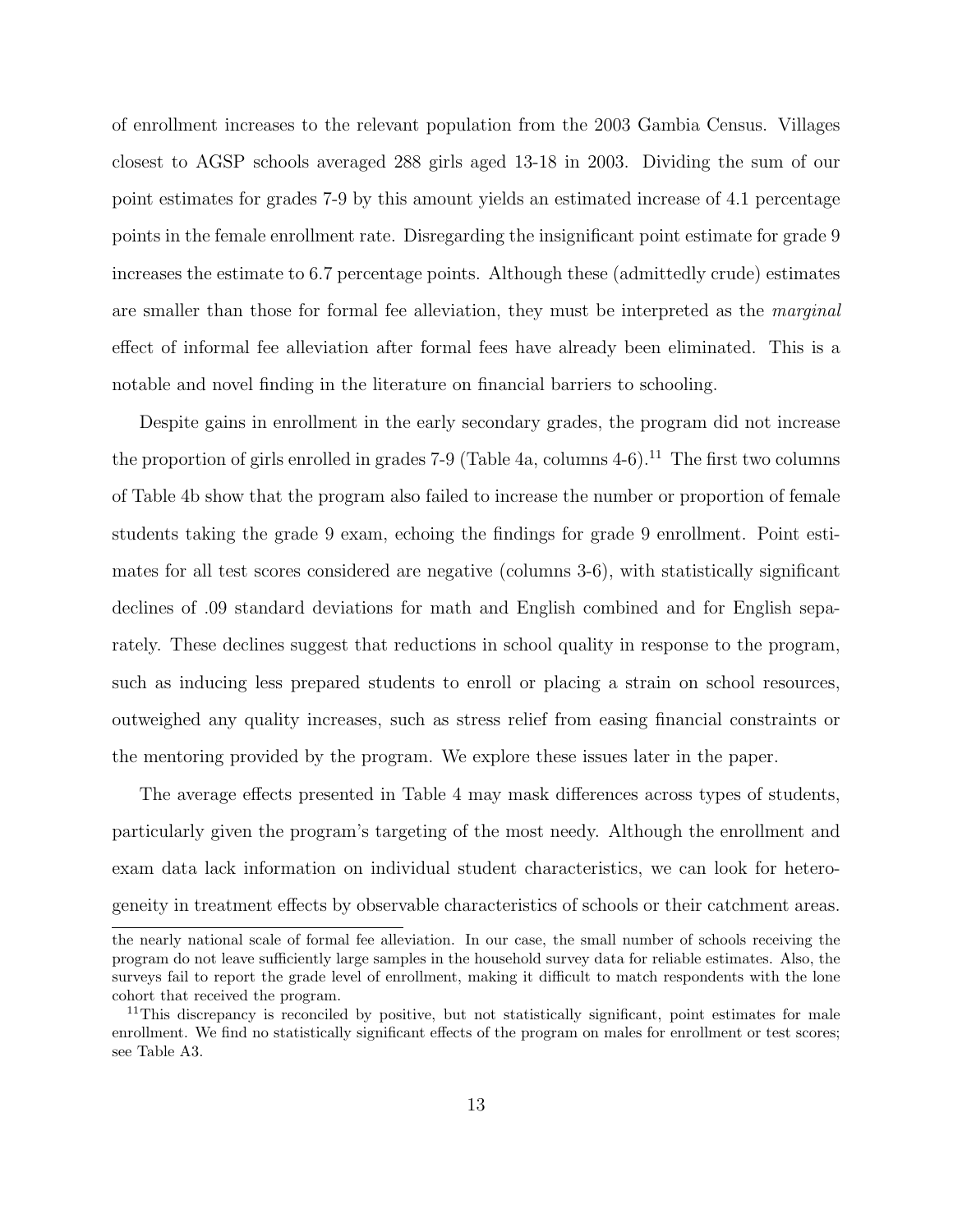of enrollment increases to the relevant population from the 2003 Gambia Census. Villages closest to AGSP schools averaged 288 girls aged 13-18 in 2003. Dividing the sum of our point estimates for grades 7-9 by this amount yields an estimated increase of 4.1 percentage points in the female enrollment rate. Disregarding the insignificant point estimate for grade 9 increases the estimate to 6.7 percentage points. Although these (admittedly crude) estimates are smaller than those for formal fee alleviation, they must be interpreted as the marginal effect of informal fee alleviation after formal fees have already been eliminated. This is a notable and novel finding in the literature on financial barriers to schooling.

Despite gains in enrollment in the early secondary grades, the program did not increase the proportion of girls enrolled in grades 7-9 (Table [4a,](#page-33-1) columns  $4-6$ ).<sup>[11](#page-15-0)</sup> The first two columns of Table [4b](#page-33-0) show that the program also failed to increase the number or proportion of female students taking the grade 9 exam, echoing the findings for grade 9 enrollment. Point estimates for all test scores considered are negative (columns 3-6), with statistically significant declines of .09 standard deviations for math and English combined and for English separately. These declines suggest that reductions in school quality in response to the program, such as inducing less prepared students to enroll or placing a strain on school resources, outweighed any quality increases, such as stress relief from easing financial constraints or the mentoring provided by the program. We explore these issues later in the paper.

The average effects presented in Table [4](#page-33-0) may mask differences across types of students, particularly given the program's targeting of the most needy. Although the enrollment and exam data lack information on individual student characteristics, we can look for heterogeneity in treatment effects by observable characteristics of schools or their catchment areas.

the nearly national scale of formal fee alleviation. In our case, the small number of schools receiving the program do not leave sufficiently large samples in the household survey data for reliable estimates. Also, the surveys fail to report the grade level of enrollment, making it difficult to match respondents with the lone cohort that received the program.

<span id="page-15-0"></span><sup>&</sup>lt;sup>11</sup>This discrepancy is reconciled by positive, but not statistically significant, point estimates for male enrollment. We find no statistically significant effects of the program on males for enrollment or test scores; see Table [A3.](#page-41-0)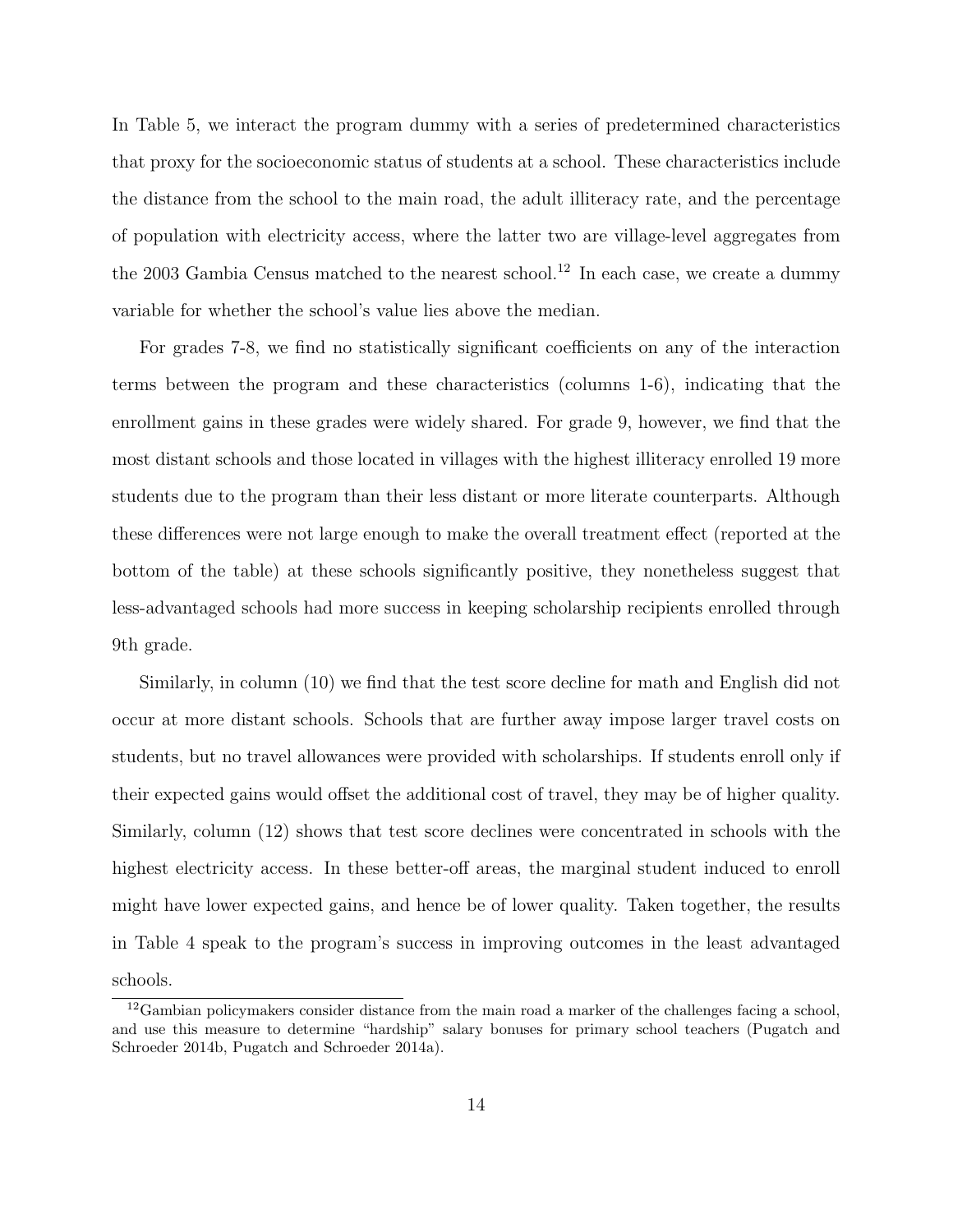In Table [5,](#page-34-0) we interact the program dummy with a series of predetermined characteristics that proxy for the socioeconomic status of students at a school. These characteristics include the distance from the school to the main road, the adult illiteracy rate, and the percentage of population with electricity access, where the latter two are village-level aggregates from the 2003 Gambia Census matched to the nearest school.<sup>[12](#page-16-0)</sup> In each case, we create a dummy variable for whether the school's value lies above the median.

For grades 7-8, we find no statistically significant coefficients on any of the interaction terms between the program and these characteristics (columns 1-6), indicating that the enrollment gains in these grades were widely shared. For grade 9, however, we find that the most distant schools and those located in villages with the highest illiteracy enrolled 19 more students due to the program than their less distant or more literate counterparts. Although these differences were not large enough to make the overall treatment effect (reported at the bottom of the table) at these schools significantly positive, they nonetheless suggest that less-advantaged schools had more success in keeping scholarship recipients enrolled through 9th grade.

Similarly, in column (10) we find that the test score decline for math and English did not occur at more distant schools. Schools that are further away impose larger travel costs on students, but no travel allowances were provided with scholarships. If students enroll only if their expected gains would offset the additional cost of travel, they may be of higher quality. Similarly, column (12) shows that test score declines were concentrated in schools with the highest electricity access. In these better-off areas, the marginal student induced to enroll might have lower expected gains, and hence be of lower quality. Taken together, the results in Table [4](#page-33-0) speak to the program's success in improving outcomes in the least advantaged schools.

<span id="page-16-0"></span><sup>12</sup>Gambian policymakers consider distance from the main road a marker of the challenges facing a school, and use this measure to determine "hardship" salary bonuses for primary school teachers (Pugatch and Schroeder 2014b, Pugatch and Schroeder 2014a).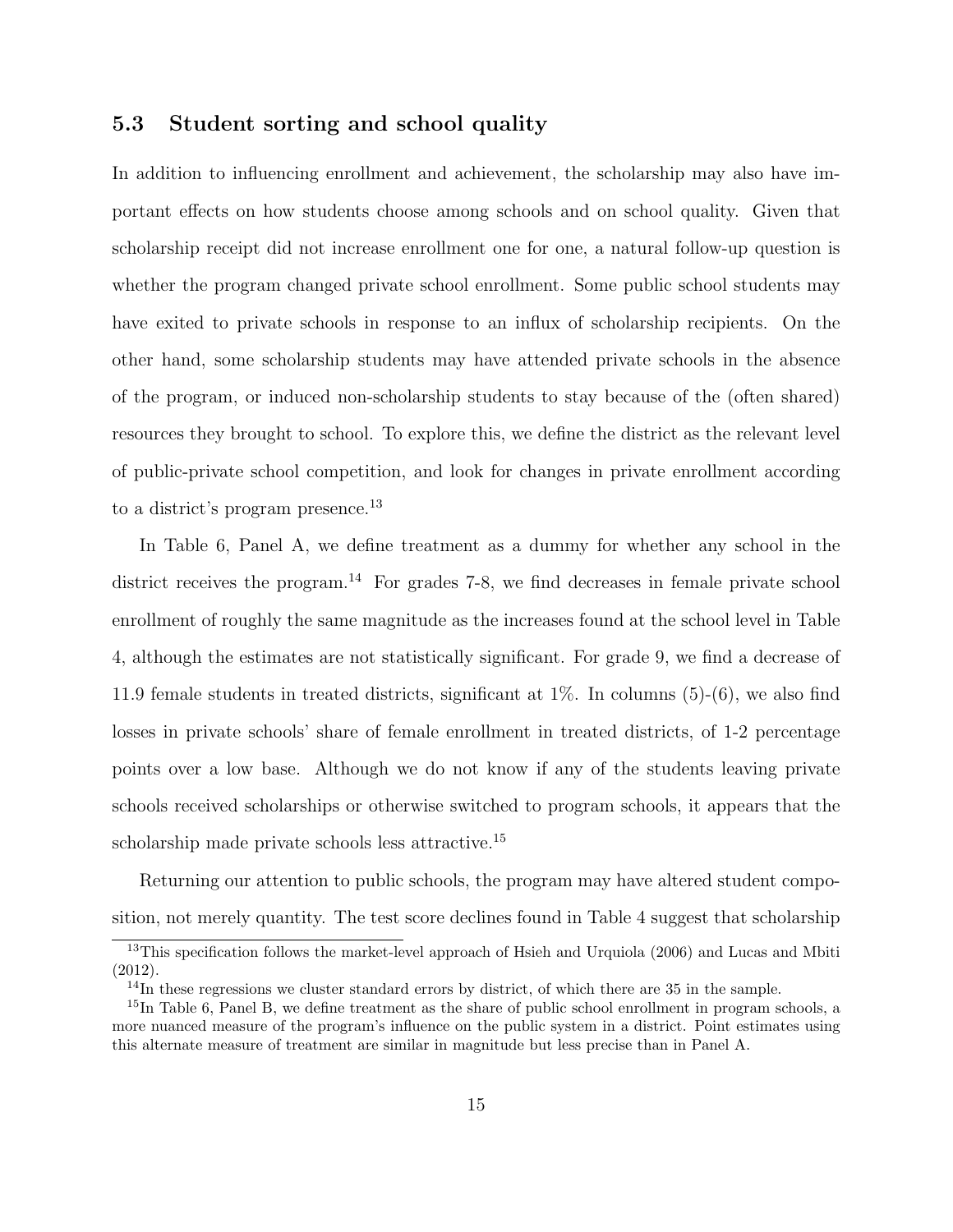### 5.3 Student sorting and school quality

In addition to influencing enrollment and achievement, the scholarship may also have important effects on how students choose among schools and on school quality. Given that scholarship receipt did not increase enrollment one for one, a natural follow-up question is whether the program changed private school enrollment. Some public school students may have exited to private schools in response to an influx of scholarship recipients. On the other hand, some scholarship students may have attended private schools in the absence of the program, or induced non-scholarship students to stay because of the (often shared) resources they brought to school. To explore this, we define the district as the relevant level of public-private school competition, and look for changes in private enrollment according to a district's program presence.<sup>[13](#page-17-0)</sup>

In Table [6,](#page-35-0) Panel A, we define treatment as a dummy for whether any school in the district receives the program.<sup>[14](#page-17-1)</sup> For grades 7-8, we find decreases in female private school enrollment of roughly the same magnitude as the increases found at the school level in Table [4,](#page-33-0) although the estimates are not statistically significant. For grade 9, we find a decrease of 11.9 female students in treated districts, significant at  $1\%$ . In columns  $(5)-(6)$ , we also find losses in private schools' share of female enrollment in treated districts, of 1-2 percentage points over a low base. Although we do not know if any of the students leaving private schools received scholarships or otherwise switched to program schools, it appears that the scholarship made private schools less attractive.<sup>[15](#page-17-2)</sup>

Returning our attention to public schools, the program may have altered student composition, not merely quantity. The test score declines found in Table [4](#page-33-0) suggest that scholarship

<span id="page-17-0"></span><sup>&</sup>lt;sup>13</sup>This specification follows the market-level approach of Hsieh and Urquiola (2006) and Lucas and Mbiti (2012).

<span id="page-17-2"></span><span id="page-17-1"></span> $14$ In these regressions we cluster standard errors by district, of which there are 35 in the sample.

<sup>&</sup>lt;sup>15</sup>In Table [6,](#page-35-0) Panel B, we define treatment as the share of public school enrollment in program schools, a more nuanced measure of the program's influence on the public system in a district. Point estimates using this alternate measure of treatment are similar in magnitude but less precise than in Panel A.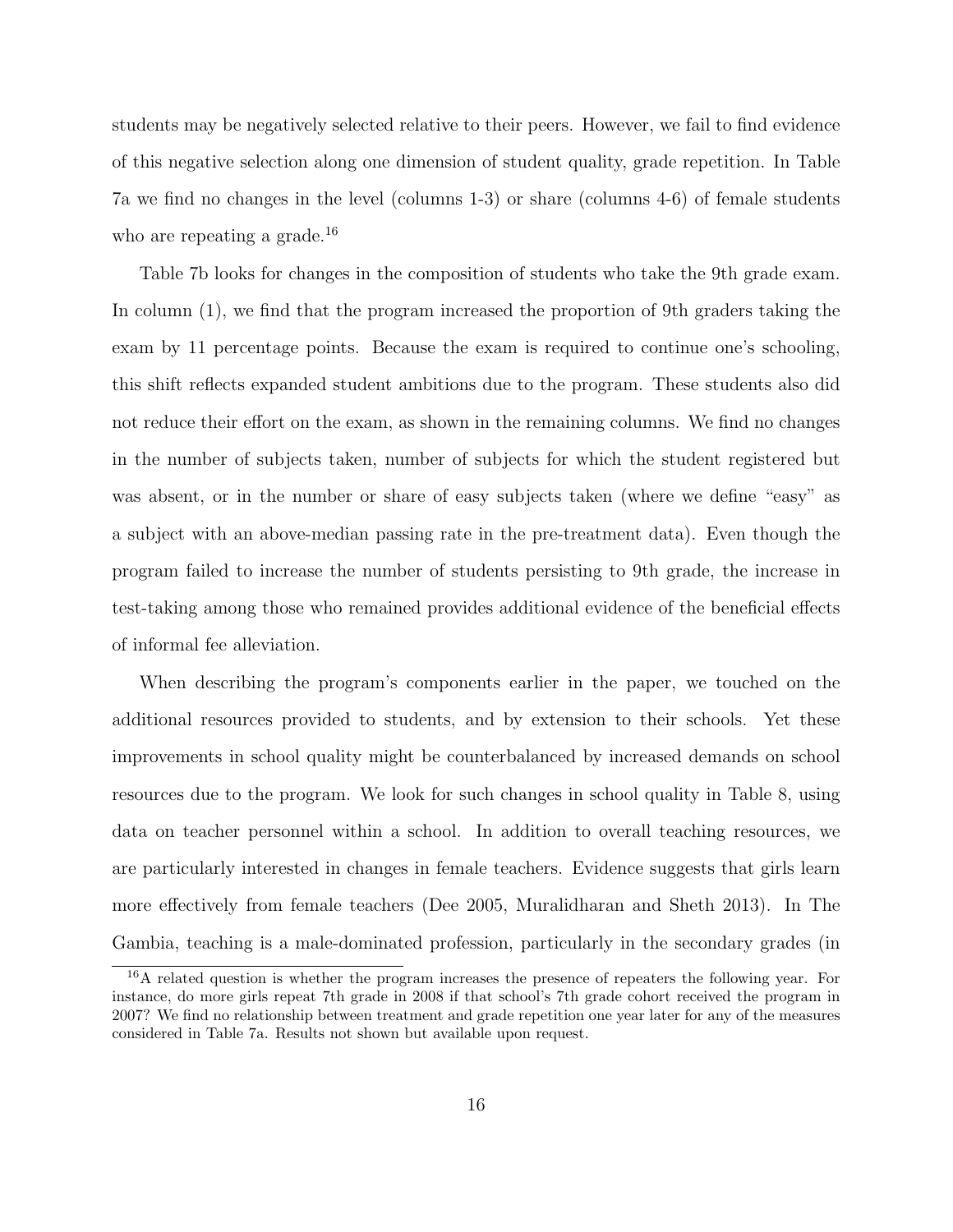students may be negatively selected relative to their peers. However, we fail to find evidence of this negative selection along one dimension of student quality, grade repetition. In Table [7a](#page-36-0) we find no changes in the level (columns 1-3) or share (columns 4-6) of female students who are repeating a grade.<sup>[16](#page-18-0)</sup>

Table [7b](#page-36-1) looks for changes in the composition of students who take the 9th grade exam. In column (1), we find that the program increased the proportion of 9th graders taking the exam by 11 percentage points. Because the exam is required to continue one's schooling, this shift reflects expanded student ambitions due to the program. These students also did not reduce their effort on the exam, as shown in the remaining columns. We find no changes in the number of subjects taken, number of subjects for which the student registered but was absent, or in the number or share of easy subjects taken (where we define "easy" as a subject with an above-median passing rate in the pre-treatment data). Even though the program failed to increase the number of students persisting to 9th grade, the increase in test-taking among those who remained provides additional evidence of the beneficial effects of informal fee alleviation.

When describing the program's components earlier in the paper, we touched on the additional resources provided to students, and by extension to their schools. Yet these improvements in school quality might be counterbalanced by increased demands on school resources due to the program. We look for such changes in school quality in Table [8,](#page-37-0) using data on teacher personnel within a school. In addition to overall teaching resources, we are particularly interested in changes in female teachers. Evidence suggests that girls learn more effectively from female teachers (Dee 2005, Muralidharan and Sheth 2013). In The Gambia, teaching is a male-dominated profession, particularly in the secondary grades (in

<span id="page-18-0"></span><sup>16</sup>A related question is whether the program increases the presence of repeaters the following year. For instance, do more girls repeat 7th grade in 2008 if that school's 7th grade cohort received the program in 2007? We find no relationship between treatment and grade repetition one year later for any of the measures considered in Table [7a.](#page-36-0) Results not shown but available upon request.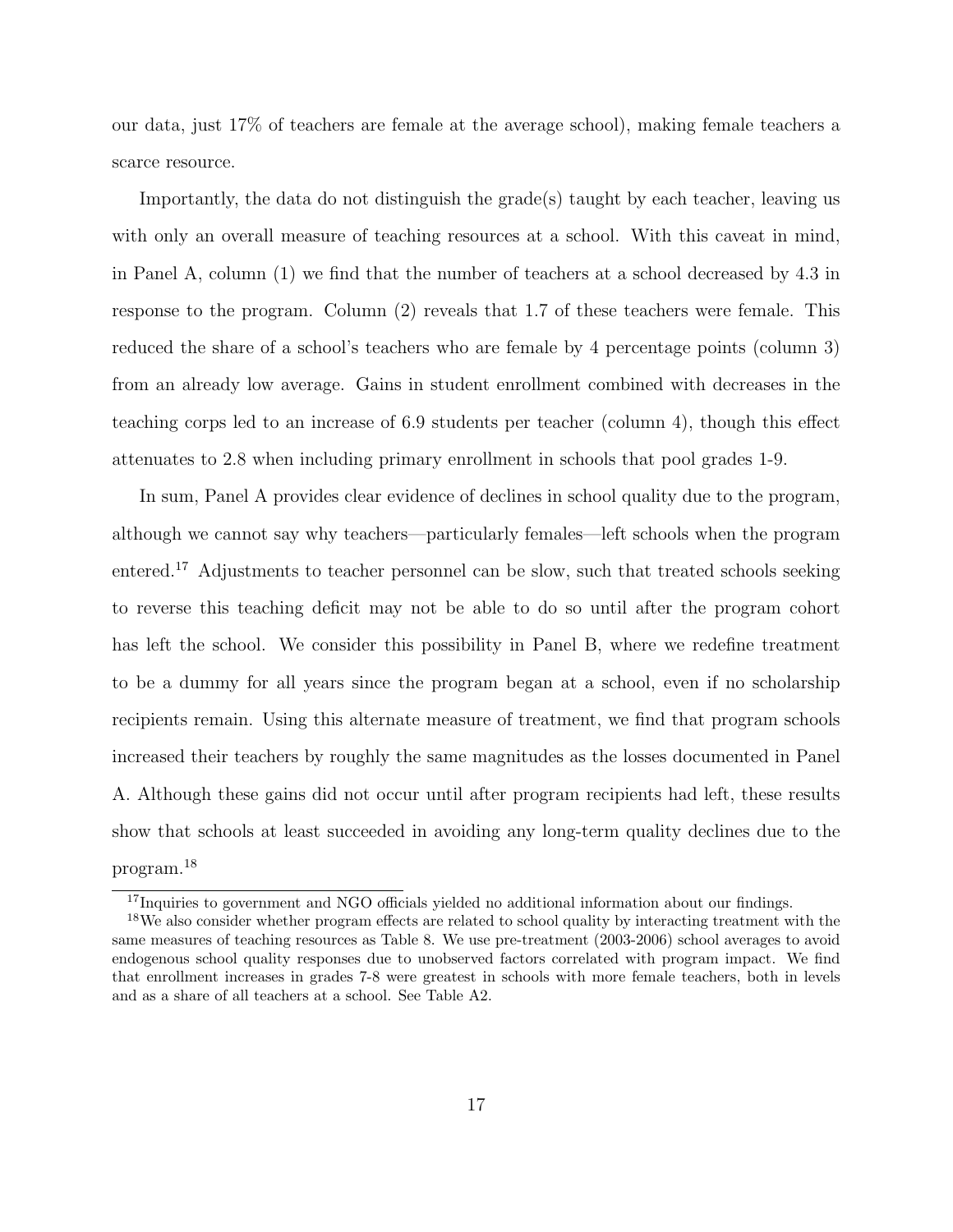our data, just 17% of teachers are female at the average school), making female teachers a scarce resource.

Importantly, the data do not distinguish the grade(s) taught by each teacher, leaving us with only an overall measure of teaching resources at a school. With this caveat in mind, in Panel A, column (1) we find that the number of teachers at a school decreased by 4.3 in response to the program. Column (2) reveals that 1.7 of these teachers were female. This reduced the share of a school's teachers who are female by 4 percentage points (column 3) from an already low average. Gains in student enrollment combined with decreases in the teaching corps led to an increase of 6.9 students per teacher (column 4), though this effect attenuates to 2.8 when including primary enrollment in schools that pool grades 1-9.

In sum, Panel A provides clear evidence of declines in school quality due to the program, although we cannot say why teachers—particularly females—left schools when the program entered.[17](#page-19-0) Adjustments to teacher personnel can be slow, such that treated schools seeking to reverse this teaching deficit may not be able to do so until after the program cohort has left the school. We consider this possibility in Panel B, where we redefine treatment to be a dummy for all years since the program began at a school, even if no scholarship recipients remain. Using this alternate measure of treatment, we find that program schools increased their teachers by roughly the same magnitudes as the losses documented in Panel A. Although these gains did not occur until after program recipients had left, these results show that schools at least succeeded in avoiding any long-term quality declines due to the program.[18](#page-19-1)

<span id="page-19-1"></span><span id="page-19-0"></span><sup>&</sup>lt;sup>17</sup>Inquiries to government and NGO officials yielded no additional information about our findings.

<sup>&</sup>lt;sup>18</sup>We also consider whether program effects are related to school quality by interacting treatment with the same measures of teaching resources as Table [8.](#page-37-0) We use pre-treatment (2003-2006) school averages to avoid endogenous school quality responses due to unobserved factors correlated with program impact. We find that enrollment increases in grades 7-8 were greatest in schools with more female teachers, both in levels and as a share of all teachers at a school. See Table [A2.](#page-40-0)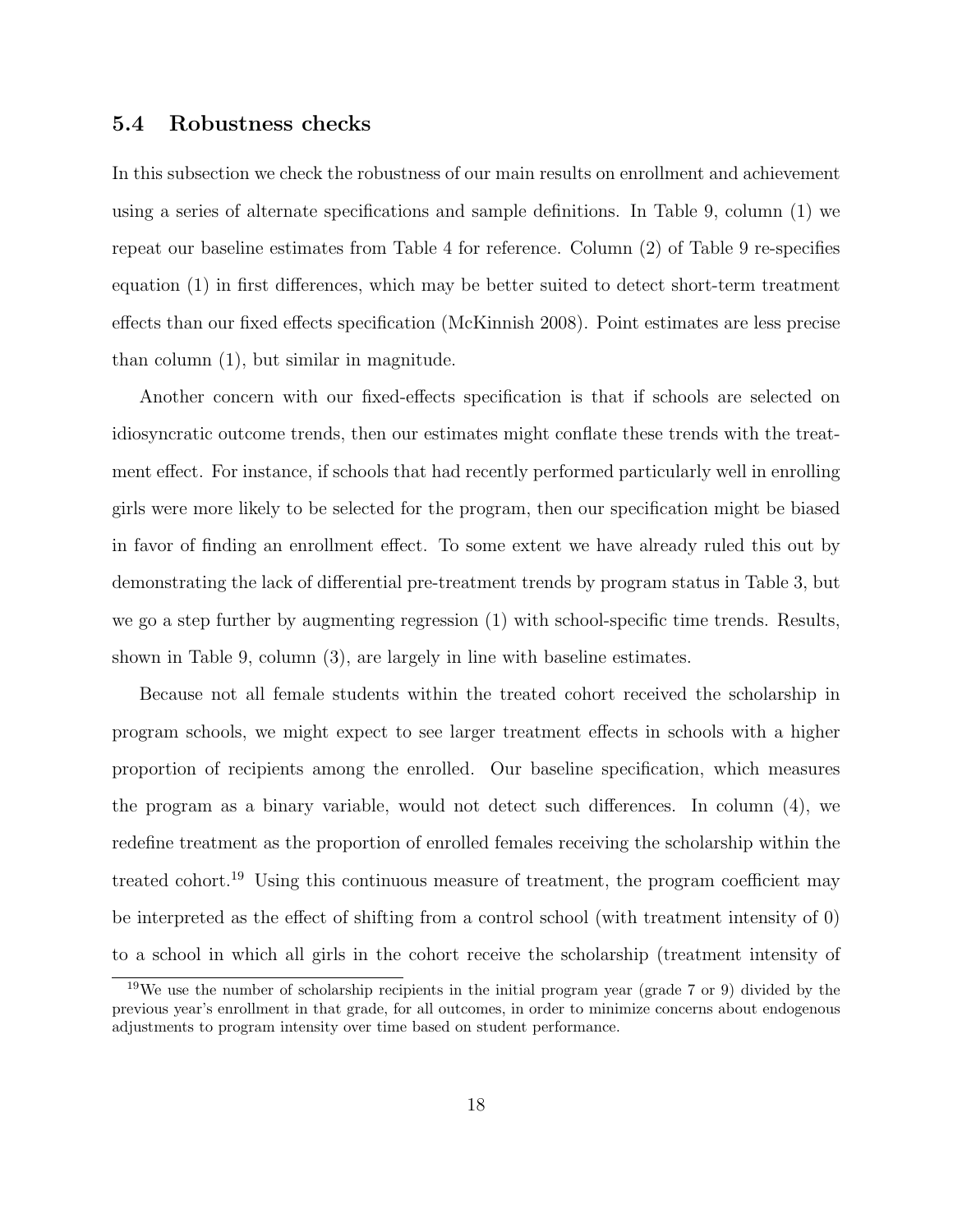### 5.4 Robustness checks

In this subsection we check the robustness of our main results on enrollment and achievement using a series of alternate specifications and sample definitions. In Table [9,](#page-38-0) column (1) we repeat our baseline estimates from Table [4](#page-33-0) for reference. Column (2) of Table [9](#page-38-0) re-specifies equation [\(1\)](#page-9-1) in first differences, which may be better suited to detect short-term treatment effects than our fixed effects specification (McKinnish 2008). Point estimates are less precise than column (1), but similar in magnitude.

Another concern with our fixed-effects specification is that if schools are selected on idiosyncratic outcome trends, then our estimates might conflate these trends with the treatment effect. For instance, if schools that had recently performed particularly well in enrolling girls were more likely to be selected for the program, then our specification might be biased in favor of finding an enrollment effect. To some extent we have already ruled this out by demonstrating the lack of differential pre-treatment trends by program status in Table [3,](#page-32-0) but we go a step further by augmenting regression [\(1\)](#page-9-1) with school-specific time trends. Results, shown in Table [9,](#page-38-0) column (3), are largely in line with baseline estimates.

Because not all female students within the treated cohort received the scholarship in program schools, we might expect to see larger treatment effects in schools with a higher proportion of recipients among the enrolled. Our baseline specification, which measures the program as a binary variable, would not detect such differences. In column (4), we redefine treatment as the proportion of enrolled females receiving the scholarship within the treated cohort.<sup>[19](#page-20-0)</sup> Using this continuous measure of treatment, the program coefficient may be interpreted as the effect of shifting from a control school (with treatment intensity of 0) to a school in which all girls in the cohort receive the scholarship (treatment intensity of

<span id="page-20-0"></span><sup>19</sup>We use the number of scholarship recipients in the initial program year (grade 7 or 9) divided by the previous year's enrollment in that grade, for all outcomes, in order to minimize concerns about endogenous adjustments to program intensity over time based on student performance.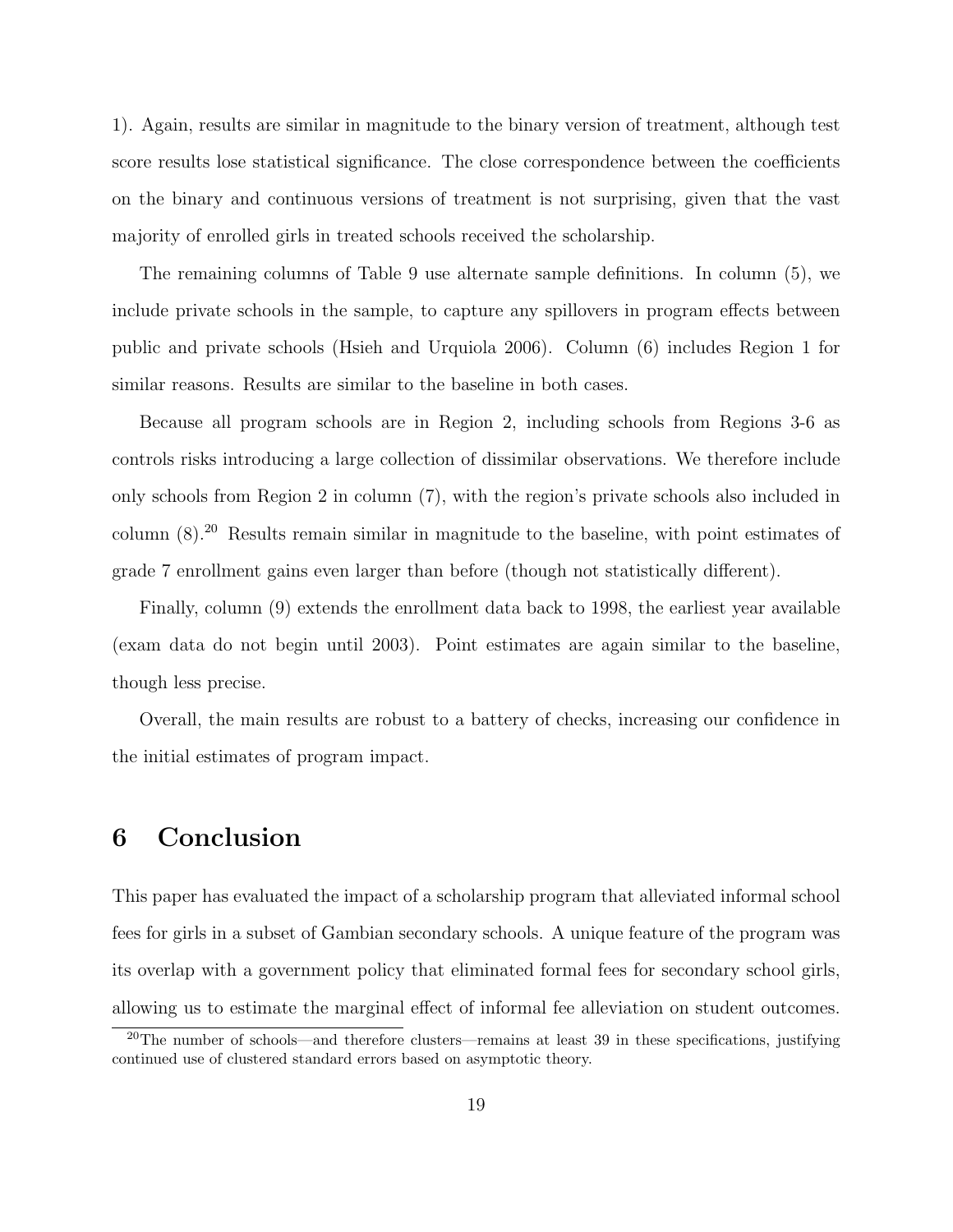1). Again, results are similar in magnitude to the binary version of treatment, although test score results lose statistical significance. The close correspondence between the coefficients on the binary and continuous versions of treatment is not surprising, given that the vast majority of enrolled girls in treated schools received the scholarship.

The remaining columns of Table [9](#page-38-0) use alternate sample definitions. In column (5), we include private schools in the sample, to capture any spillovers in program effects between public and private schools (Hsieh and Urquiola 2006). Column (6) includes Region 1 for similar reasons. Results are similar to the baseline in both cases.

Because all program schools are in Region 2, including schools from Regions 3-6 as controls risks introducing a large collection of dissimilar observations. We therefore include only schools from Region 2 in column (7), with the region's private schools also included in column (8).[20](#page-21-0) Results remain similar in magnitude to the baseline, with point estimates of grade 7 enrollment gains even larger than before (though not statistically different).

Finally, column (9) extends the enrollment data back to 1998, the earliest year available (exam data do not begin until 2003). Point estimates are again similar to the baseline, though less precise.

Overall, the main results are robust to a battery of checks, increasing our confidence in the initial estimates of program impact.

### 6 Conclusion

This paper has evaluated the impact of a scholarship program that alleviated informal school fees for girls in a subset of Gambian secondary schools. A unique feature of the program was its overlap with a government policy that eliminated formal fees for secondary school girls, allowing us to estimate the marginal effect of informal fee alleviation on student outcomes.

<span id="page-21-0"></span> $20$ The number of schools—and therefore clusters—remains at least 39 in these specifications, justifying continued use of clustered standard errors based on asymptotic theory.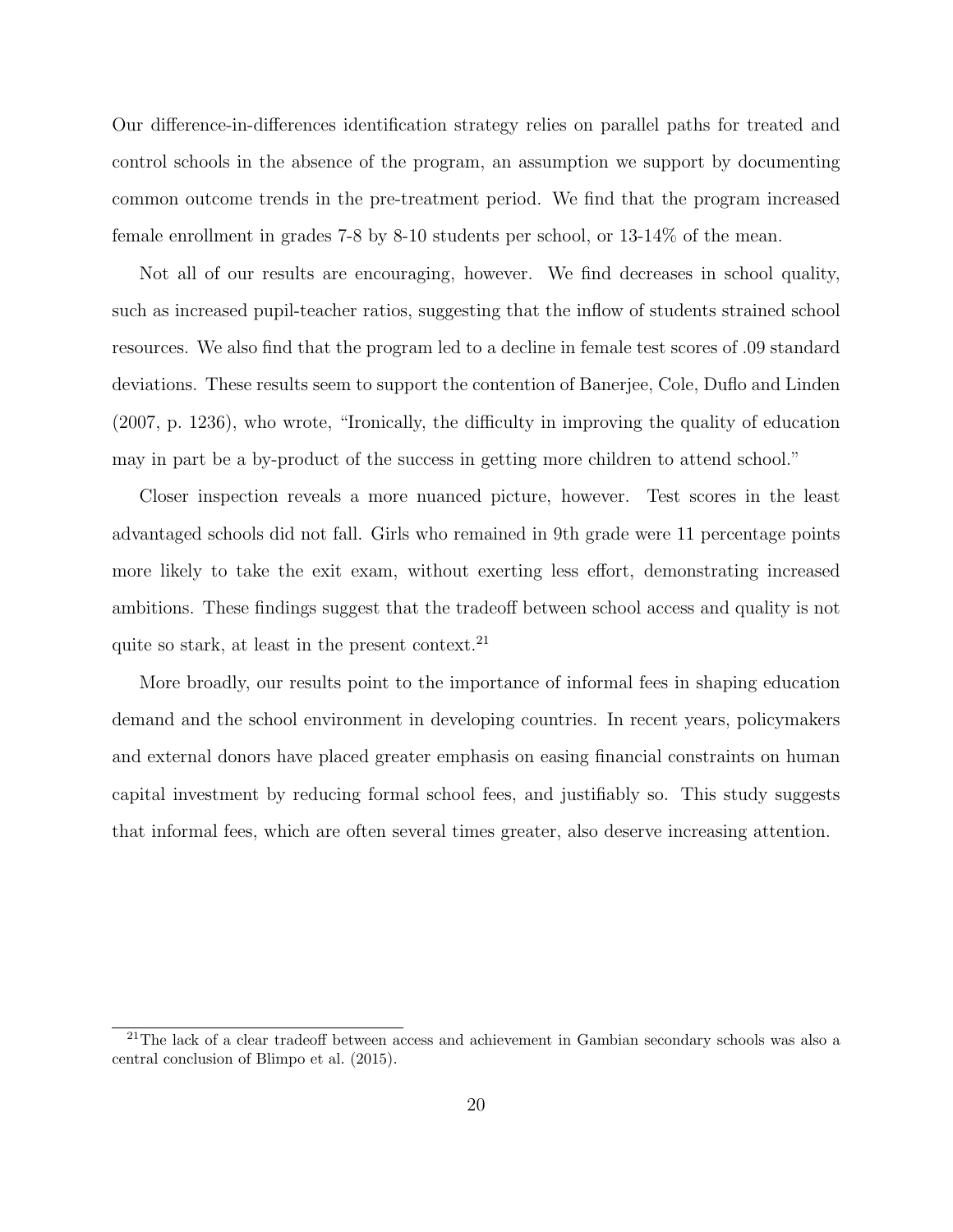Our difference-in-differences identification strategy relies on parallel paths for treated and control schools in the absence of the program, an assumption we support by documenting common outcome trends in the pre-treatment period. We find that the program increased female enrollment in grades 7-8 by 8-10 students per school, or 13-14% of the mean.

Not all of our results are encouraging, however. We find decreases in school quality, such as increased pupil-teacher ratios, suggesting that the inflow of students strained school resources. We also find that the program led to a decline in female test scores of .09 standard deviations. These results seem to support the contention of Banerjee, Cole, Duflo and Linden (2007, p. 1236), who wrote, "Ironically, the difficulty in improving the quality of education may in part be a by-product of the success in getting more children to attend school."

Closer inspection reveals a more nuanced picture, however. Test scores in the least advantaged schools did not fall. Girls who remained in 9th grade were 11 percentage points more likely to take the exit exam, without exerting less effort, demonstrating increased ambitions. These findings suggest that the tradeoff between school access and quality is not quite so stark, at least in the present context.<sup>[21](#page-22-0)</sup>

More broadly, our results point to the importance of informal fees in shaping education demand and the school environment in developing countries. In recent years, policymakers and external donors have placed greater emphasis on easing financial constraints on human capital investment by reducing formal school fees, and justifiably so. This study suggests that informal fees, which are often several times greater, also deserve increasing attention.

<span id="page-22-0"></span> $21$ The lack of a clear tradeoff between access and achievement in Gambian secondary schools was also a central conclusion of Blimpo et al. (2015).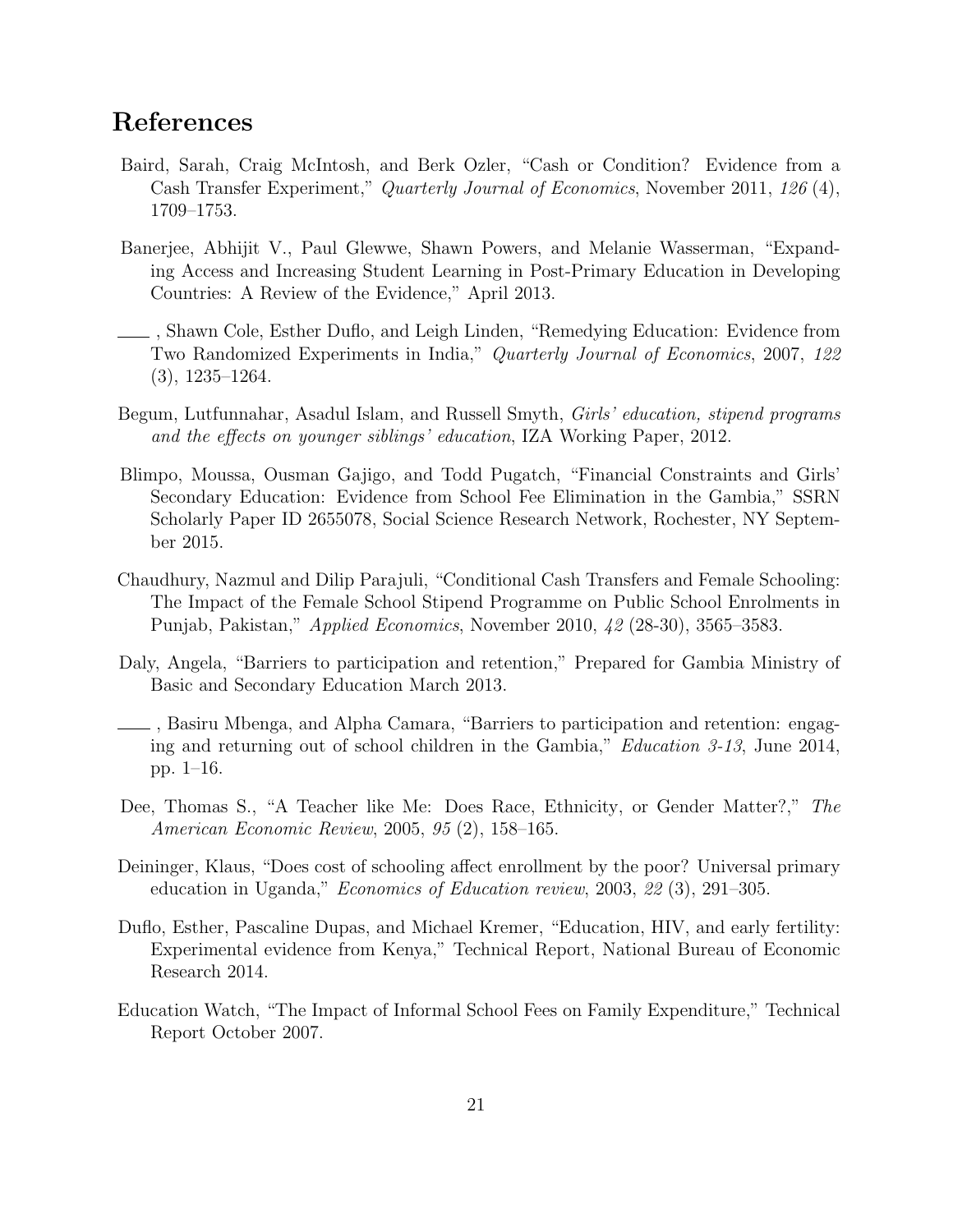### References

- Baird, Sarah, Craig McIntosh, and Berk Ozler, "Cash or Condition? Evidence from a Cash Transfer Experiment," Quarterly Journal of Economics, November 2011, 126 (4), 1709–1753.
- Banerjee, Abhijit V., Paul Glewwe, Shawn Powers, and Melanie Wasserman, "Expanding Access and Increasing Student Learning in Post-Primary Education in Developing Countries: A Review of the Evidence," April 2013.
- , Shawn Cole, Esther Duflo, and Leigh Linden, "Remedying Education: Evidence from Two Randomized Experiments in India," Quarterly Journal of Economics, 2007, 122 (3), 1235–1264.
- Begum, Lutfunnahar, Asadul Islam, and Russell Smyth, Girls' education, stipend programs and the effects on younger siblings' education, IZA Working Paper, 2012.
- Blimpo, Moussa, Ousman Gajigo, and Todd Pugatch, "Financial Constraints and Girls' Secondary Education: Evidence from School Fee Elimination in the Gambia," SSRN Scholarly Paper ID 2655078, Social Science Research Network, Rochester, NY September 2015.
- Chaudhury, Nazmul and Dilip Parajuli, "Conditional Cash Transfers and Female Schooling: The Impact of the Female School Stipend Programme on Public School Enrolments in Punjab, Pakistan," Applied Economics, November 2010, 42 (28-30), 3565–3583.
- Daly, Angela, "Barriers to participation and retention," Prepared for Gambia Ministry of Basic and Secondary Education March 2013.
- , Basiru Mbenga, and Alpha Camara, "Barriers to participation and retention: engaging and returning out of school children in the Gambia," Education 3-13, June 2014, pp. 1–16.
- Dee, Thomas S., "A Teacher like Me: Does Race, Ethnicity, or Gender Matter?," The American Economic Review, 2005, 95 (2), 158–165.
- Deininger, Klaus, "Does cost of schooling affect enrollment by the poor? Universal primary education in Uganda," Economics of Education review, 2003, 22 (3), 291–305.
- Duflo, Esther, Pascaline Dupas, and Michael Kremer, "Education, HIV, and early fertility: Experimental evidence from Kenya," Technical Report, National Bureau of Economic Research 2014.
- Education Watch, "The Impact of Informal School Fees on Family Expenditure," Technical Report October 2007.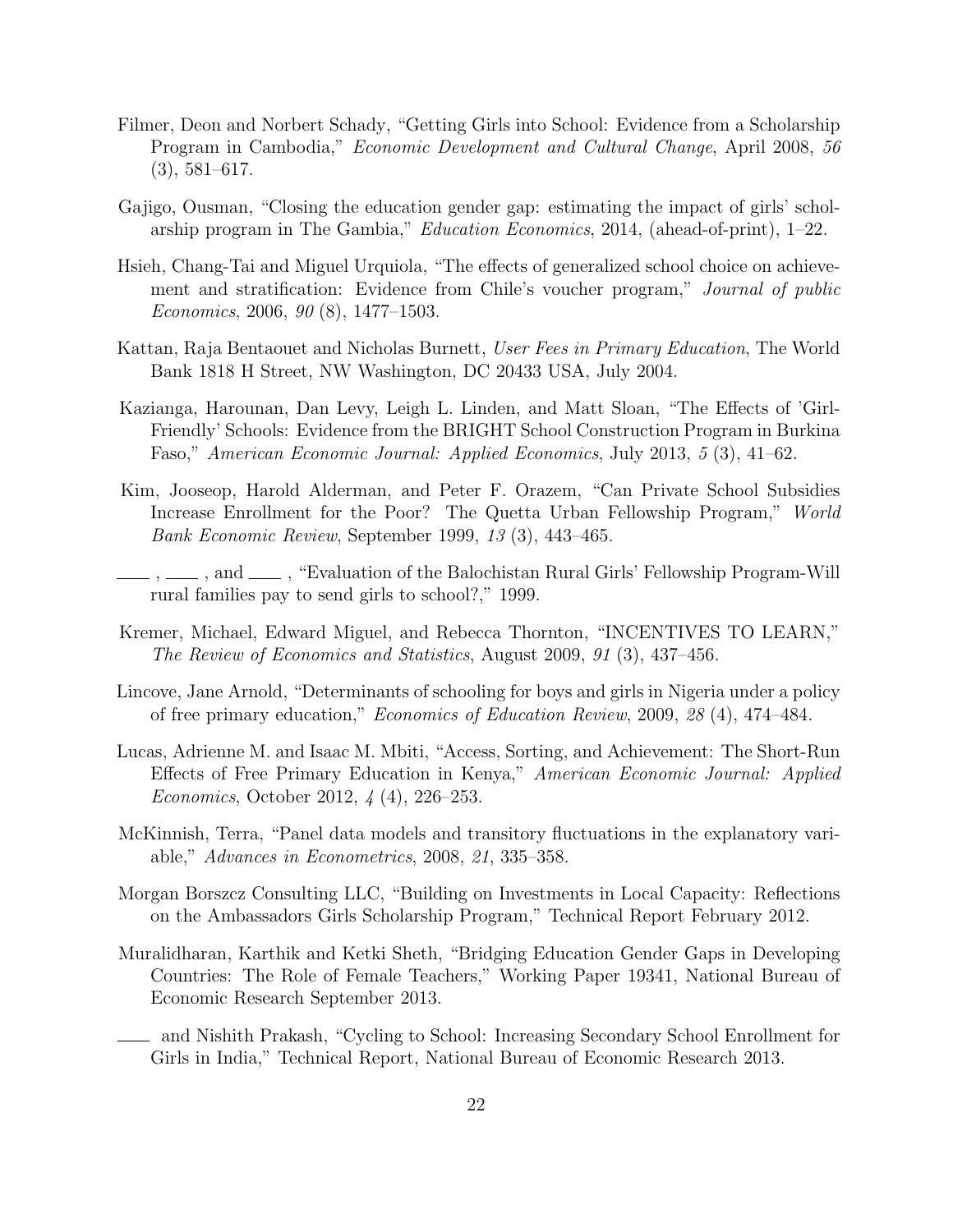- Filmer, Deon and Norbert Schady, "Getting Girls into School: Evidence from a Scholarship Program in Cambodia," Economic Development and Cultural Change, April 2008, 56 (3), 581–617.
- Gajigo, Ousman, "Closing the education gender gap: estimating the impact of girls' scholarship program in The Gambia," Education Economics, 2014, (ahead-of-print), 1–22.
- Hsieh, Chang-Tai and Miguel Urquiola, "The effects of generalized school choice on achievement and stratification: Evidence from Chile's voucher program," Journal of public Economics, 2006, 90 (8), 1477–1503.
- Kattan, Raja Bentaouet and Nicholas Burnett, User Fees in Primary Education, The World Bank 1818 H Street, NW Washington, DC 20433 USA, July 2004.
- Kazianga, Harounan, Dan Levy, Leigh L. Linden, and Matt Sloan, "The Effects of 'Girl-Friendly' Schools: Evidence from the BRIGHT School Construction Program in Burkina Faso," American Economic Journal: Applied Economics, July 2013, 5 (3), 41–62.
- Kim, Jooseop, Harold Alderman, and Peter F. Orazem, "Can Private School Subsidies Increase Enrollment for the Poor? The Quetta Urban Fellowship Program," World Bank Economic Review, September 1999, 13 (3), 443–465.
- $\ldots$ , and  $\ldots$ , "Evaluation of the Balochistan Rural Girls' Fellowship Program-Will rural families pay to send girls to school?," 1999.
- Kremer, Michael, Edward Miguel, and Rebecca Thornton, "INCENTIVES TO LEARN," The Review of Economics and Statistics, August 2009, 91 (3), 437–456.
- Lincove, Jane Arnold, "Determinants of schooling for boys and girls in Nigeria under a policy of free primary education," Economics of Education Review, 2009, 28 (4), 474–484.
- Lucas, Adrienne M. and Isaac M. Mbiti, "Access, Sorting, and Achievement: The Short-Run Effects of Free Primary Education in Kenya," American Economic Journal: Applied Economics, October 2012, 4 (4), 226–253.
- McKinnish, Terra, "Panel data models and transitory fluctuations in the explanatory variable," Advances in Econometrics, 2008, 21, 335–358.
- Morgan Borszcz Consulting LLC, "Building on Investments in Local Capacity: Reflections on the Ambassadors Girls Scholarship Program," Technical Report February 2012.
- Muralidharan, Karthik and Ketki Sheth, "Bridging Education Gender Gaps in Developing Countries: The Role of Female Teachers," Working Paper 19341, National Bureau of Economic Research September 2013.
- and Nishith Prakash, "Cycling to School: Increasing Secondary School Enrollment for Girls in India," Technical Report, National Bureau of Economic Research 2013.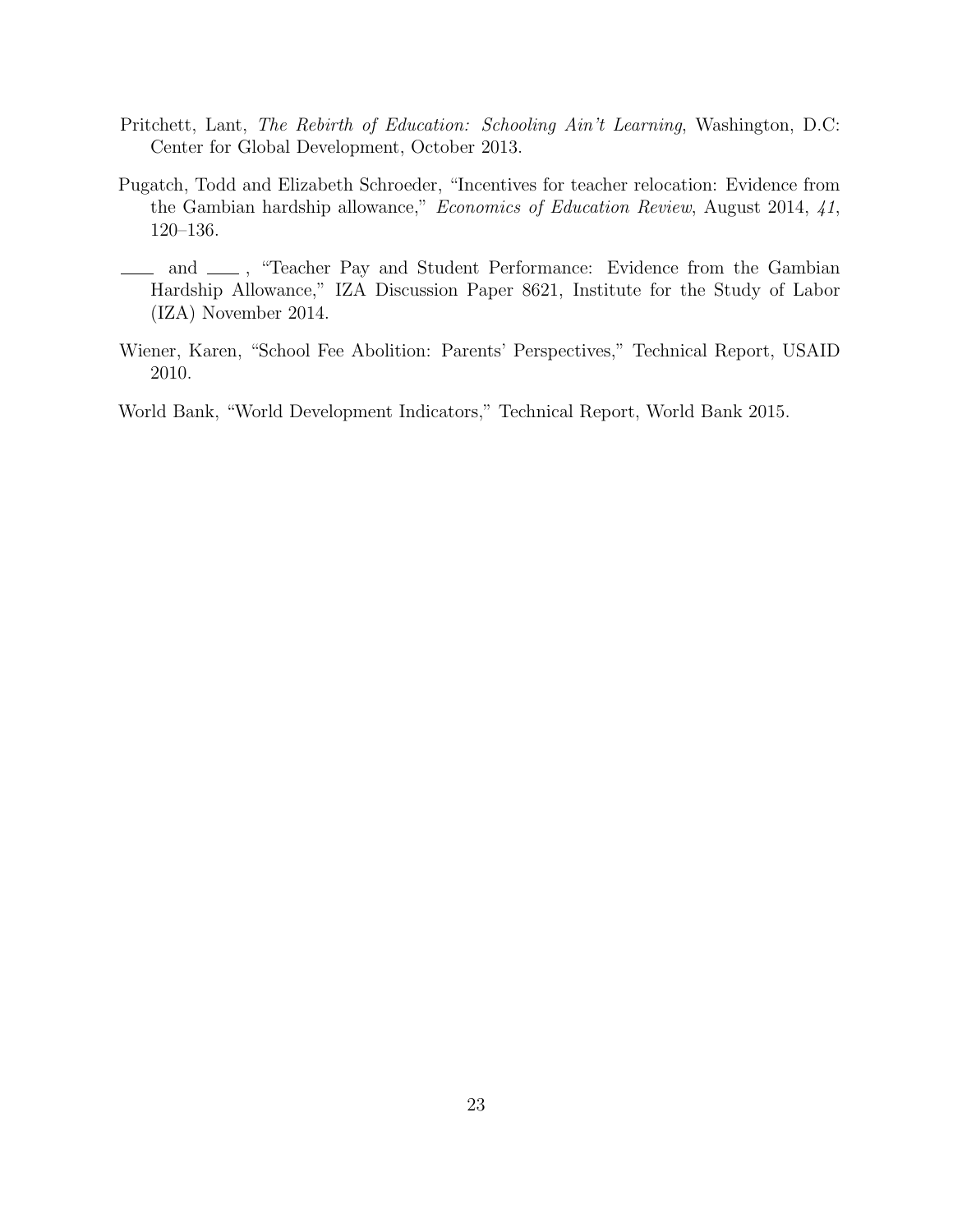- Pritchett, Lant, The Rebirth of Education: Schooling Ain't Learning, Washington, D.C: Center for Global Development, October 2013.
- Pugatch, Todd and Elizabeth Schroeder, "Incentives for teacher relocation: Evidence from the Gambian hardship allowance," Economics of Education Review, August 2014, 41, 120–136.
- and  $\equiv$ , "Teacher Pay and Student Performance: Evidence from the Gambian Hardship Allowance," IZA Discussion Paper 8621, Institute for the Study of Labor (IZA) November 2014.
- Wiener, Karen, "School Fee Abolition: Parents' Perspectives," Technical Report, USAID 2010.

World Bank, "World Development Indicators," Technical Report, World Bank 2015.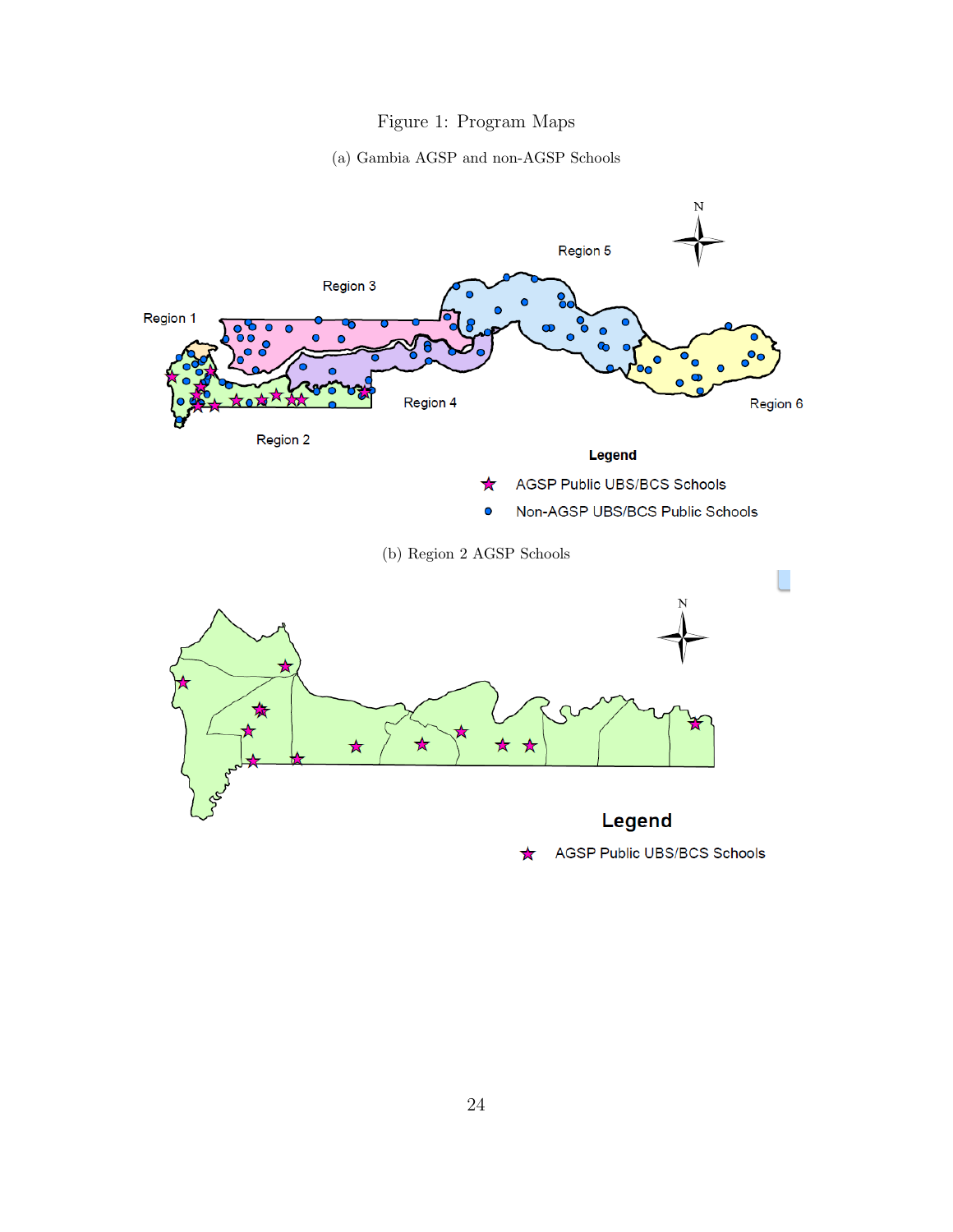### Figure 1: Program Maps

#### (a) Gambia AGSP and non-AGSP Schools

<span id="page-26-1"></span><span id="page-26-0"></span>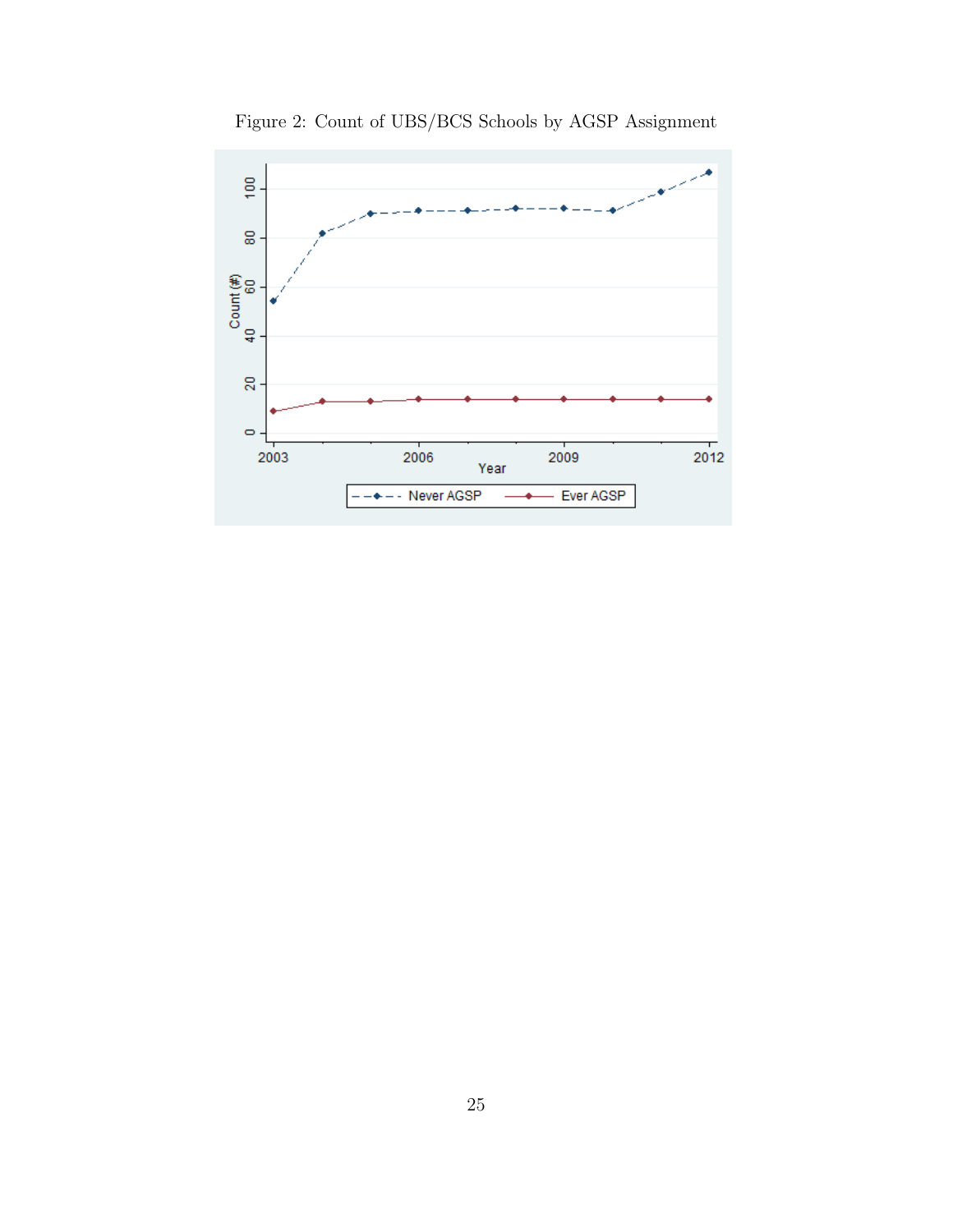<span id="page-27-0"></span>

Figure 2: Count of UBS/BCS Schools by AGSP Assignment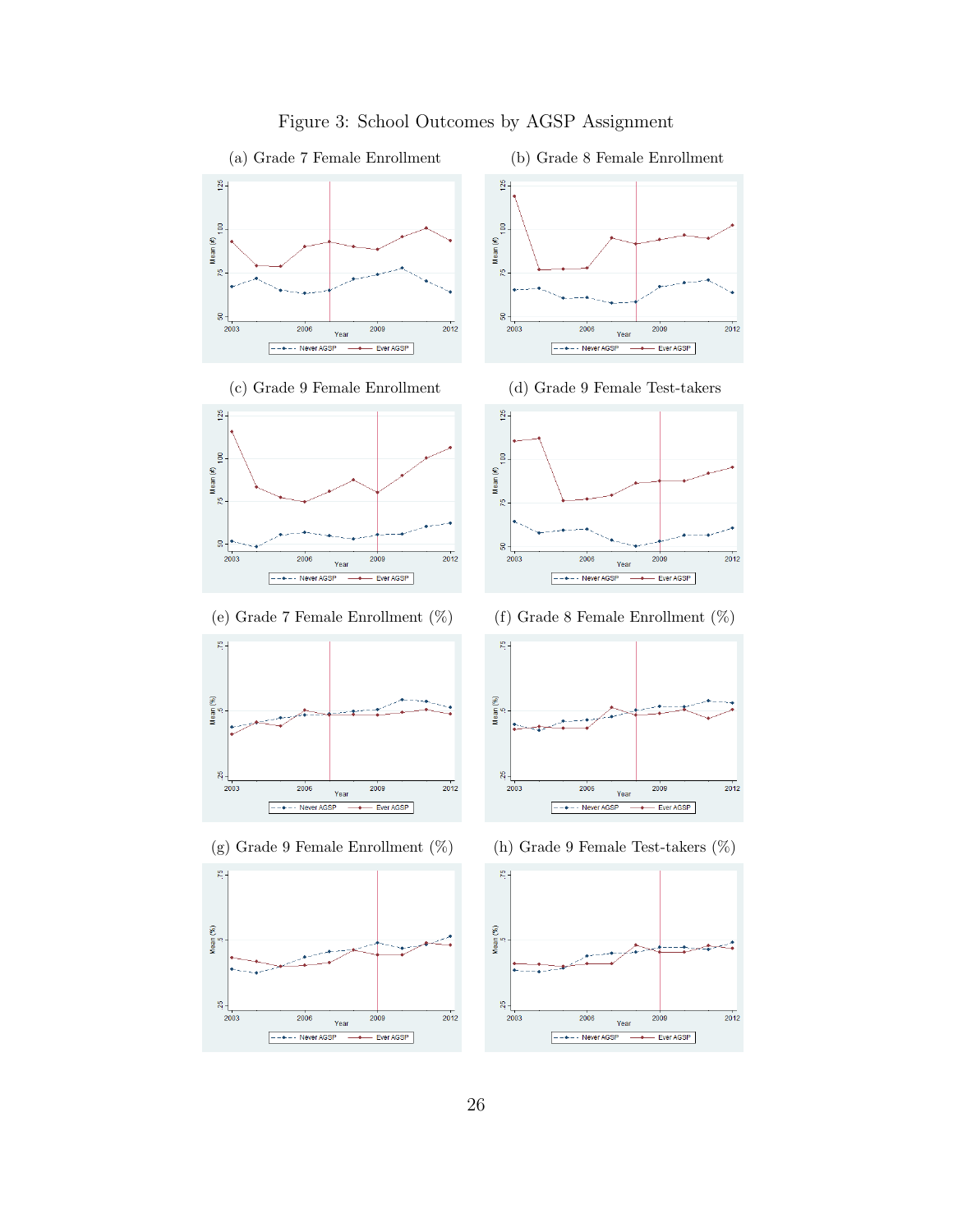<span id="page-28-0"></span>

### <span id="page-28-1"></span>Figure 3: School Outcomes by AGSP Assignment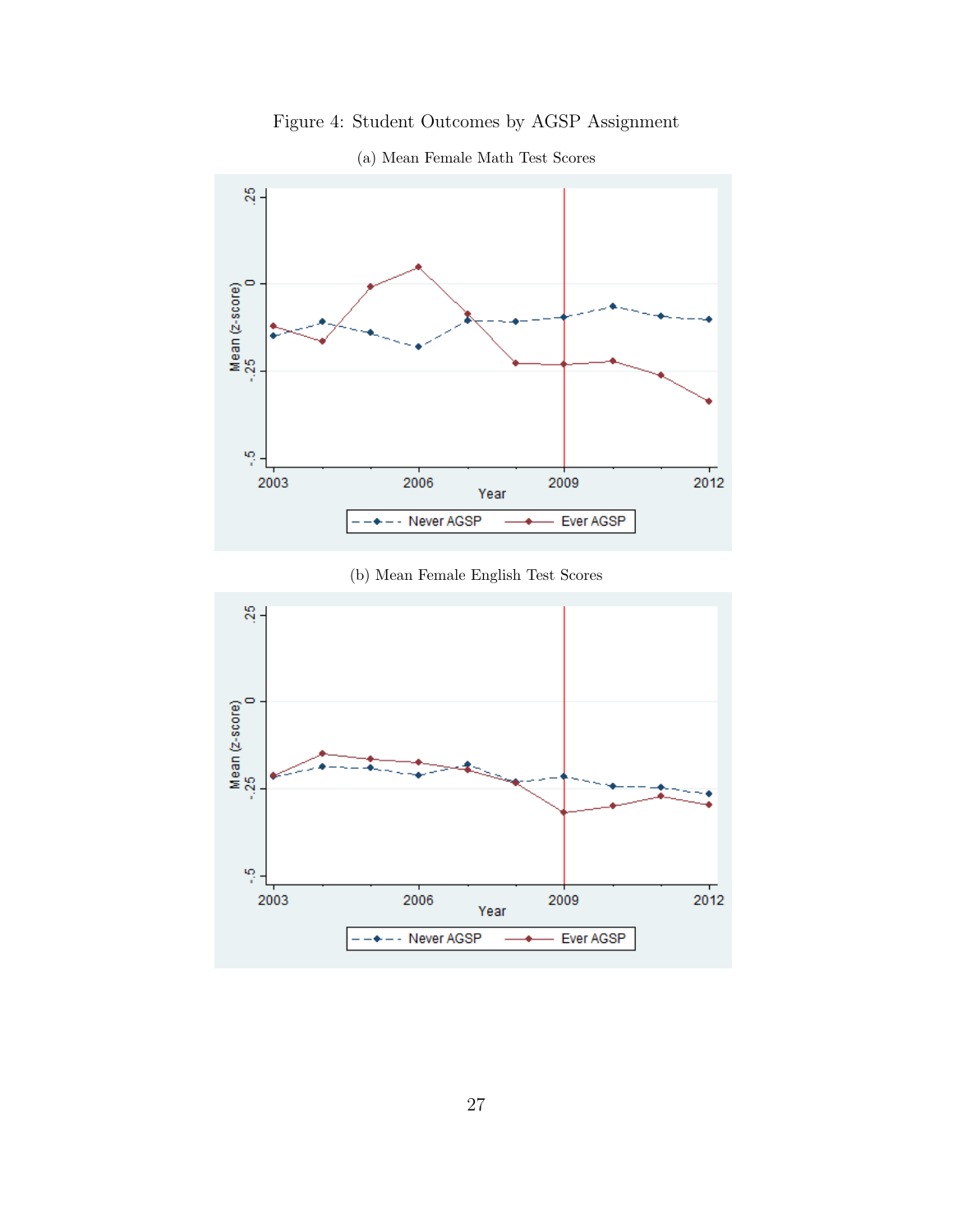Figure 4: Student Outcomes by AGSP Assignment

<span id="page-29-0"></span>

(a) Mean Female Math Test Scores

(b) Mean Female English Test Scores

<span id="page-29-1"></span>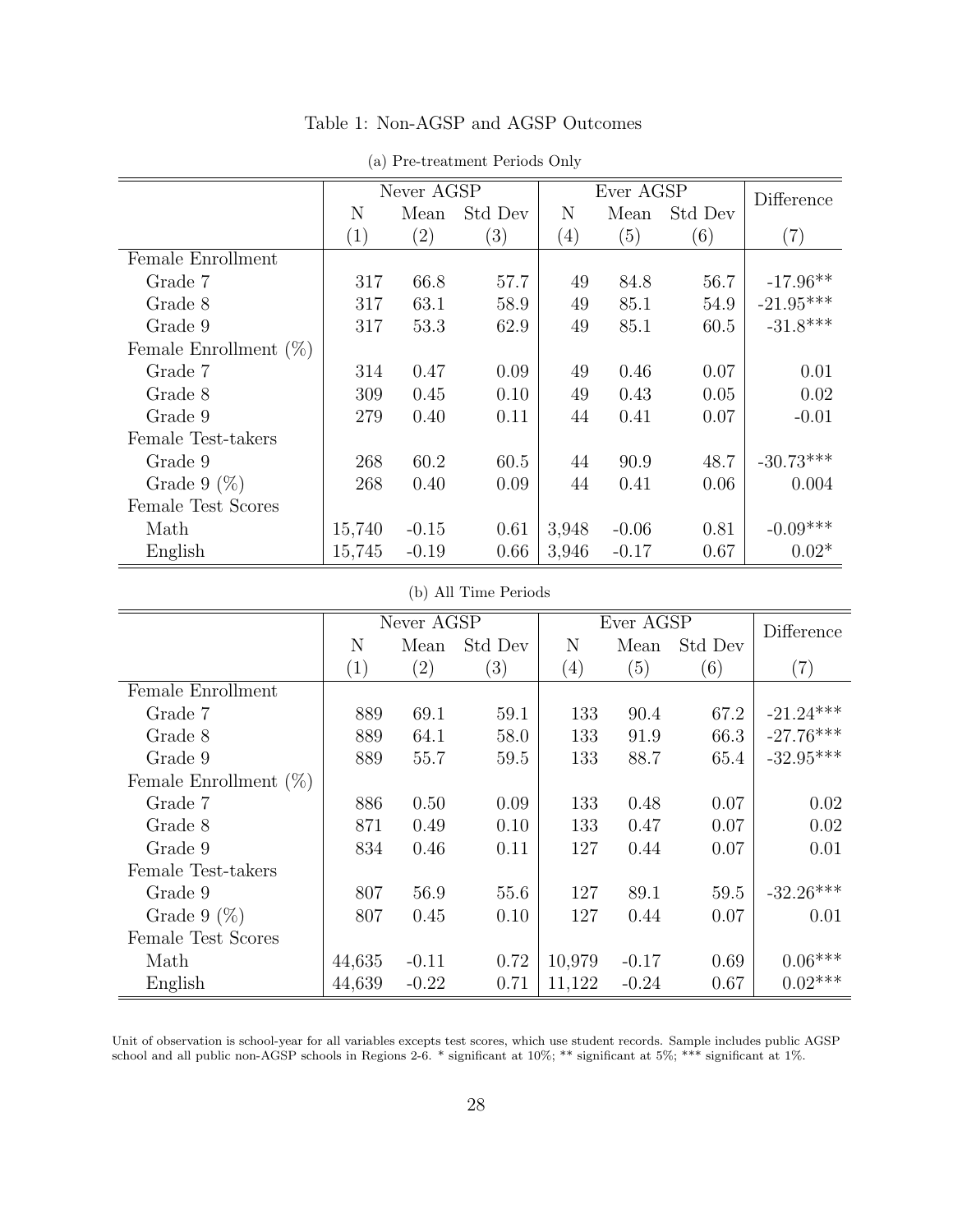<span id="page-30-1"></span><span id="page-30-0"></span>

|                          |        | Never AGSP |         |                  | Ever AGSP |         | Difference              |
|--------------------------|--------|------------|---------|------------------|-----------|---------|-------------------------|
|                          | N      | Mean       | Std Dev | N                | Mean      | Std Dev |                         |
|                          | (1)    | (2)        | (3)     | $\left(4\right)$ | (5)       | (6)     | $\left( 7\right)$       |
| Female Enrollment        |        |            |         |                  |           |         |                         |
| Grade 7                  | 317    | 66.8       | 57.7    | 49               | 84.8      | 56.7    | $-17.96**$              |
| Grade 8                  | 317    | 63.1       | 58.9    | 49               | 85.1      | 54.9    | $-21.95^{\ast\ast\ast}$ |
| Grade 9                  | 317    | 53.3       | 62.9    | 49               | 85.1      | 60.5    | $-31.8***$              |
| Female Enrollment $(\%)$ |        |            |         |                  |           |         |                         |
| Grade 7                  | 314    | 0.47       | 0.09    | 49               | 0.46      | 0.07    | 0.01                    |
| Grade 8                  | 309    | 0.45       | 0.10    | 49               | 0.43      | 0.05    | 0.02                    |
| Grade 9                  | 279    | 0.40       | 0.11    | 44               | 0.41      | 0.07    | $-0.01$                 |
| Female Test-takers       |        |            |         |                  |           |         |                         |
| Grade 9                  | 268    | 60.2       | 60.5    | 44               | 90.9      | 48.7    | $-30.73***$             |
| Grade 9 $(\%)$           | 268    | 0.40       | 0.09    | 44               | 0.41      | 0.06    | 0.004                   |
| Female Test Scores       |        |            |         |                  |           |         |                         |
| Math                     | 15,740 | $-0.15$    | 0.61    | 3,948            | $-0.06$   | 0.81    | $-0.09***$              |
| English                  | 15,745 | $-0.19$    | 0.66    | 3,946            | $-0.17$   | 0.67    | $0.02*$                 |

Table 1: Non-AGSP and AGSP Outcomes

| (a) Pre-treatment Periods Only |  |
|--------------------------------|--|

#### (b) All Time Periods

<span id="page-30-2"></span>

|                          |                   | Never AGSP        |                   |                  | Ever AGSP |         | Difference        |
|--------------------------|-------------------|-------------------|-------------------|------------------|-----------|---------|-------------------|
|                          | N                 | Mean              | Std Dev           | N                | Mean      | Std Dev |                   |
|                          | $\left( 1\right)$ | $\left( 2\right)$ | $\left( 3\right)$ | $\left(4\right)$ | (5)       | (6)     | $\left( 7\right)$ |
| Female Enrollment        |                   |                   |                   |                  |           |         |                   |
| Grade 7                  | 889               | 69.1              | 59.1              | 133              | 90.4      | 67.2    | $-21.24***$       |
| Grade 8                  | 889               | 64.1              | 58.0              | 133              | 91.9      | 66.3    | $-27.76***$       |
| Grade 9                  | 889               | 55.7              | 59.5              | 133              | 88.7      | 65.4    | $-32.95***$       |
| Female Enrollment $(\%)$ |                   |                   |                   |                  |           |         |                   |
| Grade 7                  | 886               | 0.50              | 0.09              | 133              | 0.48      | 0.07    | 0.02              |
| Grade 8                  | 871               | 0.49              | 0.10              | 133              | 0.47      | 0.07    | 0.02              |
| Grade 9                  | 834               | 0.46              | 0.11              | 127              | 0.44      | 0.07    | 0.01              |
| Female Test-takers       |                   |                   |                   |                  |           |         |                   |
| Grade 9                  | 807               | 56.9              | 55.6              | 127              | 89.1      | 59.5    | $-32.26***$       |
| Grade 9 $(\%)$           | 807               | 0.45              | 0.10              | 127              | 0.44      | 0.07    | 0.01              |
| Female Test Scores       |                   |                   |                   |                  |           |         |                   |
| Math                     | 44,635            | $-0.11$           | 0.72              | 10,979           | $-0.17$   | 0.69    | $0.06^{***}\,$    |
| English                  | 44,639            | $-0.22$           | 0.71              | 11,122           | $-0.24$   | 0.67    | $0.02***$         |

Unit of observation is school-year for all variables excepts test scores, which use student records. Sample includes public AGSP school and all public non-AGSP schools in Regions 2-6. \* significant at 10%; \*\* significant at 5%; \*\*\* significant at 1%.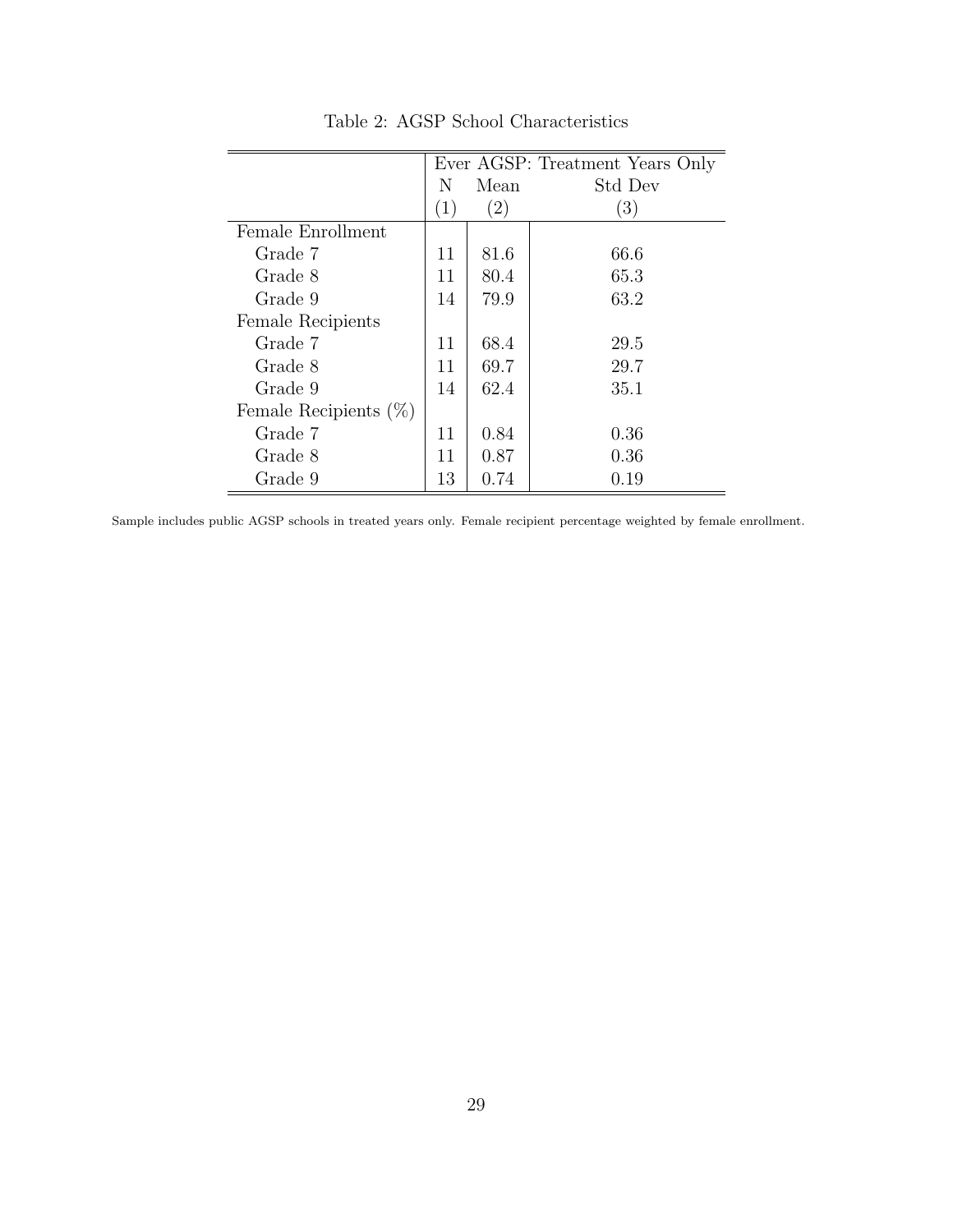<span id="page-31-0"></span>

|                          |                   |                   | Ever AGSP: Treatment Years Only |
|--------------------------|-------------------|-------------------|---------------------------------|
|                          | N                 | Mean              | Std Dev                         |
|                          | $\left( 1\right)$ | $\left( 2\right)$ | $\left(3\right)$                |
| Female Enrollment        |                   |                   |                                 |
| Grade 7                  | 11                | 81.6              | 66.6                            |
| Grade 8                  | 11                | 80.4              | 65.3                            |
| Grade 9                  | 14                | 79.9              | 63.2                            |
| Female Recipients        |                   |                   |                                 |
| Grade 7                  | 11                | 68.4              | 29.5                            |
| Grade 8                  | 11                | 69.7              | 29.7                            |
| Grade 9                  | 14                | 62.4              | 35.1                            |
| Female Recipients $(\%)$ |                   |                   |                                 |
| Grade 7                  | 11                | 0.84              | 0.36                            |
| Grade 8                  | 11                | 0.87              | 0.36                            |
| Grade 9                  | 13                | 0.74              | 0.19                            |

Table 2: AGSP School Characteristics

Sample includes public AGSP schools in treated years only. Female recipient percentage weighted by female enrollment.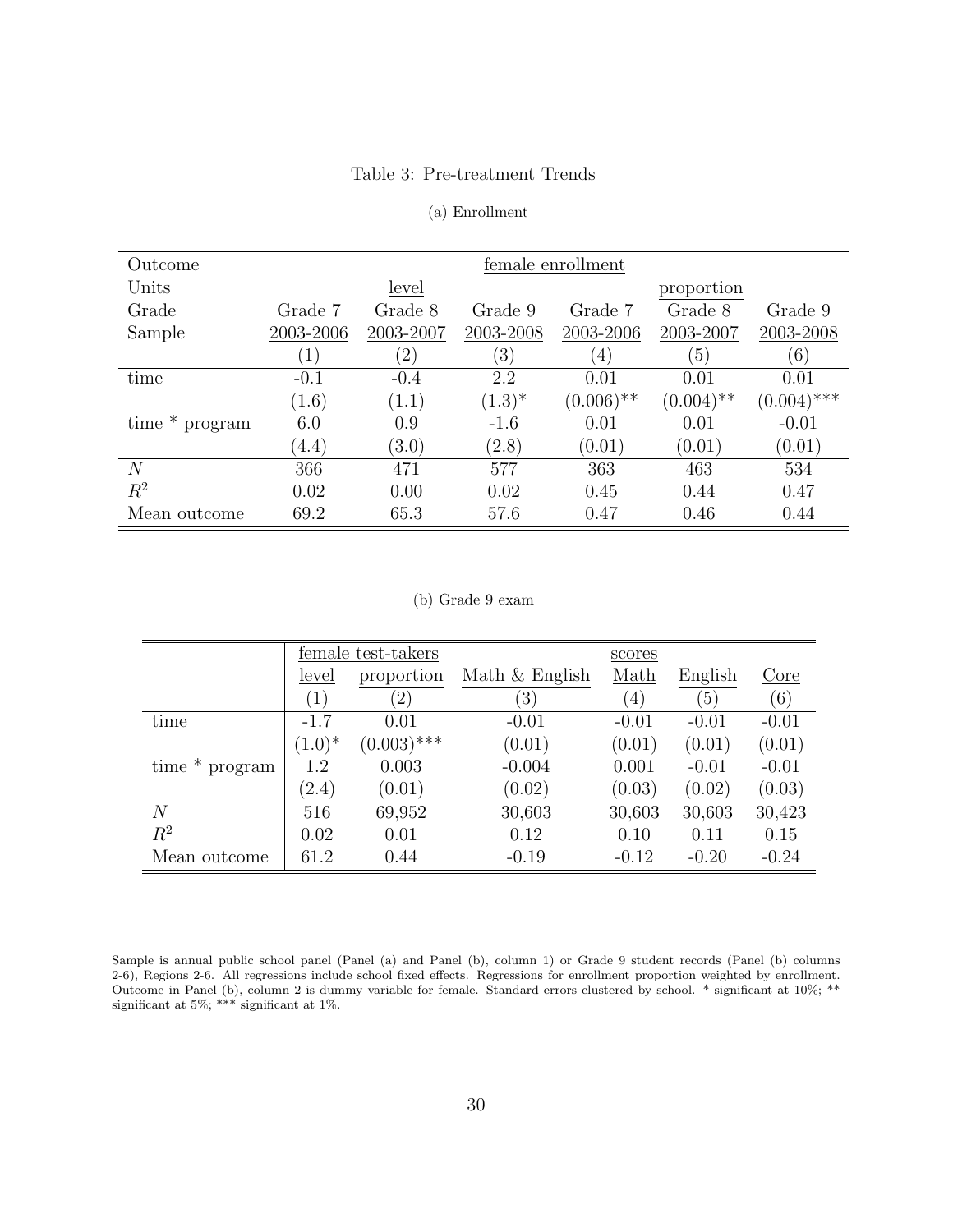#### Table 3: Pre-treatment Trends

#### (a) Enrollment

<span id="page-32-1"></span><span id="page-32-0"></span>

| Outcome        |                  |                   |                   | female enrollment |              |               |
|----------------|------------------|-------------------|-------------------|-------------------|--------------|---------------|
| Units          |                  | level             |                   |                   | proportion   |               |
| Grade          | Grade 7          | Grade 8           | Grade 9           | Grade 7           | Grade 8      | Grade 9       |
| Sample         | 2003-2006        | 2003-2007         | 2003-2008         | 2003-2006         | 2003-2007    | 2003-2008     |
|                | $\left(1\right)$ | $\left( 2\right)$ | $\left( 3\right)$ | $\left(4\right)$  | (5)          | (6)           |
| time           | $-0.1$           | $-0.4$            | 2.2               | 0.01              | 0.01         | 0.01          |
|                | (1.6)            | (1.1)             | $(1.3)^{*}$       | $(0.006)$ **      | $(0.004)$ ** | $(0.004)$ *** |
| time * program | 6.0              | 0.9               | $-1.6$            | 0.01              | 0.01         | $-0.01$       |
|                | (4.4)            | (3.0)             | (2.8)             | (0.01)            | (0.01)       | (0.01)        |
| $\overline{N}$ | 366              | 471               | 577               | 363               | 463          | 534           |
| $R^2$          | 0.02             | 0.00              | 0.02              | 0.45              | 0.44         | 0.47          |
| Mean outcome   | 69.2             | 65.3              | 57.6              | 0.47              | 0.46         | 0.44          |

#### (b) Grade 9 exam

<span id="page-32-2"></span>

|                |                   | female test-takers |                  | scores           |         |         |
|----------------|-------------------|--------------------|------------------|------------------|---------|---------|
|                | level             | proportion         | Math $&$ English | Math             | English | Core    |
|                | $\left( 1\right)$ | (2)                | $\left(3\right)$ | $\left(4\right)$ | (5)     | (6)     |
| time           | $-1.7$            | 0.01               | $-0.01$          | $-0.01$          | $-0.01$ | $-0.01$ |
|                | $(1.0)^{*}$       | $(0.003)$ ***      | (0.01)           | (0.01)           | (0.01)  | (0.01)  |
| time * program | 1.2               | 0.003              | $-0.004$         | 0.001            | $-0.01$ | $-0.01$ |
|                | (2.4)             | (0.01)             | (0.02)           | (0.03)           | (0.02)  | (0.03)  |
| $\overline{N}$ | 516               | 69,952             | 30,603           | 30,603           | 30,603  | 30,423  |
| $R^2$          | 0.02              | 0.01               | 0.12             | 0.10             | 0.11    | 0.15    |
| Mean outcome   | 61.2              | 0.44               | $-0.19$          | $-0.12$          | $-0.20$ | $-0.24$ |

Sample is annual public school panel (Panel (a) and Panel (b), column 1) or Grade 9 student records (Panel (b) columns 2-6), Regions 2-6. All regressions include school fixed effects. Regressions for enrollment proportion weighted by enrollment. Outcome in Panel (b), column 2 is dummy variable for female. Standard errors clustered by school. \* significant at 10%; \*\* significant at 5%; \*\*\* significant at 1%.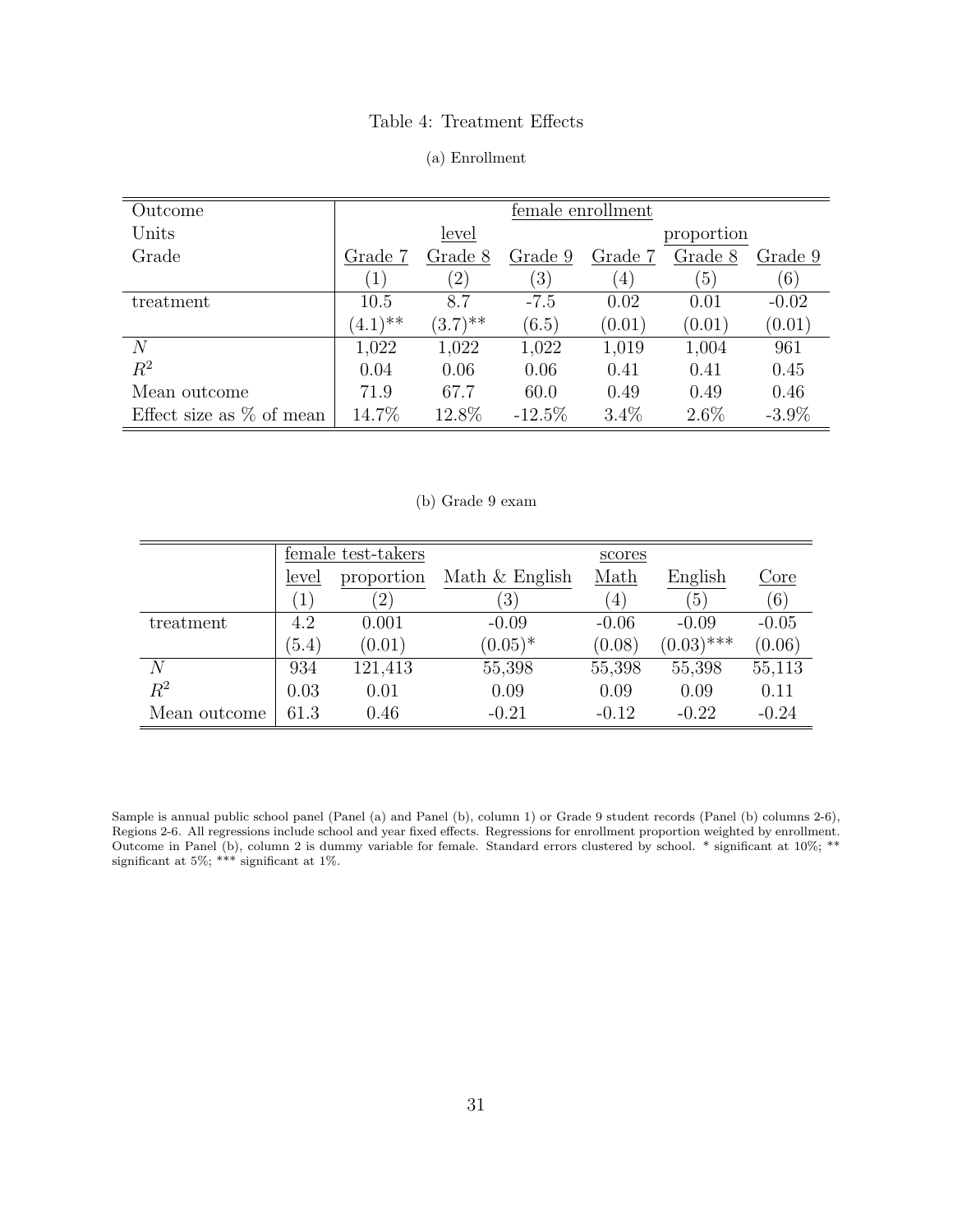#### Table 4: Treatment Effects

#### (a) Enrollment

<span id="page-33-1"></span>

| Outcome                     |                  |               |                  | female enrollment |                  |          |
|-----------------------------|------------------|---------------|------------------|-------------------|------------------|----------|
| Units                       |                  | level         |                  |                   | proportion       |          |
| Grade                       | Grade 7          | Grade 8       | Grade 9          | Grade 7           | Grade 8          | Grade 9  |
|                             | $\left(1\right)$ | $^{\prime}2)$ | $\left(3\right)$ | $\left( 4\right)$ | $\left(5\right)$ | (6)      |
| treatment                   | 10.5             | 8.7           | $-7.5$           | 0.02              | 0.01             | $-0.02$  |
|                             | $(4.1)$ **       | $(3.7)$ **    | (6.5)            | (0.01)            | (0.01)           | (0.01)   |
| $\overline{N}$              | 1,022            | 1,022         | 1,022            | 1,019             | 1,004            | 961      |
| $R^2$                       | 0.04             | 0.06          | 0.06             | 0.41              | 0.41             | 0.45     |
| Mean outcome                | 71.9             | 67.7          | 60.0             | 0.49              | 0.49             | 0.46     |
| Effect size as $\%$ of mean | 14.7%            | 12.8%         | $-12.5\%$        | $3.4\%$           | $2.6\%$          | $-3.9\%$ |

#### (b) Grade 9 exam

<span id="page-33-0"></span>

|              |                  | female test-takers |                  | scores  |                  |         |
|--------------|------------------|--------------------|------------------|---------|------------------|---------|
|              | level            | proportion         | Math $&$ English | Math    | English          | Core    |
|              | $\left(1\right)$ | $^{\prime}2)$      | $\left(3\right)$ | (4)     | $\left(5\right)$ | (6)     |
| treatment    | 4.2              | 0.001              | $-0.09$          | $-0.06$ | $-0.09$          | $-0.05$ |
|              | (5.4)            | (0.01)             | $(0.05)^*$       | (0.08)  | $(0.03)$ ***     | (0.06)  |
| N            | 934              | 121,413            | 55,398           | 55,398  | 55,398           | 55,113  |
| $R^2$        | 0.03             | 0.01               | 0.09             | 0.09    | 0.09             | 0.11    |
| Mean outcome | 61.3             | 0.46               | $-0.21$          | $-0.12$ | $-0.22$          | $-0.24$ |

Sample is annual public school panel (Panel (a) and Panel (b), column 1) or Grade 9 student records (Panel (b) columns 2-6), Regions 2-6. All regressions include school and year fixed effects. Regressions for enrollment proportion weighted by enrollment. Outcome in Panel (b), column 2 is dummy variable for female. Standard errors clustered by school. \* significant at 10%; \*\* significant at 5%; \*\*\* significant at 1%.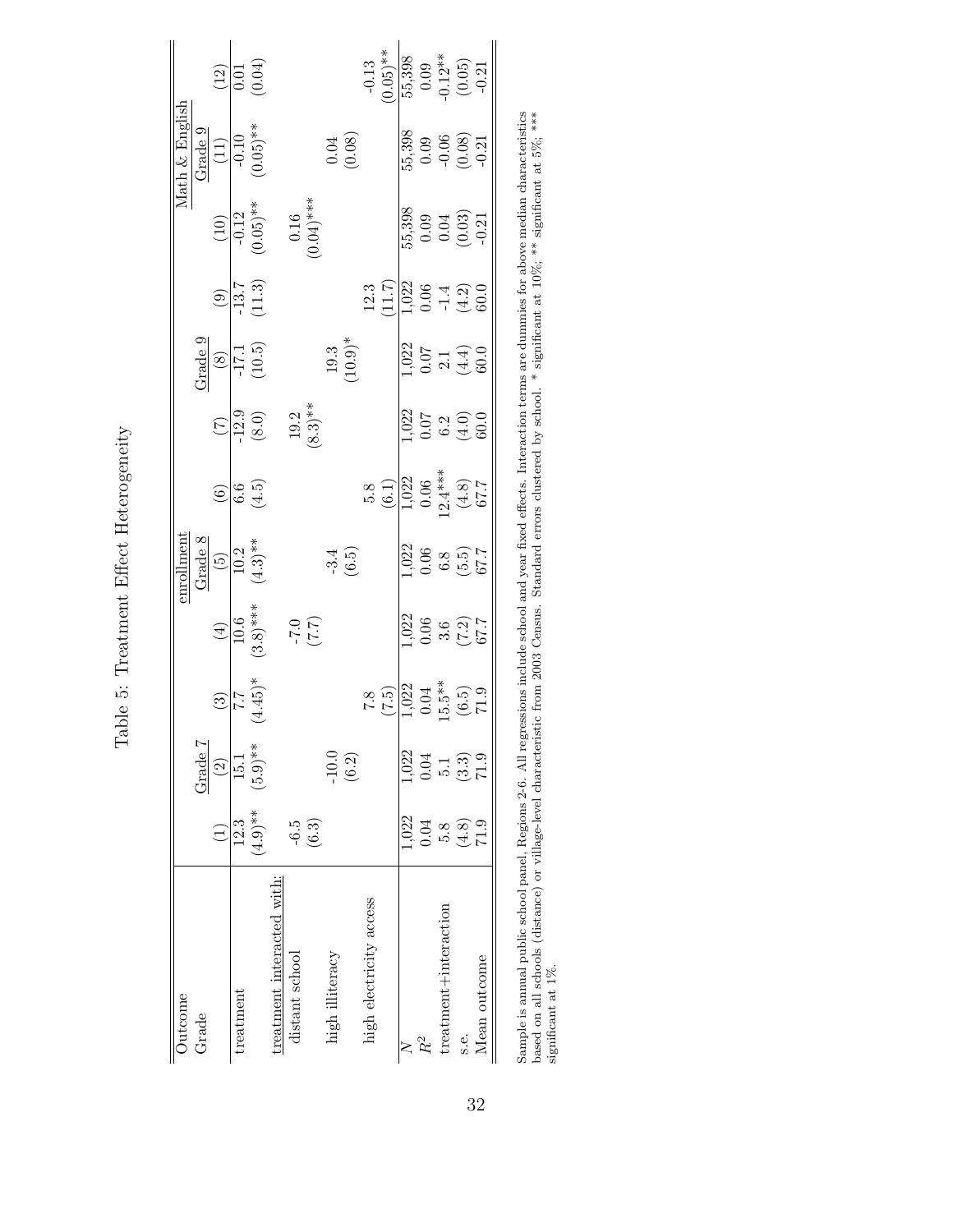| Outcome                   |                 |                              |                                                                 |                                         | <u>nemlome</u>                         |                                                                                              |                                                |                                                                                                                      |                                                                                          |                                                    | Math & English                            |                                                                                      |
|---------------------------|-----------------|------------------------------|-----------------------------------------------------------------|-----------------------------------------|----------------------------------------|----------------------------------------------------------------------------------------------|------------------------------------------------|----------------------------------------------------------------------------------------------------------------------|------------------------------------------------------------------------------------------|----------------------------------------------------|-------------------------------------------|--------------------------------------------------------------------------------------|
| Grade                     |                 | Grade 7                      |                                                                 |                                         |                                        |                                                                                              |                                                |                                                                                                                      |                                                                                          |                                                    |                                           |                                                                                      |
|                           | $\widehat{L}$   | $\left( \frac{2}{2} \right)$ | $\frac{2}{1.7}$<br>$\frac{1}{2}$<br>$\frac{1}{2}$               |                                         | Grade 8<br>(5)<br>10.2<br>10.2         | $\widehat{\mathfrak{S}}$                                                                     |                                                | $\begin{array}{r} \underline{\text{Grade 9}}\\ \underline{(8)}\\ \underline{-17.1}\\ \underline{17.1}\\ \end{array}$ |                                                                                          |                                                    | Grade 9<br>(11)<br>(0.10<br>(0.05)**      |                                                                                      |
| treatment                 | 12.3            | 15.1                         |                                                                 |                                         |                                        |                                                                                              |                                                |                                                                                                                      |                                                                                          |                                                    |                                           |                                                                                      |
|                           | $(4.9)$ **      | $(5.9)$ **                   |                                                                 | $\frac{(4)}{10.6}$<br>(3.8)***          |                                        | $\frac{6}{6.5}$                                                                              | $\frac{(7)}{12.9}$<br>(8.0)                    |                                                                                                                      | $\frac{(9)}{13.7}$<br>(11.3)                                                             | $\frac{(10)}{-0.12}$<br>(0.05)**                   |                                           | $\frac{(12)}{0.01}$                                                                  |
| reatment interacted with: |                 |                              |                                                                 |                                         |                                        |                                                                                              |                                                |                                                                                                                      |                                                                                          |                                                    |                                           |                                                                                      |
| distant school            | $-6.5$          |                              |                                                                 |                                         |                                        |                                                                                              |                                                |                                                                                                                      |                                                                                          |                                                    |                                           |                                                                                      |
|                           | (6.3)           |                              |                                                                 | (7.7)                                   |                                        |                                                                                              | $(8.3)$ **                                     |                                                                                                                      |                                                                                          | $\begin{array}{c} 0.16 \\ 0.04)^{***} \end{array}$ |                                           |                                                                                      |
| high illiteracy           |                 | $-10.0$                      |                                                                 |                                         |                                        |                                                                                              |                                                |                                                                                                                      |                                                                                          |                                                    |                                           |                                                                                      |
|                           |                 | (6.2)                        |                                                                 |                                         | $-3.4$<br>(6.5)                        |                                                                                              |                                                | (10.3)                                                                                                               |                                                                                          |                                                    | (0.08)                                    |                                                                                      |
| high electricity access   |                 |                              |                                                                 |                                         |                                        |                                                                                              |                                                |                                                                                                                      |                                                                                          |                                                    |                                           |                                                                                      |
|                           |                 |                              | (7.5)                                                           |                                         |                                        | $\begin{array}{c} 5.8 \\ (6.1) \\ 1.022 \\ 0.06 \\ (2.4^{***}) \\ (4.8) \\ 67.7 \end{array}$ |                                                |                                                                                                                      | $\frac{12.3}{1.022}$<br>$\frac{11.7}{1.022}$<br>$\frac{0.06}{-1.4}$<br>$\frac{4.2}{0.0}$ |                                                    |                                           | $-0.13$<br>0.05)**                                                                   |
|                           | 1,022           | 1,022                        |                                                                 |                                         |                                        |                                                                                              |                                                |                                                                                                                      |                                                                                          |                                                    |                                           |                                                                                      |
| $R^2$                     | 0.04            | 0.04                         |                                                                 |                                         |                                        |                                                                                              |                                                |                                                                                                                      |                                                                                          |                                                    |                                           |                                                                                      |
| treatment+interaction     | 5.8             |                              |                                                                 |                                         |                                        |                                                                                              |                                                |                                                                                                                      |                                                                                          |                                                    |                                           |                                                                                      |
| s.e.                      | $(4.8)$<br>71.9 | $\frac{5.1}{(3.3)}$          | $\frac{1}{1,022}$<br>$0.04$<br>$15.5^{**}$<br>$(6.5)$<br>$71.9$ | $1,022$<br>0.06<br>3.6<br>(7.2)<br>67.7 | $1,022$<br>0.06<br>6.8<br>67.7<br>67.7 |                                                                                              | $\frac{1}{10}$<br>0.07<br>6.2<br>(4.0)<br>00.0 | $1,022$<br>$0.07$<br>$2,1$<br>$4,4$ )<br>$60.0$                                                                      |                                                                                          | 55,398<br>0.09<br>0.03)<br>0.031                   | $55,398$<br>0.09<br>0.06<br>0.08)<br>0.21 | $\begin{array}{c} \hline 15,398 \\ 0.09 \\ 0.12^{**} \\ (0.05) \\ -0.21 \end{array}$ |
| Mean outcome              |                 |                              |                                                                 |                                         |                                        |                                                                                              |                                                |                                                                                                                      |                                                                                          |                                                    |                                           |                                                                                      |
|                           |                 |                              |                                                                 |                                         |                                        |                                                                                              |                                                |                                                                                                                      |                                                                                          |                                                    |                                           |                                                                                      |

<span id="page-34-0"></span>Table 5: Treatment Effect Heterogeneity Table 5: Treatment Effect Heterogeneity

32

Sample is annual public school panel, Regions 2-6. All regressions include school and year fixed effects. Interaction terms are dummies for above median characteristics<br>based on all schools (distance) or village-level cha Sample is annual public school panel, Regions 2-6. All regressions include school and year fixed effects. Interaction terms are dummies for above median characteristics based on all schools (distance) or village-level characteristic from 2003 Census. Standard errors clustered by school. \* significant at 10%; \*\*\* significant at 5%; \*\*\*\* significant at 1%.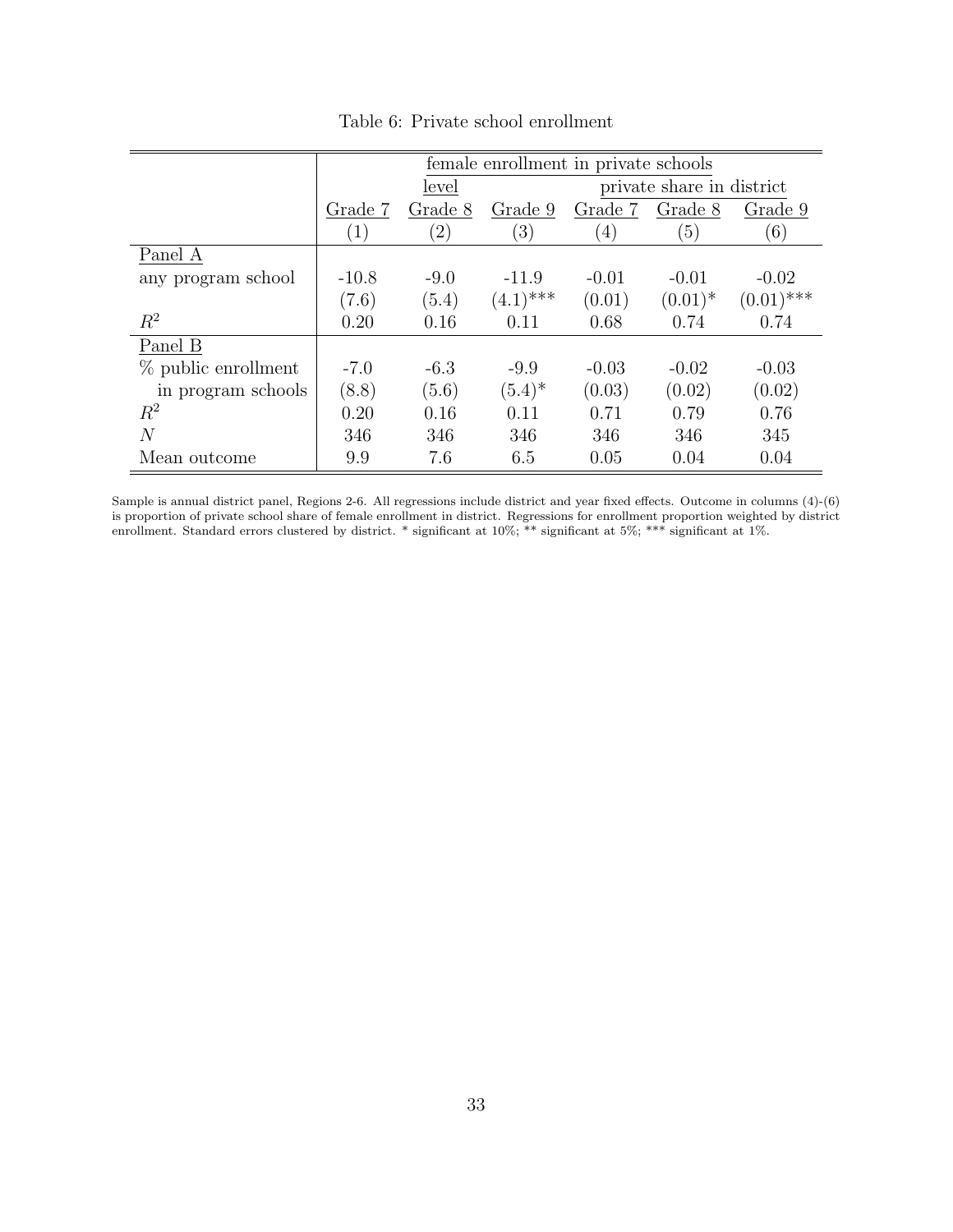<span id="page-35-0"></span>

|                       |                  |                   | female enrollment in private schools |         |                           |              |
|-----------------------|------------------|-------------------|--------------------------------------|---------|---------------------------|--------------|
|                       |                  | level             |                                      |         | private share in district |              |
|                       | Grade 7          | Grade 8           | Grade 9                              | Grade 7 | Grade 8                   | Grade 9      |
|                       | $\left(1\right)$ | $\left( 2\right)$ | $\left(3\right)$                     | (4)     | (5)                       | (6)          |
| Panel A               |                  |                   |                                      |         |                           |              |
| any program school    | $-10.8$          | $-9.0$            | $-11.9$                              | $-0.01$ | $-0.01$                   | $-0.02$      |
|                       | (7.6)            | (5.4)             | $(4.1)$ ***                          | (0.01)  | $(0.01)^*$                | $(0.01)$ *** |
| $R^2$                 | 0.20             | 0.16              | 0.11                                 | 0.68    | 0.74                      | 0.74         |
| Panel B               |                  |                   |                                      |         |                           |              |
| $%$ public enrollment | $-7.0$           | $-6.3$            | $-9.9$                               | $-0.03$ | $-0.02$                   | $-0.03$      |
| in program schools    | (8.8)            | (5.6)             | $(5.4)^*$                            | (0.03)  | (0.02)                    | (0.02)       |
| $R^2$                 | 0.20             | 0.16              | 0.11                                 | 0.71    | 0.79                      | 0.76         |
| $\overline{N}$        | 346              | 346               | 346                                  | 346     | 346                       | 345          |
| Mean outcome          | 9.9              | 7.6               | 6.5                                  | 0.05    | 0.04                      | 0.04         |

Table 6: Private school enrollment

Sample is annual district panel, Regions 2-6. All regressions include district and year fixed effects. Outcome in columns (4)-(6) is proportion of private school share of female enrollment in district. Regressions for enrollment proportion weighted by district enrollment. Standard errors clustered by district. \* significant at 10%; \*\* significant at 5%; \*\*\* significant at 1%.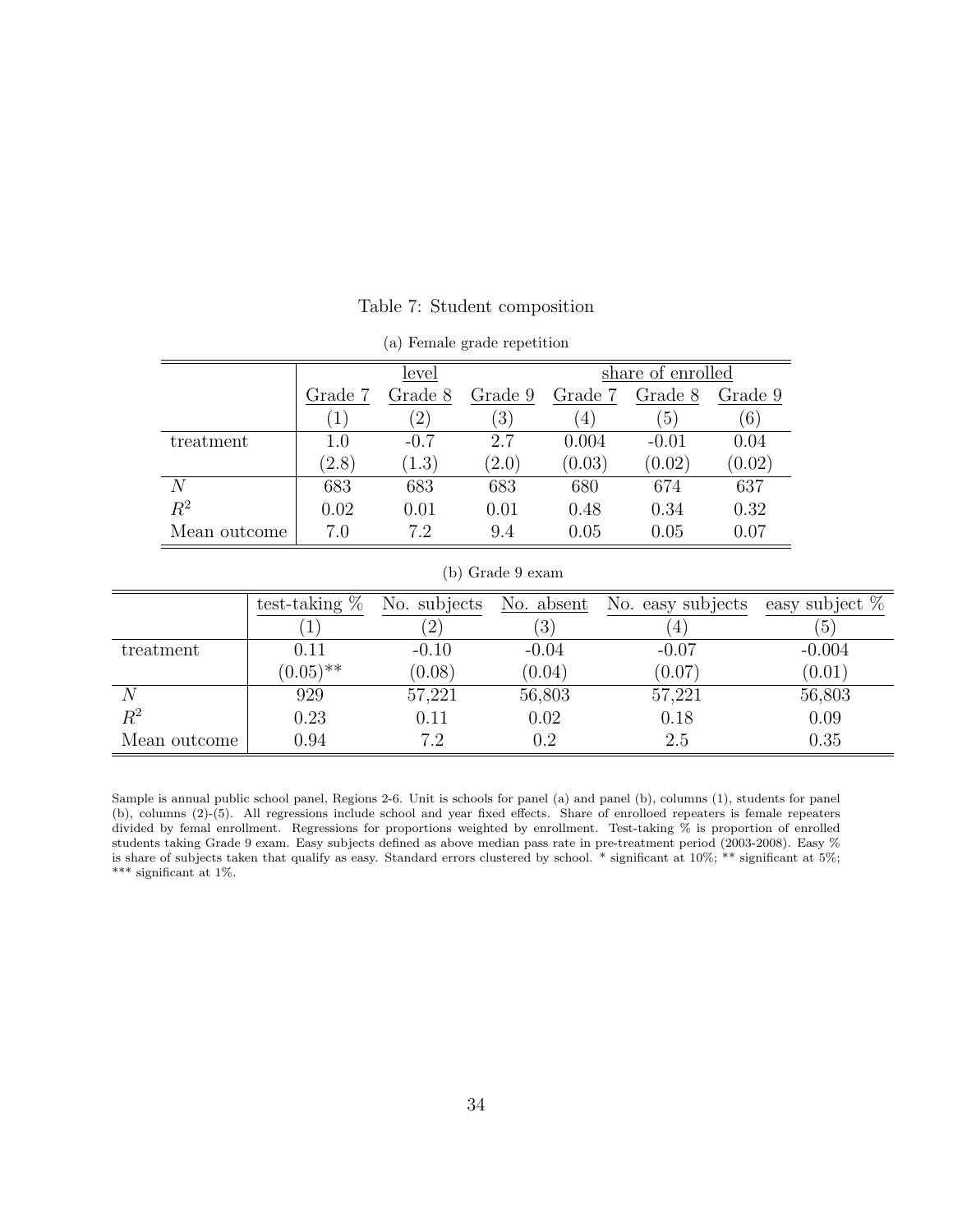<span id="page-36-0"></span>

|              |                        | level    |                  |                | share of enrolled |             |
|--------------|------------------------|----------|------------------|----------------|-------------------|-------------|
|              | Grade 7                | Grade 8  | Grade 9          | Grade 7        | Grade 8           | Grade 9     |
|              | $\left 1\right\rangle$ | $^{'}2)$ | $\left(3\right)$ | $\overline{4}$ | $\left(5\right)$  | $ 6\rangle$ |
| treatment    | 1.0                    | $-0.7$   | 2.7              | 0.004          | $-0.01$           | 0.04        |
|              | (2.8)                  | (1.3)    | (2.0)            | (0.03)         | (0.02)            | (0.02)      |
| N            | 683                    | 683      | 683              | 680            | 674               | 637         |
| $R^2$        | 0.02                   | 0.01     | 0.01             | 0.48           | 0.34              | 0.32        |
| Mean outcome | 7.0                    | $7.2\,$  | 9.4              | 0.05           | 0.05              | 0.07        |

Table 7: Student composition

|              |         | level             |                  |                  | share of enrolled |          |
|--------------|---------|-------------------|------------------|------------------|-------------------|----------|
|              | Grade 7 | Grade 8           | Grade 9          | Grade 7          | Grade 8           | Grade 9  |
|              | 1       | $\left( 2\right)$ | $\left(3\right)$ | $\left(4\right)$ | $\left(5\right)$  | (6)      |
| treatment    | 1.0     | $-0.7$            | 2.7              | 0.004            | $-0.01$           | 0.04     |
|              | (2.8)   | (1.3)             | (2.0)            | (0.03)           | (0.02)            | (0.02)   |
| N            | 683     | 683               | 683              | 680              | 674               | 637      |
| $R^2$        | 0.02    | 0.01              | 0.01             | 0.48             | 0.34              | 0.32     |
| Mean outcome | 7.0     | 72                | 9.4              | $0.05\,$         | 0.05              | $0.07\,$ |

(a) Female grade repetition

#### (b) Grade 9 exam

<span id="page-36-1"></span>

|                | test-taking $\%$ | No. subjects   | No. absent       | No. easy subjects | easy subject $%$ |
|----------------|------------------|----------------|------------------|-------------------|------------------|
|                |                  | $\overline{2}$ | $\left(3\right)$ | $\pm$             | $\left(5\right)$ |
| treatment      | 0.11             | $-0.10$        | $-0.04$          | $-0.07$           | $-0.004$         |
|                | $(0.05)$ **      | (0.08)         | (0.04)           | (0.07)            | (0.01)           |
|                | 929              | 57,221         | 56,803           | 57,221            | 56,803           |
| $\mathbb{R}^2$ | 0.23             | 0.11           | 0.02             | 0.18              | 0.09             |
| Mean outcome   | 0.94             | 7.2            | 0.2              | 2.5               | 0.35             |

Sample is annual public school panel, Regions 2-6. Unit is schools for panel (a) and panel (b), columns (1), students for panel (b), columns (2)-(5). All regressions include school and year fixed effects. Share of enrolloed repeaters is female repeaters divided by femal enrollment. Regressions for proportions weighted by enrollment. Test-taking % is proportion of enrolled students taking Grade 9 exam. Easy subjects defined as above median pass rate in pre-treatment period (2003-2008). Easy % is share of subjects taken that qualify as easy. Standard errors clustered by school. \* significant at 10%; \*\* significant at 5%;  $***$  significant at 1%.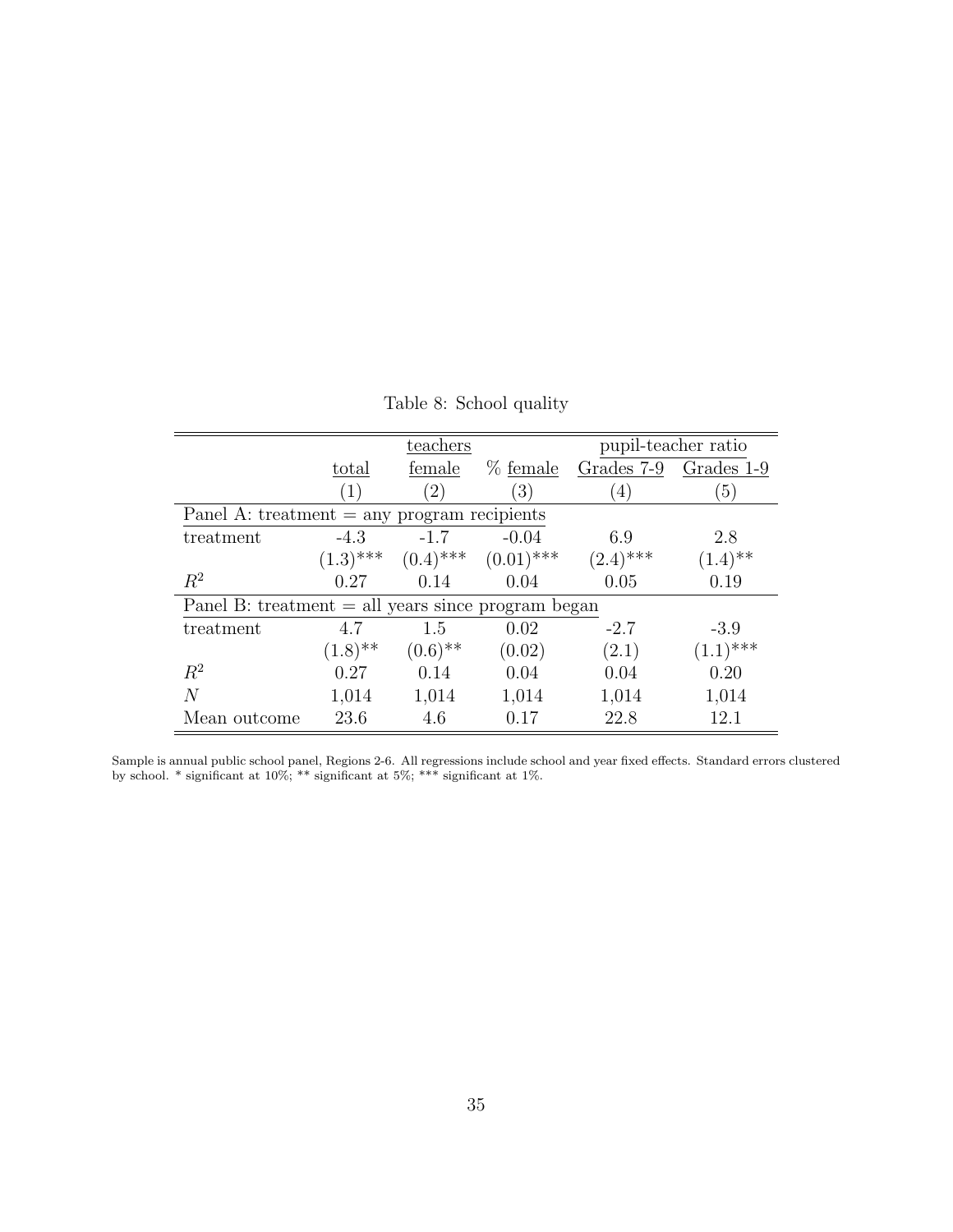| Table 8: School quality |  |  |
|-------------------------|--|--|
|-------------------------|--|--|

<span id="page-37-0"></span>

|                                                      |                       | teachers          |                                      |                   | pupil-teacher ratio |
|------------------------------------------------------|-----------------------|-------------------|--------------------------------------|-------------------|---------------------|
|                                                      | total                 | female            | % female                             | Grades 7-9        | Grades 1-9          |
|                                                      | (1)                   | $\left( 2\right)$ | (3)                                  | $\left( 4\right)$ | (5)                 |
| Panel A: treatment $=$ any program recipients        |                       |                   |                                      |                   |                     |
| treatment                                            | $-4.3$                | $-1.7$            | $-0.04$                              | 6.9               | 2.8                 |
|                                                      |                       |                   | $(1.3)$ *** $(0.4)$ *** $(0.01)$ *** | $(2.4)$ ***       | $(1.4)$ **          |
| $R^2$                                                | 0.27                  | 0.14              | 0.04                                 | 0.05              | 0.19                |
| Panel B: treatment $=$ all years since program began |                       |                   |                                      |                   |                     |
| treatment                                            | 4.7                   | 1.5               | 0.02                                 | $-2.7$            | $-3.9$              |
|                                                      | $(1.8)$ <sup>**</sup> | $(0.6)$ **        | (0.02)                               | (2.1)             | $(1.1)$ ***         |
| $R^2$                                                | 0.27                  | 0.14              | 0.04                                 | 0.04              | 0.20                |
| N                                                    | 1,014                 | 1,014             | 1,014                                | 1,014             | 1,014               |
| Mean outcome                                         | 23.6                  | 4.6               | 0.17                                 | 22.8              | 12.1                |

Sample is annual public school panel, Regions 2-6. All regressions include school and year fixed effects. Standard errors clustered by school. \* significant at 10%; \*\* significant at 5%; \*\*\* significant at 1%.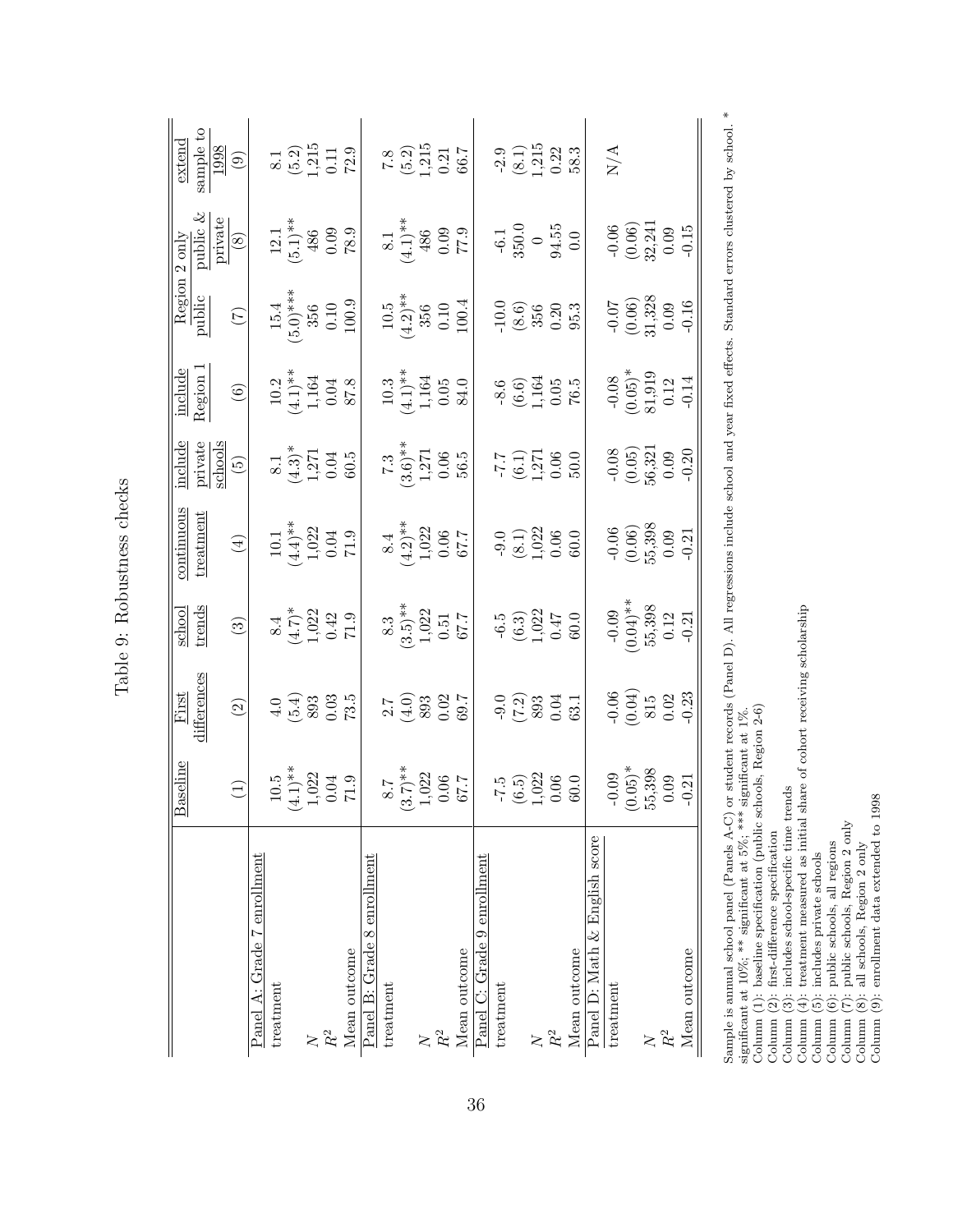<span id="page-38-0"></span>

|                               | <b>Baseline</b>                                                            | First                                                            |                                                                           | continuous                                                                |                                                                                         |                                                                               |                                                                                                                                                                                                                                                                                                                                                     | $\begin{tabular}{c c} 2 only \\ 2 only \\ 2 only \\ 2 only \\ 2 only \\ 3 only \\ 4 to \\ 6 only \\ \hline \end{tabular}$ | extend                                                                                                                  |
|-------------------------------|----------------------------------------------------------------------------|------------------------------------------------------------------|---------------------------------------------------------------------------|---------------------------------------------------------------------------|-----------------------------------------------------------------------------------------|-------------------------------------------------------------------------------|-----------------------------------------------------------------------------------------------------------------------------------------------------------------------------------------------------------------------------------------------------------------------------------------------------------------------------------------------------|---------------------------------------------------------------------------------------------------------------------------|-------------------------------------------------------------------------------------------------------------------------|
|                               |                                                                            | lifferences                                                      | school<br>trends                                                          | treatment                                                                 |                                                                                         | include<br>Region                                                             | Region :<br>public                                                                                                                                                                                                                                                                                                                                  |                                                                                                                           |                                                                                                                         |
|                               |                                                                            |                                                                  |                                                                           |                                                                           |                                                                                         |                                                                               |                                                                                                                                                                                                                                                                                                                                                     |                                                                                                                           |                                                                                                                         |
|                               | $\bigoplus$                                                                | $\odot$                                                          | $\circled{3}$                                                             | $\tag{4}$                                                                 |                                                                                         | $\begin{array}{c} \textcircled{\small{6}} \end{array}$                        | $\begin{picture}(220,20) \put(0,0){\line(1,0){10}} \put(15,0){\line(1,0){10}} \put(15,0){\line(1,0){10}} \put(15,0){\line(1,0){10}} \put(15,0){\line(1,0){10}} \put(15,0){\line(1,0){10}} \put(15,0){\line(1,0){10}} \put(15,0){\line(1,0){10}} \put(15,0){\line(1,0){10}} \put(15,0){\line(1,0){10}} \put(15,0){\line(1,0){10}} \put(15,0){\line($ |                                                                                                                           | $\begin{tabular}{c} \underline{e_{A-c}}\\ \underline{sample\ to}\\ \underline{1998}\\ \underline{1998}\\ \end{tabular}$ |
| Panel A: Grade 7 enrollment   |                                                                            |                                                                  |                                                                           |                                                                           |                                                                                         |                                                                               |                                                                                                                                                                                                                                                                                                                                                     |                                                                                                                           |                                                                                                                         |
| treatment                     |                                                                            |                                                                  |                                                                           |                                                                           |                                                                                         |                                                                               |                                                                                                                                                                                                                                                                                                                                                     |                                                                                                                           |                                                                                                                         |
|                               |                                                                            |                                                                  |                                                                           |                                                                           |                                                                                         |                                                                               |                                                                                                                                                                                                                                                                                                                                                     |                                                                                                                           |                                                                                                                         |
| $\overline{\mathsf{X}}$       |                                                                            |                                                                  |                                                                           |                                                                           |                                                                                         |                                                                               |                                                                                                                                                                                                                                                                                                                                                     |                                                                                                                           |                                                                                                                         |
| $\ensuremath{R^2}$            |                                                                            |                                                                  |                                                                           |                                                                           |                                                                                         |                                                                               |                                                                                                                                                                                                                                                                                                                                                     |                                                                                                                           |                                                                                                                         |
| Mean outcome                  | $\begin{array}{c} 10.5 \\ 4.1) ^{**} \\ 1,022 \\ 0.04 \\ 71.9 \end{array}$ | $(5.4)$<br>$(5.4)$<br>$0.03$<br>73.5                             | $8.4$<br>$(4.7)$ <sup>*</sup><br>$1.022$<br>$1.022$<br>$1.9$<br>$71.9$    | $10.1$<br>$(4.4)$ <sup>**</sup><br>$1,022$<br>$0.04$<br>$71.9$            | $\begin{array}{c}\n 8.1 \\  (4.3)^* \\  1,271 \\  0.04 \\  \hline\n 60.5\n \end{array}$ | $\begin{array}{c} 10.2 \\ (4.1)^{**} \\ 1,164 \\ 0.04 \\ \hline \end{array}$  | $\begin{array}{c} 15.4 \\ 5.0) {***} \\ 356 \\ 0.10 \\ 100.9 \\ \end{array}$                                                                                                                                                                                                                                                                        | $\frac{12.1}{(5.1)^{**}}$<br>486<br>0.09<br>78.9                                                                          | $\begin{array}{c} 8.1 \\ (5.2) \\ 1,215 \\ 0.11 \\ 72.9 \end{array}$                                                    |
| Panel B: Grade 8 enrollment   |                                                                            |                                                                  |                                                                           |                                                                           |                                                                                         |                                                                               |                                                                                                                                                                                                                                                                                                                                                     |                                                                                                                           |                                                                                                                         |
| treatment                     |                                                                            |                                                                  |                                                                           |                                                                           |                                                                                         |                                                                               |                                                                                                                                                                                                                                                                                                                                                     |                                                                                                                           |                                                                                                                         |
|                               |                                                                            | $\begin{array}{c} 2.7 \\ 4.0 \\ 893 \\ 0.02 \\ 69.7 \end{array}$ |                                                                           |                                                                           |                                                                                         |                                                                               |                                                                                                                                                                                                                                                                                                                                                     |                                                                                                                           |                                                                                                                         |
|                               |                                                                            |                                                                  |                                                                           |                                                                           |                                                                                         |                                                                               |                                                                                                                                                                                                                                                                                                                                                     |                                                                                                                           |                                                                                                                         |
| $\ensuremath{R^2}$            |                                                                            |                                                                  |                                                                           |                                                                           |                                                                                         |                                                                               |                                                                                                                                                                                                                                                                                                                                                     |                                                                                                                           |                                                                                                                         |
| Mean outcome                  | $\begin{array}{c} 8.7 \\ 3.7) * \\ 1.022 \\ 0.06 \\ 67.7 \end{array}$      |                                                                  | $\begin{array}{c} 8.3 \\ 3.5) ^{**} \\ 1.022 \\ 0.51 \\ 67.7 \end{array}$ | $8.4$ $(4.2)**$ $1.022$ $0.06$ $67.7$                                     | $\begin{array}{c} 7.3 \\ 7.3 \\ 1,271 \\ 0.06 \\ 56.5 \end{array}$                      | $\begin{array}{c} 10.3 \\ (4.1)^{**} \\ 1.164 \\ 0.05 \\ 84.0 \\ \end{array}$ | $10.5$<br>$(4.2)$ <sup>**</sup><br>$356$<br>$0.10$<br>$100.4$                                                                                                                                                                                                                                                                                       | $\begin{array}{c} 8.1 \\ (4.1) * \\ 4.86 \\ 0.09 \\ 0.09 \\ \hline \end{array}$                                           | $\begin{array}{c} 7.8 \\ (5.2) \\ 1.215 \\ 0.21 \\ 66.7 \end{array}$                                                    |
| Panel C: Grade 9 enrollment   |                                                                            |                                                                  |                                                                           |                                                                           |                                                                                         |                                                                               |                                                                                                                                                                                                                                                                                                                                                     |                                                                                                                           |                                                                                                                         |
| treatment                     |                                                                            |                                                                  |                                                                           |                                                                           |                                                                                         |                                                                               |                                                                                                                                                                                                                                                                                                                                                     |                                                                                                                           |                                                                                                                         |
|                               | $-7.5$<br>$(6.5)$<br>$1,022$<br>$0.06$<br>$0.06$                           |                                                                  | $-6.5$<br>$(6.3)$<br>$1,022$<br>$0.47$<br>$0.0$                           |                                                                           |                                                                                         |                                                                               |                                                                                                                                                                                                                                                                                                                                                     | $\frac{-6.1}{350.0}$<br>$\frac{0}{94.55}$                                                                                 |                                                                                                                         |
| $R^2$                         |                                                                            |                                                                  |                                                                           |                                                                           |                                                                                         |                                                                               |                                                                                                                                                                                                                                                                                                                                                     |                                                                                                                           |                                                                                                                         |
|                               |                                                                            |                                                                  |                                                                           |                                                                           |                                                                                         |                                                                               |                                                                                                                                                                                                                                                                                                                                                     |                                                                                                                           |                                                                                                                         |
| Mean outcome                  |                                                                            | $-9.0$<br>$(7.2)$<br>$893$<br>$0.04$<br>$1$                      |                                                                           | $\begin{array}{c} -9.0 \\ (8.1) \\ 1.022 \\ 0.06 \\ 60.0 \end{array}$     | $\begin{array}{c} -7.7 \\ (6.1) \\ 1.271 \\ 0.06 \\ 50.0 \end{array}$                   | $-8.6$<br>$(6.6)$<br>$1.164$<br>$76.5$                                        | $\frac{10.0}{(8.6)}$<br>$\frac{356}{350}$<br>$\frac{0.20}{95.3}$                                                                                                                                                                                                                                                                                    |                                                                                                                           | $\frac{-2.9}{(8.1)}$<br>1,215<br>1,215<br>58.3                                                                          |
| Panel D: Math & English score |                                                                            |                                                                  |                                                                           |                                                                           |                                                                                         |                                                                               |                                                                                                                                                                                                                                                                                                                                                     |                                                                                                                           |                                                                                                                         |
| treatment                     |                                                                            |                                                                  |                                                                           |                                                                           |                                                                                         |                                                                               |                                                                                                                                                                                                                                                                                                                                                     |                                                                                                                           | N/A                                                                                                                     |
|                               | $\begin{array}{c} -0.09 \\ 0.05$ <sup>*</sup><br>55,398<br>55,398          | $-0.06$<br>$(0.04)$<br>$815$<br>$0.02$<br>$-0.23$                |                                                                           | $\begin{array}{c} -0.06 \\ (0.06) \\ 55,398 \\ 0.09 \\ -0.21 \end{array}$ | $-0.08$<br>$(0.05)$<br>$56,321$<br>$0.09$<br>$-0.20$                                    | $-0.08$<br>$(0.05)^*$<br>$81,919$<br>$0.12$<br>$-0.14$                        | $\begin{array}{c} -0.07 \\ (0.06) \\ 21,328 \\ 0.09 \\ -0.16 \end{array}$                                                                                                                                                                                                                                                                           | $-0.06$<br>$(0.06)$<br>$32,241$<br>$0.09$<br>$-0.15$                                                                      |                                                                                                                         |
| $R^2$                         |                                                                            |                                                                  |                                                                           |                                                                           |                                                                                         |                                                                               |                                                                                                                                                                                                                                                                                                                                                     |                                                                                                                           |                                                                                                                         |
|                               |                                                                            |                                                                  |                                                                           |                                                                           |                                                                                         |                                                                               |                                                                                                                                                                                                                                                                                                                                                     |                                                                                                                           |                                                                                                                         |
| Mean outcome                  |                                                                            |                                                                  | $-0.09$<br>$(0.04)**$<br>$55,398$<br>$0.12$<br>$-0.21$                    |                                                                           |                                                                                         |                                                                               |                                                                                                                                                                                                                                                                                                                                                     |                                                                                                                           |                                                                                                                         |
|                               |                                                                            |                                                                  |                                                                           |                                                                           |                                                                                         |                                                                               |                                                                                                                                                                                                                                                                                                                                                     |                                                                                                                           |                                                                                                                         |

Table 9: Robustness checks Table 9: Robustness checks Sample is annual school panel (Panels A-C) or student records (Panel D). All regressions include school and year fixed effects. Standard errors clustered by school. \*<br>significant at 10%; \*\* significant at 5%; \*\*\* signific Sample is annual school panel (Panels A-C) or student records (Panel D). All regressions include school and year fixed effects. Standard errors clustered by school. \* significant at 10%; \*\* significant at 5%; \*\*\* significant at 1%.

Column (1): baseline specification (public schools, Region 2-6)

Column (2): first-difference specification

Column (3): includes school-specific time trends

Column (2): first-difference specific time terms, respect  $z \rightarrow 0$ <br>
Column (2): first-difference specific time terms<br>
column (3): includes school-specific time terms<br>
Column (4): treatment measured as initial share of coho Column (4): treatment measured as initial share of cohort receiving scholarship

Column (5): includes private schools

Column (6): public schools, all regions

Column (7): public schools, Region 2 only

Column  $(8)$ : all schools, Region 2 only<br>Column  $(9)$ : all schools, Region 2 only<br>Column  $(9)$ : enrollment data extended to 1998 Column (8): all schools, Region 2 only

Column (9): enrollment data extended to 1998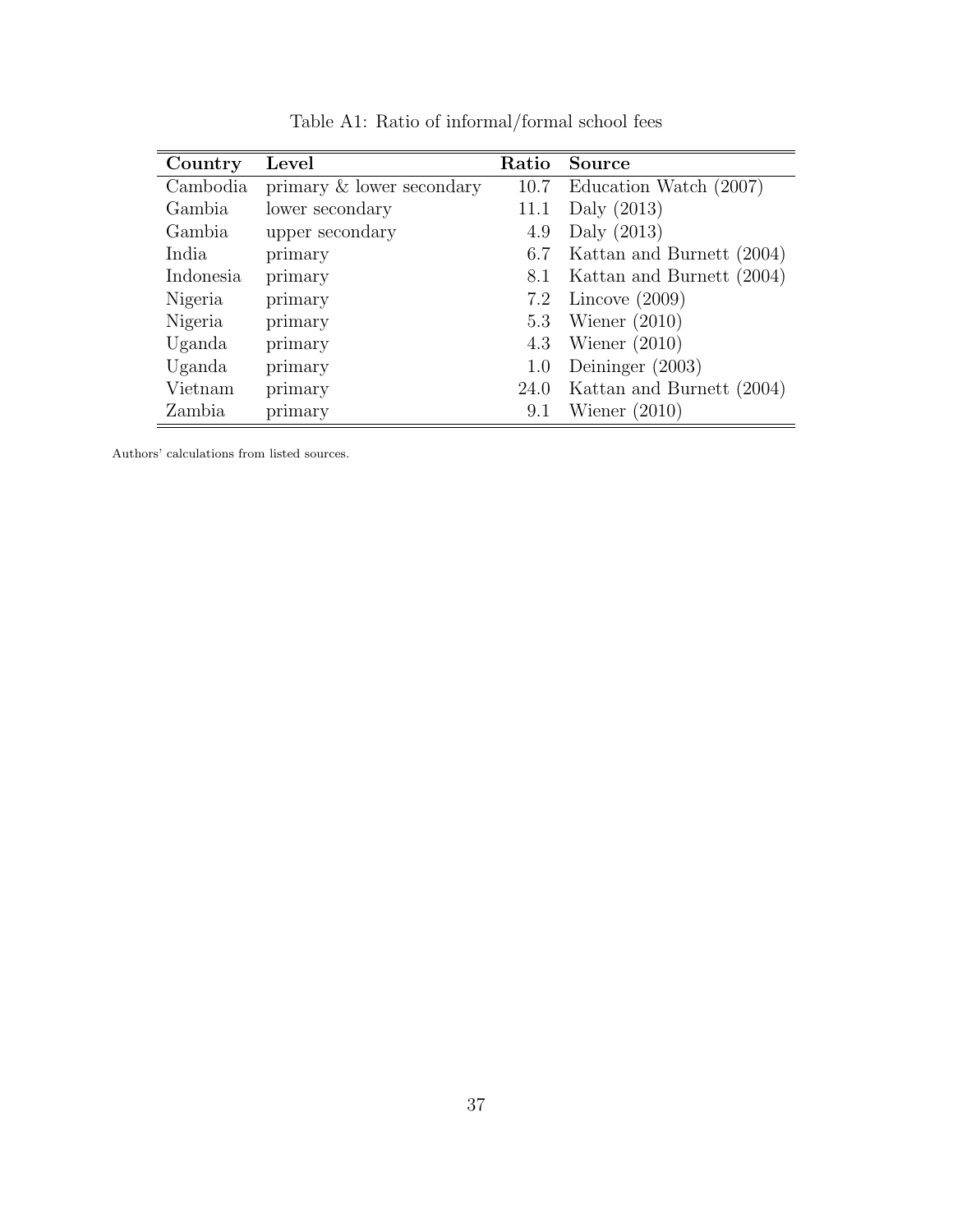<span id="page-39-0"></span>

| Country   | Level                     | Ratio | Source                    |
|-----------|---------------------------|-------|---------------------------|
| Cambodia  | primary & lower secondary | 10.7  | Education Watch (2007)    |
| Gambia    | lower secondary           | 11.1  | Daly $(2013)$             |
| Gambia    | upper secondary           | 4.9   | Daly $(2013)$             |
| India     | primary                   | 6.7   | Kattan and Burnett (2004) |
| Indonesia | primary                   | 8.1   | Kattan and Burnett (2004) |
| Nigeria   | primary                   | 7.2   | Lincove $(2009)$          |
| Nigeria   | primary                   | 5.3   | Wiener $(2010)$           |
| Uganda    | primary                   | 4.3   | Wiener $(2010)$           |
| Uganda    | primary                   | 1.0   | Deininger $(2003)$        |
| Vietnam   | primary                   | 24.0  | Kattan and Burnett (2004) |
| Zambia    | primary                   | 9.1   | Wiener $(2010)$           |

Table A1: Ratio of informal/formal school fees

Authors' calculations from listed sources.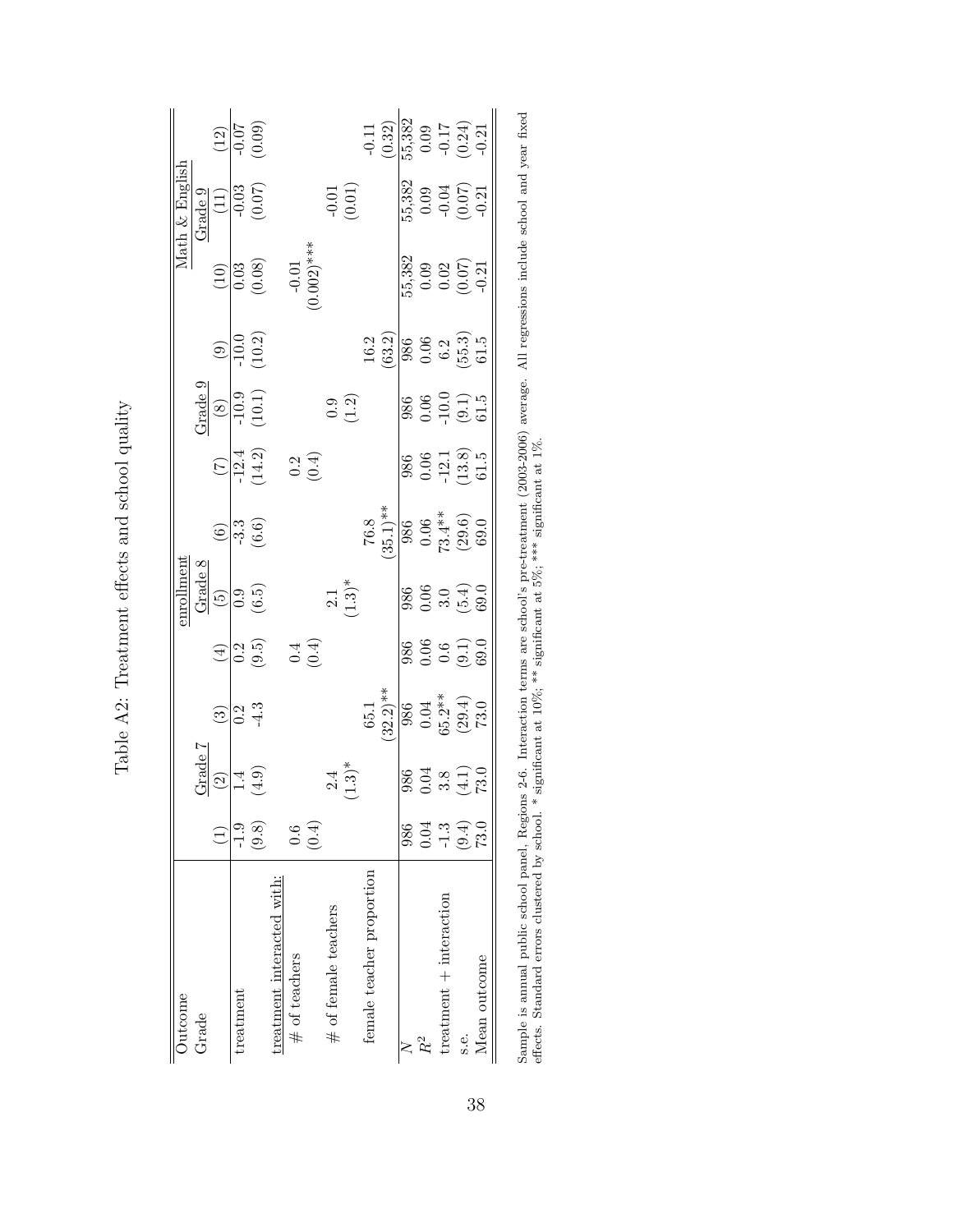|                |                      |                                                                                                                 |                 | $\frac{(12)}{10.07}$                                          |                            |                  |       |                        |                           |                           | $-0.11$<br>$(0.32)$<br>$(55,382)$<br>$0.09$<br>$-0.17$<br>$(0.24)$<br>$-0.21$                                                                                                                                                                                                                                                      |     |       |                         |                                                                              |              |
|----------------|----------------------|-----------------------------------------------------------------------------------------------------------------|-----------------|---------------------------------------------------------------|----------------------------|------------------|-------|------------------------|---------------------------|---------------------------|------------------------------------------------------------------------------------------------------------------------------------------------------------------------------------------------------------------------------------------------------------------------------------------------------------------------------------|-----|-------|-------------------------|------------------------------------------------------------------------------|--------------|
| Math & English |                      | $\begin{array}{r l} \text{Grade} & 9 \\ \hline (11) & \\ \hline -0.03 & \\ \hline 0.07 & \\ \hline \end{array}$ |                 |                                                               |                            |                  |       |                        | $-0.01$                   |                           |                                                                                                                                                                                                                                                                                                                                    |     |       |                         | 55,382<br>0.09<br>-0.07)<br>-0.21                                            |              |
|                |                      |                                                                                                                 |                 | $\frac{(10)}{0.03}$<br>(0.08)<br>(0.08)<br>-0.01<br>-0.02)*** |                            |                  |       |                        |                           |                           |                                                                                                                                                                                                                                                                                                                                    |     |       |                         | 55,382<br>0.09<br>0.07)<br>0.07)                                             |              |
|                |                      |                                                                                                                 |                 | $\frac{(9)}{-10.0}$<br>(10.2)                                 |                            |                  |       |                        |                           |                           | (63.2)                                                                                                                                                                                                                                                                                                                             |     |       |                         | $\frac{986}{900}$ 6.2<br>0.53<br>55.5<br>61.5                                |              |
|                |                      | $\frac{Grade}{(8)}$<br>-10.9<br>(10.1)                                                                          |                 |                                                               |                            |                  |       |                        | $0.\overline{0}$<br>(1.2) |                           |                                                                                                                                                                                                                                                                                                                                    |     |       |                         | $\begin{array}{c} 986 \\ 0.06 \\ -10.0 \\ \hline (9.1) \\ 61.5 \end{array}$  |              |
|                |                      |                                                                                                                 |                 | $\frac{(7)}{-12.4}$<br>14.2)                                  |                            |                  | (0.4) |                        |                           |                           |                                                                                                                                                                                                                                                                                                                                    |     |       |                         | $\begin{array}{c} 986 \\ 0.06 \\ -12.1 \\ 13.8 \\ 61.5 \end{array}$          |              |
|                |                      |                                                                                                                 |                 | $\circled{5}$ $\frac{3}{3}$ $\circled{5}$ $\circled{5}$       |                            |                  |       |                        |                           |                           | $\begin{array}{c} 76.8 \\[-4pt] 35.1)** \\ 90.06 \\[-4pt] 0.06 \\[-4pt] 86 \\[-4pt] 8.4* \\[-4pt] 8.0 \\[-4pt] 8.0 \\[-4pt] 8.0 \\[-4pt] 8.0 \\[-4pt] 9.0 \\[-4pt] 1.5 \\[-4pt] 1.5 \\[-4pt] 1.5 \\[-4pt] 1.5 \\[-4pt] 1.5 \\[-4pt] 1.5 \\[-4pt] 1.5 \\[-4pt] 1.5 \\[-4pt] 1.5 \\[-4pt] 1.5 \\[-4pt] 1.5 \\[-4pt] 1.5 \\[-4pt] 1.$ |     |       |                         |                                                                              |              |
|                |                      |                                                                                                                 |                 |                                                               |                            |                  |       |                        | $2.1$<br>(1.3)*           |                           |                                                                                                                                                                                                                                                                                                                                    |     |       |                         | 986<br>0.06<br>5.0<br>69.0                                                   |              |
|                |                      |                                                                                                                 |                 | $\frac{4}{12}$<br>9.5                                         |                            |                  | (0.4) |                        |                           |                           |                                                                                                                                                                                                                                                                                                                                    |     |       |                         | 986<br>0.06<br>0.01<br>09.0                                                  |              |
|                |                      |                                                                                                                 | <u>ခြင်း</u> မိ |                                                               |                            |                  |       |                        |                           |                           | $\frac{65.1}{32.2}$ **                                                                                                                                                                                                                                                                                                             |     |       |                         | $\begin{array}{c} 986 \\ 904 \\ 0.04 \\ 35.24 \\ (29.4) \\ 73.0 \end{array}$ |              |
|                | $\frac{1}{2}$ rade 7 | $\textcircled{\scriptsize 2}$                                                                                   |                 | $1.4$<br>(4.9)                                                |                            |                  |       |                        | $2.4$<br>$(1.3)*$         |                           |                                                                                                                                                                                                                                                                                                                                    |     |       |                         | 986<br>0.04<br>3.8<br>73.0                                                   |              |
|                |                      |                                                                                                                 | $-1.9$          | (9.8)                                                         |                            |                  | 0.4   |                        |                           |                           |                                                                                                                                                                                                                                                                                                                                    | 986 |       |                         | $0.34$<br>$-1.3$<br>$-2.3$<br>$-2.5$                                         |              |
| Outcome        | Grade                |                                                                                                                 | treatment       |                                                               | treatment interacted with: | $\#$ of teachers |       | $#$ of female teachers |                           | female teacher proportion |                                                                                                                                                                                                                                                                                                                                    |     | $R^2$ | treatment + interaction | s.e.                                                                         | Mean outcome |

Table A2: Treatment effects and school quality Table A2: Treatment effects and school quality

<span id="page-40-0"></span>38

Sample is annual public school panel, Regions 2-6. Interaction terms are school's pre-treatment (2003-2006) average. All regressions include school and year fixed effects. Standard errors clustered by school. \* significant Sample is annual public school panel, Regions 2-6. Interaction terms are school's pre-treatment (2003-2006) average. All regressions include school and year fixed effects. Standard errors clustered by school. \* significant at 10%; \*\* significant at 5%; \*\*\* significant at 1%.